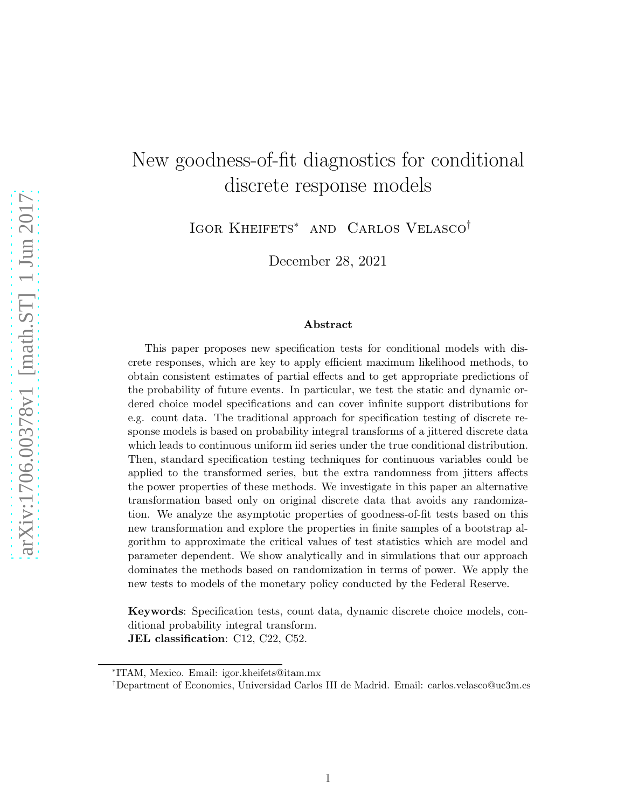## New goodness-of-fit diagnostics for conditional discrete response models

Igor Kheifets<sup>∗</sup> and Carlos Velasco†

December 28, 2021

#### Abstract

This paper proposes new specification tests for conditional models with discrete responses, which are key to apply efficient maximum likelihood methods, to obtain consistent estimates of partial effects and to get appropriate predictions of the probability of future events. In particular, we test the static and dynamic ordered choice model specifications and can cover infinite support distributions for e.g. count data. The traditional approach for specification testing of discrete response models is based on probability integral transforms of a jittered discrete data which leads to continuous uniform iid series under the true conditional distribution. Then, standard specification testing techniques for continuous variables could be applied to the transformed series, but the extra randomness from jitters affects the power properties of these methods. We investigate in this paper an alternative transformation based only on original discrete data that avoids any randomization. We analyze the asymptotic properties of goodness-of-fit tests based on this new transformation and explore the properties in finite samples of a bootstrap algorithm to approximate the critical values of test statistics which are model and parameter dependent. We show analytically and in simulations that our approach dominates the methods based on randomization in terms of power. We apply the new tests to models of the monetary policy conducted by the Federal Reserve.

Keywords: Specification tests, count data, dynamic discrete choice models, conditional probability integral transform. JEL classification: C12, C22, C52.

<sup>∗</sup> ITAM, Mexico. Email: igor.kheifets@itam.mx

<sup>†</sup>Department of Economics, Universidad Carlos III de Madrid. Email: carlos.velasco@uc3m.es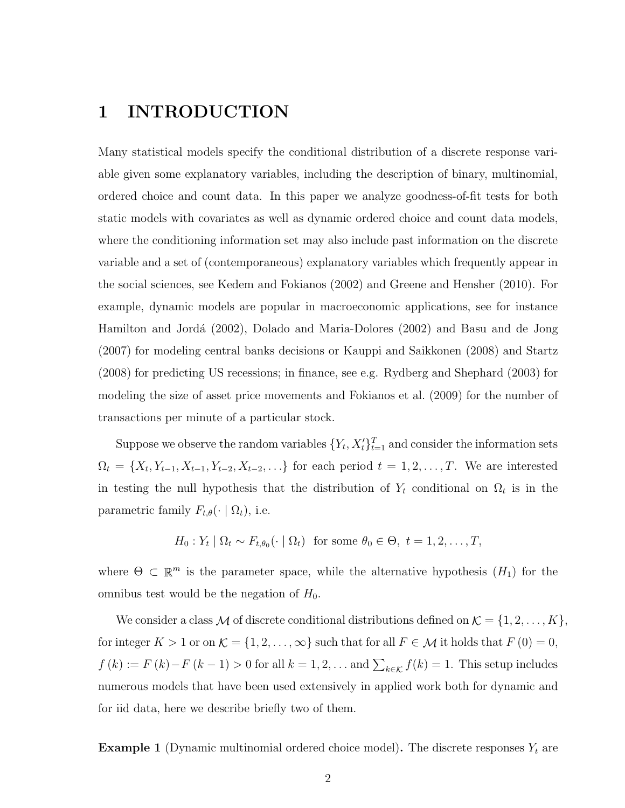### 1 INTRODUCTION

Many statistical models specify the conditional distribution of a discrete response variable given some explanatory variables, including the description of binary, multinomial, ordered choice and count data. In this paper we analyze goodness-of-fit tests for both static models with covariates as well as dynamic ordered choice and count data models, where the conditioning information set may also include past information on the discrete variable and a set of (contemporaneous) explanatory variables which frequently appear in the social sciences, see Kedem and Fokianos (2002) and Greene and Hensher (2010). For example, dynamic models are popular in macroeconomic applications, see for instance Hamilton and Jordá (2002), Dolado and Maria-Dolores (2002) and Basu and de Jong (2007) for modeling central banks decisions or Kauppi and Saikkonen (2008) and Startz (2008) for predicting US recessions; in finance, see e.g. Rydberg and Shephard (2003) for modeling the size of asset price movements and Fokianos et al. (2009) for the number of transactions per minute of a particular stock.

Suppose we observe the random variables  $\{Y_t, X_t'\}_{t=1}^T$  and consider the information sets  $\Omega_t = \{X_t, Y_{t-1}, X_{t-1}, Y_{t-2}, X_{t-2}, \ldots\}$  for each period  $t = 1, 2, \ldots, T$ . We are interested in testing the null hypothesis that the distribution of  $Y_t$  conditional on  $\Omega_t$  is in the parametric family  $F_{t,\theta}(\cdot | \Omega_t)$ , i.e.

$$
H_0: Y_t | \Omega_t \sim F_{t,\theta_0}(\cdot | \Omega_t) \text{ for some } \theta_0 \in \Theta, t = 1, 2, \dots, T,
$$

where  $\Theta \subset \mathbb{R}^m$  is the parameter space, while the alternative hypothesis  $(H_1)$  for the omnibus test would be the negation of  $H_0$ .

We consider a class  $M$  of discrete conditional distributions defined on  $\mathcal{K} = \{1, 2, \ldots, K\}$ for integer  $K > 1$  or on  $\mathcal{K} = \{1, 2, ..., \infty\}$  such that for all  $F \in \mathcal{M}$  it holds that  $F(0) = 0$ ,  $f(k) := F(k) - F(k-1) > 0$  for all  $k = 1, 2, ...$  and  $\sum_{k \in \mathcal{K}} f(k) = 1$ . This setup includes numerous models that have been used extensively in applied work both for dynamic and for iid data, here we describe briefly two of them.

**Example 1** (Dynamic multinomial ordered choice model). The discrete responses  $Y_t$  are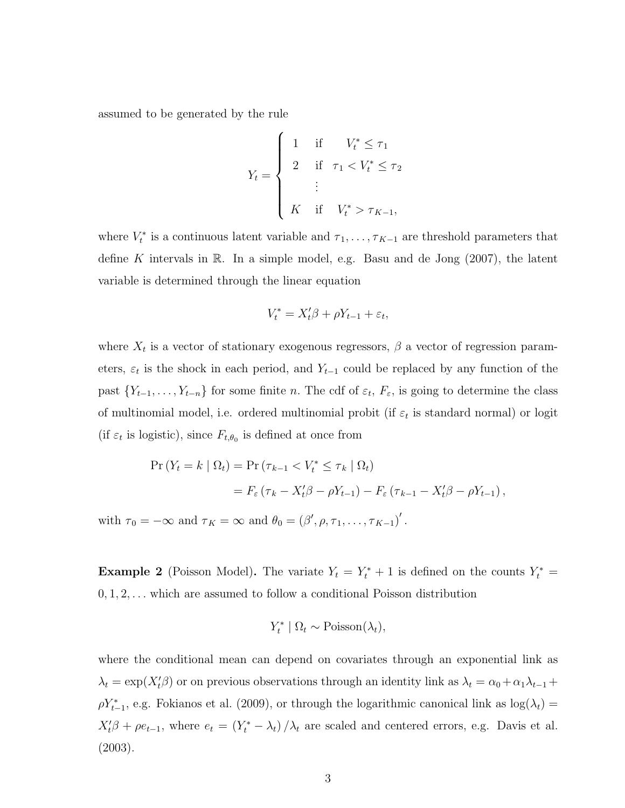assumed to be generated by the rule

$$
Y_{t} = \begin{cases} 1 & \text{if } & V_{t}^{*} \leq \tau_{1} \\ 2 & \text{if } \tau_{1} < V_{t}^{*} \leq \tau_{2} \\ & \vdots \\ K & \text{if } & V_{t}^{*} > \tau_{K-1}, \end{cases}
$$

where  $V_t^*$  is a continuous latent variable and  $\tau_1, \ldots, \tau_{K-1}$  are threshold parameters that define K intervals in  $\mathbb R$ . In a simple model, e.g. Basu and de Jong (2007), the latent variable is determined through the linear equation

$$
V_t^* = X_t'\beta + \rho Y_{t-1} + \varepsilon_t,
$$

where  $X_t$  is a vector of stationary exogenous regressors,  $\beta$  a vector of regression parameters,  $\varepsilon_t$  is the shock in each period, and  $Y_{t-1}$  could be replaced by any function of the past  $\{Y_{t-1}, \ldots, Y_{t-n}\}$  for some finite n. The cdf of  $\varepsilon_t$ ,  $F_{\varepsilon}$ , is going to determine the class of multinomial model, i.e. ordered multinomial probit (if  $\varepsilon_t$  is standard normal) or logit (if  $\varepsilon_t$  is logistic), since  $F_{t,\theta_0}$  is defined at once from

$$
\Pr(Y_t = k \mid \Omega_t) = \Pr(\tau_{k-1} < V_t^* \leq \tau_k \mid \Omega_t)
$$
\n
$$
= F_{\varepsilon}(\tau_k - X_t'\beta - \rho Y_{t-1}) - F_{\varepsilon}(\tau_{k-1} - X_t'\beta - \rho Y_{t-1}),
$$

with  $\tau_0 = -\infty$  and  $\tau_K = \infty$  and  $\theta_0 = (\beta', \rho, \tau_1, \dots, \tau_{K-1})'$ .

**Example 2** (Poisson Model). The variate  $Y_t = Y_t^* + 1$  is defined on the counts  $Y_t^* =$  $0, 1, 2, \ldots$  which are assumed to follow a conditional Poisson distribution

$$
Y_t^* | \Omega_t \sim \text{Poisson}(\lambda_t),
$$

where the conditional mean can depend on covariates through an exponential link as  $\lambda_t = \exp(X_t' \beta)$  or on previous observations through an identity link as  $\lambda_t = \alpha_0 + \alpha_1 \lambda_{t-1} +$  $\rho Y_{t-1}^*$ , e.g. Fokianos et al. (2009), or through the logarithmic canonical link as  $\log(\lambda_t) =$  $X_t'\beta + \rho e_{t-1}$ , where  $e_t = (Y_t^* - \lambda_t)/\lambda_t$  are scaled and centered errors, e.g. Davis et al. (2003).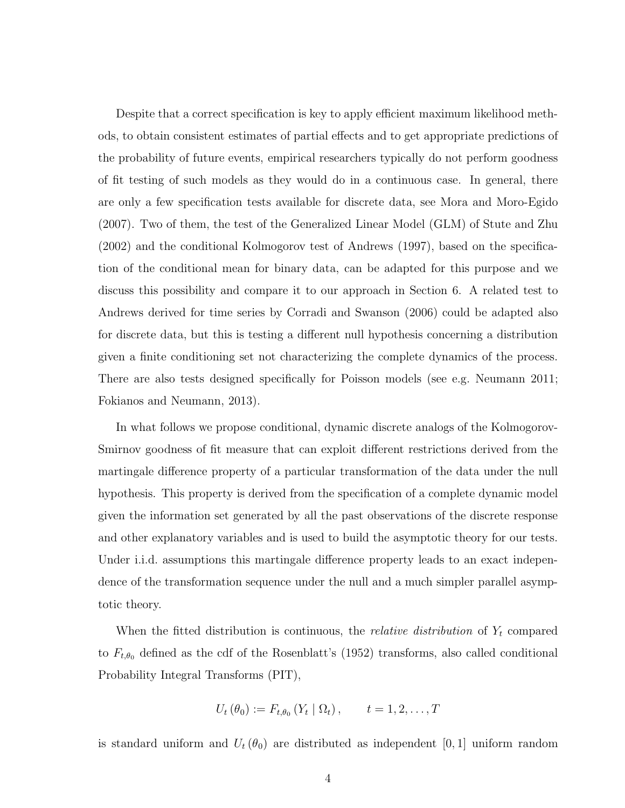Despite that a correct specification is key to apply efficient maximum likelihood methods, to obtain consistent estimates of partial effects and to get appropriate predictions of the probability of future events, empirical researchers typically do not perform goodness of fit testing of such models as they would do in a continuous case. In general, there are only a few specification tests available for discrete data, see Mora and Moro-Egido (2007). Two of them, the test of the Generalized Linear Model (GLM) of Stute and Zhu (2002) and the conditional Kolmogorov test of Andrews (1997), based on the specification of the conditional mean for binary data, can be adapted for this purpose and we discuss this possibility and compare it to our approach in Section 6. A related test to Andrews derived for time series by Corradi and Swanson (2006) could be adapted also for discrete data, but this is testing a different null hypothesis concerning a distribution given a finite conditioning set not characterizing the complete dynamics of the process. There are also tests designed specifically for Poisson models (see e.g. Neumann 2011; Fokianos and Neumann, 2013).

In what follows we propose conditional, dynamic discrete analogs of the Kolmogorov-Smirnov goodness of fit measure that can exploit different restrictions derived from the martingale difference property of a particular transformation of the data under the null hypothesis. This property is derived from the specification of a complete dynamic model given the information set generated by all the past observations of the discrete response and other explanatory variables and is used to build the asymptotic theory for our tests. Under i.i.d. assumptions this martingale difference property leads to an exact independence of the transformation sequence under the null and a much simpler parallel asymptotic theory.

When the fitted distribution is continuous, the *relative distribution* of  $Y_t$  compared to  $F_{t,\theta_0}$  defined as the cdf of the Rosenblatt's (1952) transforms, also called conditional Probability Integral Transforms (PIT),

$$
U_{t}(\theta_{0}) := F_{t,\theta_{0}}(Y_{t} | \Omega_{t}), \qquad t = 1, 2, ..., T
$$

is standard uniform and  $U_t(\theta_0)$  are distributed as independent [0, 1] uniform random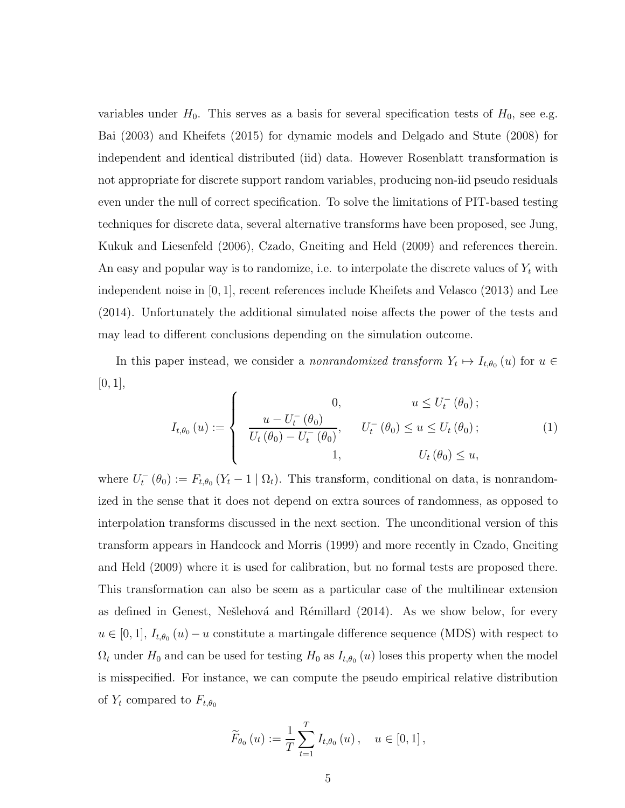variables under  $H_0$ . This serves as a basis for several specification tests of  $H_0$ , see e.g. Bai (2003) and Kheifets (2015) for dynamic models and Delgado and Stute (2008) for independent and identical distributed (iid) data. However Rosenblatt transformation is not appropriate for discrete support random variables, producing non-iid pseudo residuals even under the null of correct specification. To solve the limitations of PIT-based testing techniques for discrete data, several alternative transforms have been proposed, see Jung, Kukuk and Liesenfeld (2006), Czado, Gneiting and Held (2009) and references therein. An easy and popular way is to randomize, i.e. to interpolate the discrete values of  $Y_t$  with independent noise in [0, 1], recent references include Kheifets and Velasco (2013) and Lee (2014). Unfortunately the additional simulated noise affects the power of the tests and may lead to different conclusions depending on the simulation outcome.

In this paper instead, we consider a *nonrandomized transform*  $Y_t \mapsto I_{t,\theta_0}(u)$  for  $u \in$  $[0, 1],$ 

<span id="page-4-0"></span>
$$
I_{t,\theta_0}(u) := \begin{cases} 0, & u \le U_t^-(\theta_0); \\ \frac{u - U_t^-(\theta_0)}{U_t(\theta_0) - U_t^-(\theta_0)}, & U_t^-(\theta_0) \le u \le U_t(\theta_0); \\ 1, & U_t(\theta_0) \le u, \end{cases}
$$
(1)

where  $U_t^-(\theta_0) := F_{t,\theta_0} (Y_t - 1 | \Omega_t)$ . This transform, conditional on data, is nonrandomized in the sense that it does not depend on extra sources of randomness, as opposed to interpolation transforms discussed in the next section. The unconditional version of this transform appears in Handcock and Morris (1999) and more recently in Czado, Gneiting and Held (2009) where it is used for calibration, but no formal tests are proposed there. This transformation can also be seem as a particular case of the multilinear extension as defined in Genest, Nešlehová and Rémillard (2014). As we show below, for every  $u \in [0, 1], I_{t,\theta_0}(u) - u$  constitute a martingale difference sequence (MDS) with respect to  $\Omega_t$  under  $H_0$  and can be used for testing  $H_0$  as  $I_{t,\theta_0}(u)$  loses this property when the model is misspecified. For instance, we can compute the pseudo empirical relative distribution of  $Y_t$  compared to  $F_{t,\theta_0}$ 

$$
\widetilde{F}_{\theta_0}(u) := \frac{1}{T} \sum_{t=1}^T I_{t,\theta_0}(u), \quad u \in [0,1],
$$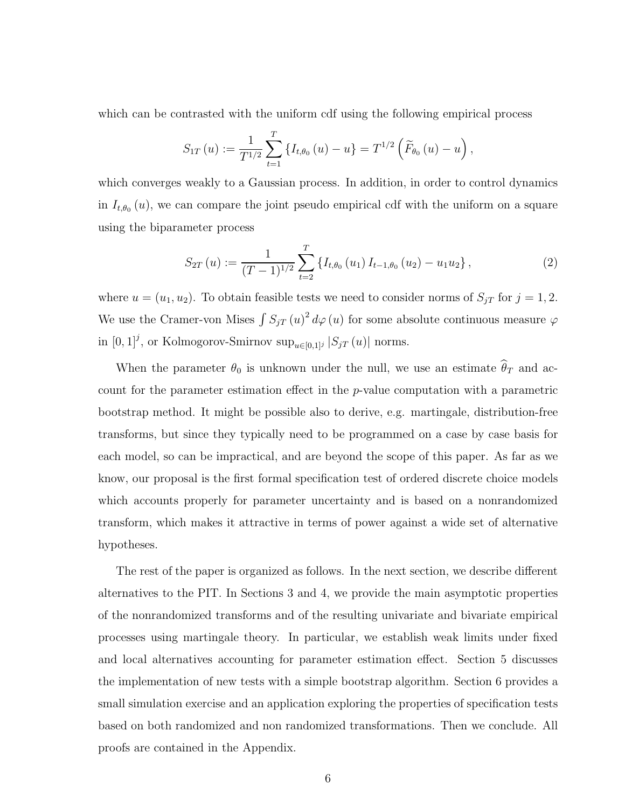which can be contrasted with the uniform cdf using the following empirical process

$$
S_{1T}(u) := \frac{1}{T^{1/2}} \sum_{t=1}^{T} \left\{ I_{t,\theta_0}(u) - u \right\} = T^{1/2} \left( \widetilde{F}_{\theta_0}(u) - u \right),
$$

which converges weakly to a Gaussian process. In addition, in order to control dynamics in  $I_{t,\theta_0}(u)$ , we can compare the joint pseudo empirical cdf with the uniform on a square using the biparameter process

<span id="page-5-0"></span>
$$
S_{2T}(u) := \frac{1}{(T-1)^{1/2}} \sum_{t=2}^{T} \left\{ I_{t,\theta_0}(u_1) I_{t-1,\theta_0}(u_2) - u_1 u_2 \right\},
$$
 (2)

where  $u = (u_1, u_2)$ . To obtain feasible tests we need to consider norms of  $S_{jT}$  for  $j = 1, 2$ . We use the Cramer-von Mises  $\int S_{jT} (u)^2 d\varphi(u)$  for some absolute continuous measure  $\varphi$ in  $[0,1]^j$ , or Kolmogorov-Smirnov sup $_{u\in[0,1]^j}$   $|S_{jT}(u)|$  norms.

When the parameter  $\theta_0$  is unknown under the null, we use an estimate  $\widehat{\theta}_T$  and account for the parameter estimation effect in the p-value computation with a parametric bootstrap method. It might be possible also to derive, e.g. martingale, distribution-free transforms, but since they typically need to be programmed on a case by case basis for each model, so can be impractical, and are beyond the scope of this paper. As far as we know, our proposal is the first formal specification test of ordered discrete choice models which accounts properly for parameter uncertainty and is based on a nonrandomized transform, which makes it attractive in terms of power against a wide set of alternative hypotheses.

The rest of the paper is organized as follows. In the next section, we describe different alternatives to the PIT. In Sections 3 and 4, we provide the main asymptotic properties of the nonrandomized transforms and of the resulting univariate and bivariate empirical processes using martingale theory. In particular, we establish weak limits under fixed and local alternatives accounting for parameter estimation effect. Section 5 discusses the implementation of new tests with a simple bootstrap algorithm. Section 6 provides a small simulation exercise and an application exploring the properties of specification tests based on both randomized and non randomized transformations. Then we conclude. All proofs are contained in the Appendix.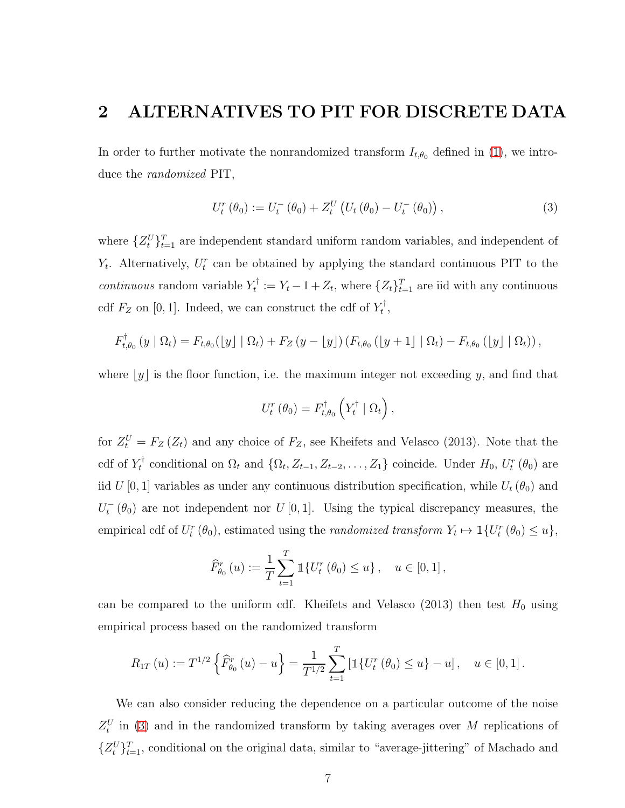### 2 ALTERNATIVES TO PIT FOR DISCRETE DATA

In order to further motivate the nonrandomized transform  $I_{t,\theta_0}$  defined in [\(1\)](#page-4-0), we introduce the randomized PIT,

<span id="page-6-0"></span>
$$
U_t^r(\theta_0) := U_t^-(\theta_0) + Z_t^U(U_t(\theta_0) - U_t^-(\theta_0)),
$$
\n(3)

where  $\{Z_t^U\}_{t=1}^T$  are independent standard uniform random variables, and independent of  $Y_t$ . Alternatively,  $U_t^r$  can be obtained by applying the standard continuous PIT to the *continuous* random variable  $Y_t^{\dagger}$  $t_t^{\dagger} := Y_t - 1 + Z_t$ , where  $\{Z_t\}_{t=1}^T$  are iid with any continuous cdf  $F_Z$  on [0, 1]. Indeed, we can construct the cdf of  $Y_t^{\dagger}$  $_t^\tau,$ 

$$
F_{t,\theta_0}^{\dagger}(y \mid \Omega_t) = F_{t,\theta_0}(\lfloor y \rfloor \mid \Omega_t) + F_Z(y - \lfloor y \rfloor) (F_{t,\theta_0}(\lfloor y + 1 \rfloor \mid \Omega_t) - F_{t,\theta_0}(\lfloor y \rfloor \mid \Omega_t)),
$$

where  $[y]$  is the floor function, i.e. the maximum integer not exceeding y, and find that

$$
U_t^r(\theta_0) = F_{t,\theta_0}^{\dagger} \left( Y_t^{\dagger} \mid \Omega_t \right),
$$

for  $Z_t^U = F_Z(Z_t)$  and any choice of  $F_Z$ , see Kheifets and Velasco (2013). Note that the  $\operatorname{cdf} \ \text{of} \ Y_t^\dagger$ <sup>t</sup> conditional on  $\Omega_t$  and  $\{\Omega_t, Z_{t-1}, Z_{t-2}, \ldots, Z_1\}$  coincide. Under  $H_0$ ,  $U_t^r(\theta_0)$  are iid  $U[0,1]$  variables as under any continuous distribution specification, while  $U_t(\theta_0)$  and  $U_t^-(\theta_0)$  are not independent nor  $U[0,1]$ . Using the typical discrepancy measures, the empirical cdf of  $U_t^r(\theta_0)$ , estimated using the *randomized transform*  $Y_t \mapsto \mathbb{1}\{U_t^r(\theta_0) \leq u\}$ ,

$$
\widehat{F}_{\theta_0}^r(u) := \frac{1}{T} \sum_{t=1}^T \mathbb{1}\{U_t^r(\theta_0) \le u\}, \quad u \in [0,1],
$$

can be compared to the uniform cdf. Kheifets and Velasco (2013) then test  $H_0$  using empirical process based on the randomized transform

$$
R_{1T}(u) := T^{1/2} \left\{ \widehat{F}_{\theta_0}^r(u) - u \right\} = \frac{1}{T^{1/2}} \sum_{t=1}^T \left[ \mathbb{1} \{ U_t^r(\theta_0) \le u \} - u \right], \quad u \in [0, 1].
$$

We can also consider reducing the dependence on a particular outcome of the noise  $Z_t^U$  in [\(3\)](#page-6-0) and in the randomized transform by taking averages over M replications of  $\{Z_t^U\}_{t=1}^T$ , conditional on the original data, similar to "average-jittering" of Machado and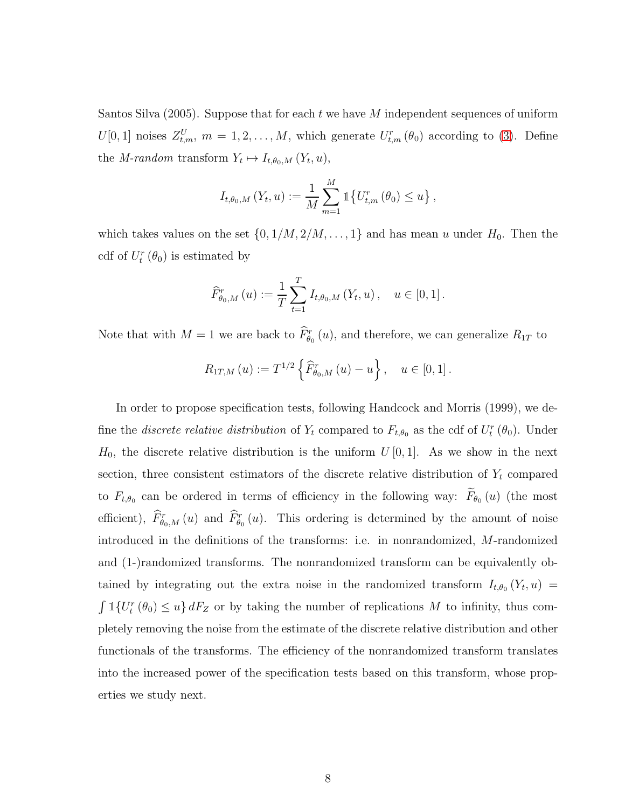Santos Silva (2005). Suppose that for each t we have M independent sequences of uniform  $U[0,1]$  noises  $Z_{t,m}^U$ ,  $m=1,2,\ldots,M$ , which generate  $U_{t,m}^r(\theta_0)$  according to [\(3\)](#page-6-0). Define the *M*-random transform  $Y_t \mapsto I_{t,\theta_0,M}(Y_t,u)$ ,

$$
I_{t,\theta_0,M}(Y_t, u) := \frac{1}{M} \sum_{m=1}^{M} \mathbb{1} \{ U_{t,m}^r (\theta_0) \le u \},
$$

which takes values on the set  $\{0, 1/M, 2/M, \ldots, 1\}$  and has mean u under  $H_0$ . Then the cdf of  $U_t^r(\theta_0)$  is estimated by

$$
\widehat{F}_{\theta_0,M}^r(u) := \frac{1}{T} \sum_{t=1}^T I_{t,\theta_0,M}(Y_t, u), \quad u \in [0,1].
$$

Note that with  $M=1$  we are back to  $\hat{F}_{\theta_0}^r(u)$ , and therefore, we can generalize  $R_{1T}$  to

$$
R_{1T,M}(u) := T^{1/2} \left\{ \widehat{F}_{\theta_0,M}^r(u) - u \right\}, \quad u \in [0,1].
$$

In order to propose specification tests, following Handcock and Morris (1999), we define the *discrete relative distribution* of  $Y_t$  compared to  $F_{t,\theta_0}$  as the cdf of  $U_t^r(\theta_0)$ . Under  $H_0$ , the discrete relative distribution is the uniform  $U[0,1]$ . As we show in the next section, three consistent estimators of the discrete relative distribution of  $Y_t$  compared to  $F_{t,\theta_0}$  can be ordered in terms of efficiency in the following way:  $F_{\theta_0}(u)$  (the most efficient),  $\hat{F}_{\theta_0,M}^r(u)$  and  $\hat{F}_{\theta_0}^r(u)$ . This ordering is determined by the amount of noise introduced in the definitions of the transforms: i.e. in nonrandomized, M-randomized and (1-)randomized transforms. The nonrandomized transform can be equivalently obtained by integrating out the extra noise in the randomized transform  $I_{t,\theta_0}(Y_t, u) =$  $\int \mathbb{1}\{U_t^r(\theta_0) \leq u\} dF_Z$  or by taking the number of replications M to infinity, thus completely removing the noise from the estimate of the discrete relative distribution and other functionals of the transforms. The efficiency of the nonrandomized transform translates into the increased power of the specification tests based on this transform, whose properties we study next.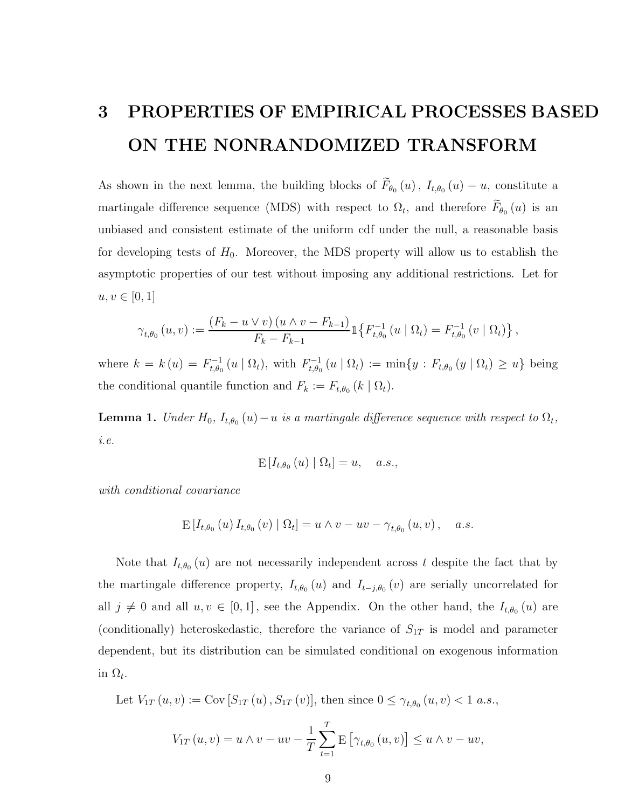## 3 PROPERTIES OF EMPIRICAL PROCESSES BASED ON THE NONRANDOMIZED TRANSFORM

As shown in the next lemma, the building blocks of  $F_{\theta_0}(u)$ ,  $I_{t,\theta_0}(u) - u$ , constitute a martingale difference sequence (MDS) with respect to  $\Omega_t$ , and therefore  $F_{\theta_0}(u)$  is an unbiased and consistent estimate of the uniform cdf under the null, a reasonable basis for developing tests of  $H_0$ . Moreover, the MDS property will allow us to establish the asymptotic properties of our test without imposing any additional restrictions. Let for  $u, v \in [0, 1]$ 

$$
\gamma_{t,\theta_0}(u,v) := \frac{(F_k - u \vee v) (u \wedge v - F_{k-1})}{F_k - F_{k-1}} \mathbb{1}\big\{F_{t,\theta_0}^{-1}(u \mid \Omega_t) = F_{t,\theta_0}^{-1}(v \mid \Omega_t)\big\},
$$

where  $k = k(u) = F^{-1}_{t,\theta_0}$  $t_{t,\theta_0}^{t-1}(u \mid \Omega_t),$  with  $F_{t,\theta_0}^{-1}$  $t_{t,\theta_0}^{-1}(u | \Omega_t) := \min\{y : F_{t,\theta_0}(y | \Omega_t) \geq u\}$  being the conditional quantile function and  $F_k := F_{t,\theta_0} (k \mid \Omega_t)$ .

<span id="page-8-0"></span>**Lemma 1.** Under  $H_0$ ,  $I_{t,\theta_0}(u) - u$  is a martingale difference sequence with respect to  $\Omega_t$ , i.e.

$$
\mathbb{E}\left[I_{t,\theta_0}\left(u\right) \mid \Omega_t\right] = u, \quad a.s.,
$$

with conditional covariance

$$
\mathbb{E}\left[I_{t,\theta_0}\left(u\right)I_{t,\theta_0}\left(v\right)\mid\Omega_t\right] = u \wedge v - uv - \gamma_{t,\theta_0}\left(u,v\right), \quad a.s.
$$

Note that  $I_{t,\theta_0}(u)$  are not necessarily independent across t despite the fact that by the martingale difference property,  $I_{t,\theta_0}(u)$  and  $I_{t-j,\theta_0}(v)$  are serially uncorrelated for all  $j \neq 0$  and all  $u, v \in [0, 1]$ , see the Appendix. On the other hand, the  $I_{t, \theta_0}(u)$  are (conditionally) heteroskedastic, therefore the variance of  $S_{1T}$  is model and parameter dependent, but its distribution can be simulated conditional on exogenous information in  $\Omega_t$ .

Let 
$$
V_{1T}(u, v) := \text{Cov}[S_{1T}(u), S_{1T}(v)],
$$
 then since  $0 \le \gamma_{t, \theta_0}(u, v) < 1$  a.s.,

$$
V_{1T}(u, v) = u \wedge v - uv - \frac{1}{T} \sum_{t=1}^{T} E\left[\gamma_{t, \theta_0}(u, v)\right] \le u \wedge v - uv,
$$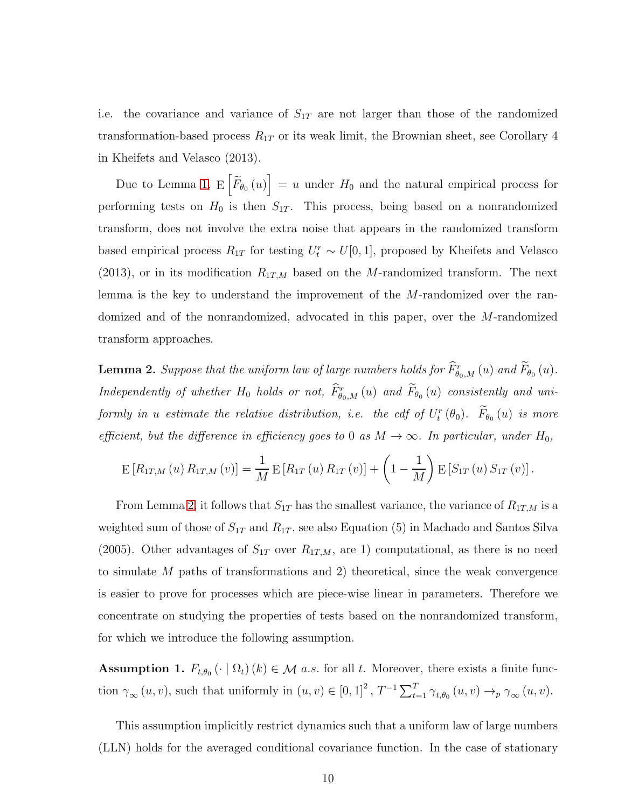i.e. the covariance and variance of  $S_{1T}$  are not larger than those of the randomized transformation-based process  $R_{1T}$  or its weak limit, the Brownian sheet, see Corollary 4 in Kheifets and Velasco (2013).

Due to Lemma [1,](#page-8-0)  $E\left[\widetilde{F}_{\theta_0}(u)\right] = u$  under  $H_0$  and the natural empirical process for performing tests on  $H_0$  is then  $S_{1T}$ . This process, being based on a nonrandomized transform, does not involve the extra noise that appears in the randomized transform based empirical process  $R_{1T}$  for testing  $U_t^r \sim U[0, 1]$ , proposed by Kheifets and Velasco (2013), or in its modification  $R_{1T,M}$  based on the M-randomized transform. The next lemma is the key to understand the improvement of the M-randomized over the randomized and of the nonrandomized, advocated in this paper, over the M-randomized transform approaches.

<span id="page-9-0"></span>**Lemma 2.** Suppose that the uniform law of large numbers holds for  $\hat{F}^r_{\theta_0,M}(u)$  and  $\hat{F}_{\theta_0}(u)$ . Independently of whether  $H_0$  holds or not,  $\hat{F}^r_{\theta_0,M}(u)$  and  $\hat{F}_{\theta_0}(u)$  consistently and uniformly in a estimate the relative distribution, i.e. the cdf of  $U_t^r(\theta_0)$ .  $\hat{F}_{\theta_0}(u)$  is more efficient, but the difference in efficiency goes to 0 as  $M \to \infty$ . In particular, under  $H_0$ ,

$$
E[R_{1T,M}(u) R_{1T,M}(v)] = \frac{1}{M} E[R_{1T}(u) R_{1T}(v)] + \left(1 - \frac{1}{M}\right) E[S_{1T}(u) S_{1T}(v)].
$$

From Lemma [2,](#page-9-0) it follows that  $S_{1T}$  has the smallest variance, the variance of  $R_{1T,M}$  is a weighted sum of those of  $S_{1T}$  and  $R_{1T}$ , see also Equation (5) in Machado and Santos Silva (2005). Other advantages of  $S_{1T}$  over  $R_{1T,M}$ , are 1) computational, as there is no need to simulate M paths of transformations and 2) theoretical, since the weak convergence is easier to prove for processes which are piece-wise linear in parameters. Therefore we concentrate on studying the properties of tests based on the nonrandomized transform, for which we introduce the following assumption.

**Assumption 1.**  $F_{t,\theta_0}(\cdot | \Omega_t)(k) \in \mathcal{M}$  *a.s.* for all *t*. Moreover, there exists a finite function  $\gamma_{\infty}(u, v)$ , such that uniformly in  $(u, v) \in [0, 1]^2$ ,  $T^{-1} \sum_{t=1}^T \gamma_{t, \theta_0}(u, v) \rightarrow_p \gamma_{\infty}(u, v)$ .

This assumption implicitly restrict dynamics such that a uniform law of large numbers (LLN) holds for the averaged conditional covariance function. In the case of stationary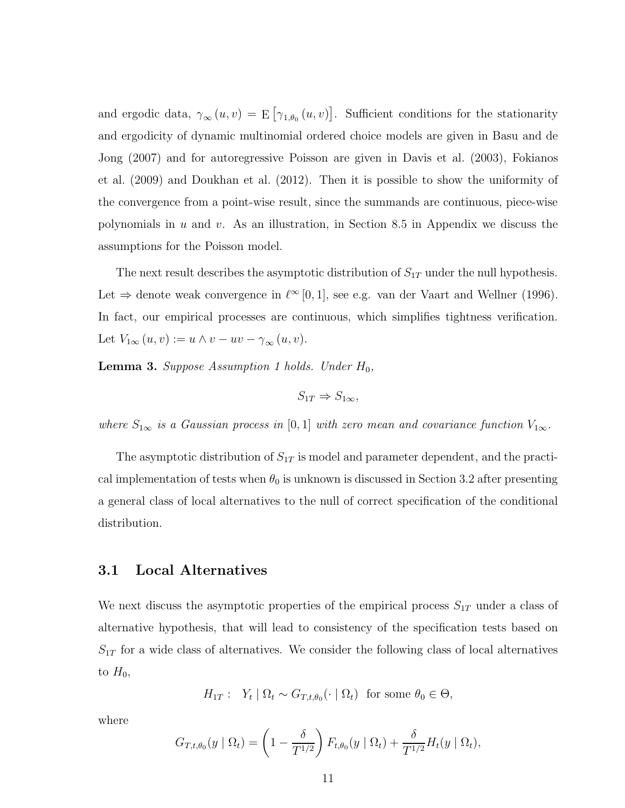and ergodic data,  $\gamma_{\infty}(u, v) = E[\gamma_{1, \theta_0}(u, v)].$  Sufficient conditions for the stationarity and ergodicity of dynamic multinomial ordered choice models are given in Basu and de Jong (2007) and for autoregressive Poisson are given in Davis et al. (2003), Fokianos et al. (2009) and Doukhan et al. (2012). Then it is possible to show the uniformity of the convergence from a point-wise result, since the summands are continuous, piece-wise polynomials in  $u$  and  $v$ . As an illustration, in Section 8.5 in Appendix we discuss the assumptions for the Poisson model.

The next result describes the asymptotic distribution of  $S_{1T}$  under the null hypothesis. Let  $\Rightarrow$  denote weak convergence in  $\ell^{\infty}[0,1]$ , see e.g. van der Vaart and Wellner (1996). In fact, our empirical processes are continuous, which simplifies tightness verification. Let  $V_{1\infty}(u,v) := u \wedge v - uv - \gamma_{\infty}(u,v)$ .

<span id="page-10-0"></span>**Lemma 3.** Suppose Assumption 1 holds. Under  $H_0$ ,

$$
S_{1T} \Rightarrow S_{1\infty},
$$

where  $S_{1\infty}$  is a Gaussian process in [0, 1] with zero mean and covariance function  $V_{1\infty}$ .

The asymptotic distribution of  $S_{1T}$  is model and parameter dependent, and the practical implementation of tests when  $\theta_0$  is unknown is discussed in Section 3.2 after presenting a general class of local alternatives to the null of correct specification of the conditional distribution.

#### 3.1 Local Alternatives

We next discuss the asymptotic properties of the empirical process  $S_{1T}$  under a class of alternative hypothesis, that will lead to consistency of the specification tests based on  $S_{1T}$  for a wide class of alternatives. We consider the following class of local alternatives to  $H_0$ ,

$$
H_{1T}: Y_t | \Omega_t \sim G_{T,t,\theta_0}(\cdot | \Omega_t) \text{ for some } \theta_0 \in \Theta,
$$

where

$$
G_{T,t,\theta_0}(y \mid \Omega_t) = \left(1 - \frac{\delta}{T^{1/2}}\right) F_{t,\theta_0}(y \mid \Omega_t) + \frac{\delta}{T^{1/2}} H_t(y \mid \Omega_t),
$$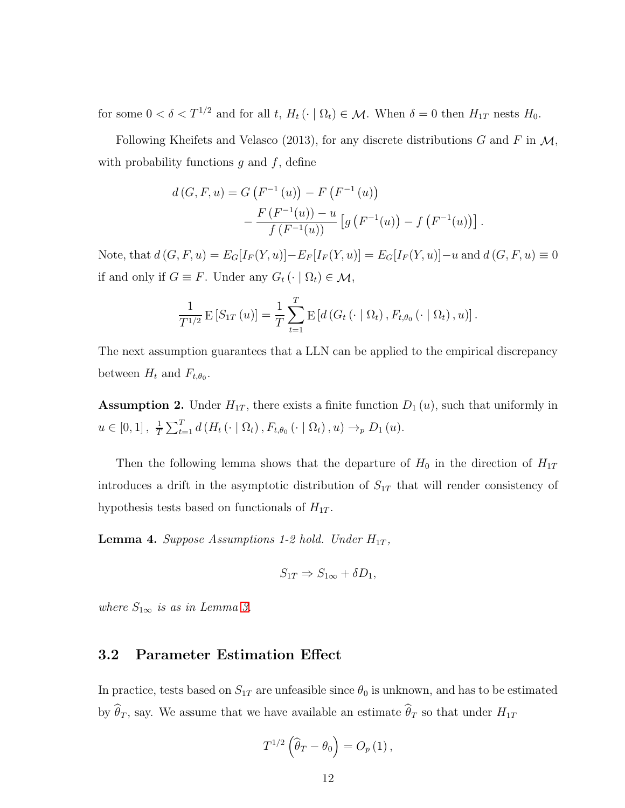for some  $0 < \delta < T^{1/2}$  and for all t,  $H_t(\cdot | \Omega_t) \in \mathcal{M}$ . When  $\delta = 0$  then  $H_{1T}$  nests  $H_0$ .

Following Kheifets and Velasco (2013), for any discrete distributions G and F in  $\mathcal{M}$ , with probability functions  $g$  and  $f$ , define

$$
d(G, F, u) = G(F^{-1}(u)) - F(F^{-1}(u))
$$
  
- 
$$
\frac{F(F^{-1}(u)) - u}{f(F^{-1}(u))} [g(F^{-1}(u)) - f(F^{-1}(u))].
$$

Note, that  $d(G, F, u) = E_G[I_F(Y, u)] - E_F[I_F(Y, u)] = E_G[I_F(Y, u)] - u$  and  $d(G, F, u) \equiv 0$ if and only if  $G \equiv F$ . Under any  $G_t(\cdot | \Omega_t) \in \mathcal{M}$ ,

$$
\frac{1}{T^{1/2}} \mathop{\mathrm{E}}\left[S_{1T}\left(u\right)\right] = \frac{1}{T} \sum_{t=1}^{T} \mathop{\mathrm{E}}\left[d\left(G_t\left(\cdot \mid \Omega_t\right), F_{t,\theta_0}\left(\cdot \mid \Omega_t\right), u\right)\right].
$$

The next assumption guarantees that a LLN can be applied to the empirical discrepancy between  $H_t$  and  $F_{t,\theta_0}$ .

**Assumption 2.** Under  $H_{1T}$ , there exists a finite function  $D_1(u)$ , such that uniformly in  $u \in [0,1], \frac{1}{T}$  $\frac{1}{T} \sum_{t=1}^{T} d(H_t(\cdot | \Omega_t), F_{t,\theta_0}(\cdot | \Omega_t), u) \rightarrow_{p} D_1(u).$ 

Then the following lemma shows that the departure of  $H_0$  in the direction of  $H_{1T}$ introduces a drift in the asymptotic distribution of  $S_{1T}$  that will render consistency of hypothesis tests based on functionals of  $H_{1T}$ .

<span id="page-11-0"></span>**Lemma 4.** Suppose Assumptions 1-2 hold. Under  $H_{1T}$ ,

$$
S_{1T} \Rightarrow S_{1\infty} + \delta D_1,
$$

where  $S_{1\infty}$  is as in Lemma [3.](#page-10-0)

#### 3.2 Parameter Estimation Effect

In practice, tests based on  $S_{1T}$  are unfeasible since  $\theta_0$  is unknown, and has to be estimated by  $\widehat{\theta}_T$ , say. We assume that we have available an estimate  $\widehat{\theta}_T$  so that under  $H_{1T}$ 

$$
T^{1/2}(\widehat{\theta}_T - \theta_0) = O_p(1),
$$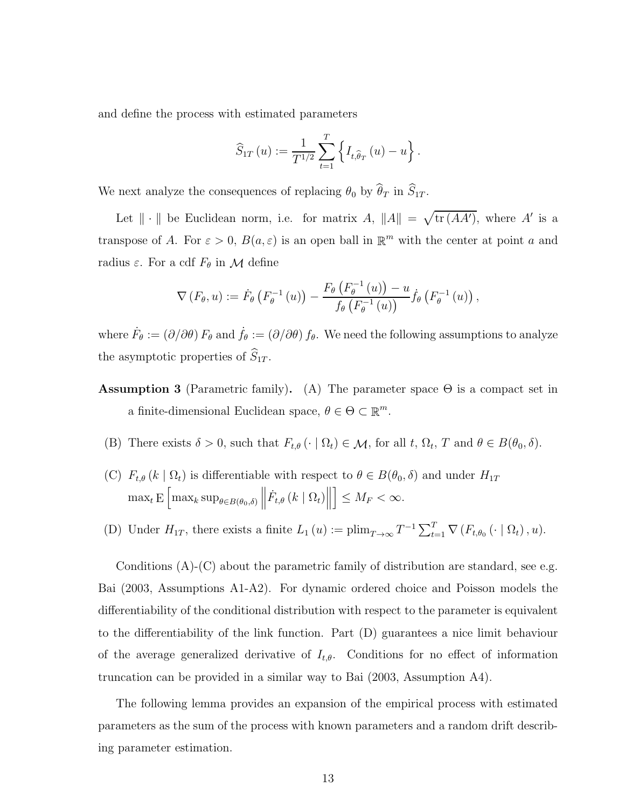and define the process with estimated parameters

$$
\widehat{S}_{1T}(u) := \frac{1}{T^{1/2}} \sum_{t=1}^{T} \left\{ I_{t, \widehat{\theta}_T}(u) - u \right\}.
$$

We next analyze the consequences of replacing  $\theta_0$  by  $\widehat{\theta}_T$  in  $\widehat{S}_{1T}$ .

Let  $\|\cdot\|$  be Euclidean norm, i.e. for matrix A,  $\|A\| = \sqrt{\text{tr}(AA')}$ , where A' is a transpose of A. For  $\varepsilon > 0$ ,  $B(a, \varepsilon)$  is an open ball in  $\mathbb{R}^m$  with the center at point a and radius  $\varepsilon$ . For a cdf  $F_{\theta}$  in  $\mathcal M$  define

$$
\nabla \left( F_{\theta}, u \right) := \dot{F}_{\theta} \left( F_{\theta}^{-1} \left( u \right) \right) - \frac{F_{\theta} \left( F_{\theta}^{-1} \left( u \right) \right) - u}{f_{\theta} \left( F_{\theta}^{-1} \left( u \right) \right)} \dot{f}_{\theta} \left( F_{\theta}^{-1} \left( u \right) \right),
$$

where  $\dot{F}_{\theta} := (\partial/\partial \theta) F_{\theta}$  and  $\dot{f}_{\theta} := (\partial/\partial \theta) f_{\theta}$ . We need the following assumptions to analyze the asymptotic properties of  $S_{1T}$ .

- Assumption 3 (Parametric family). (A) The parameter space  $\Theta$  is a compact set in a finite-dimensional Euclidean space,  $\theta \in \Theta \subset \mathbb{R}^m$ .
	- (B) There exists  $\delta > 0$ , such that  $F_{t,\theta}(\cdot | \Omega_t) \in \mathcal{M}$ , for all  $t, \Omega_t, T$  and  $\theta \in B(\theta_0, \delta)$ .
- (C)  $F_{t,\theta}(k \mid \Omega_t)$  is differentiable with respect to  $\theta \in B(\theta_0, \delta)$  and under  $H_{1T}$  $\max_{t} \mathbf{E} \left[ \max_{k} \sup_{\theta \in B(\theta_0, \delta)} \left\| \dot{F}_{t,\theta} \left( k \mid \Omega_t \right) \right\| \right]$  $\Big] \leq M_F < \infty.$
- (D) Under  $H_{1T}$ , there exists a finite  $L_1(u) := \text{plim}_{T \to \infty} T^{-1} \sum_{t=1}^T \nabla (F_{t,\theta_0}(\cdot | \Omega_t), u)$ .

Conditions (A)-(C) about the parametric family of distribution are standard, see e.g. Bai (2003, Assumptions A1-A2). For dynamic ordered choice and Poisson models the differentiability of the conditional distribution with respect to the parameter is equivalent to the differentiability of the link function. Part (D) guarantees a nice limit behaviour of the average generalized derivative of  $I_{t,\theta}$ . Conditions for no effect of information truncation can be provided in a similar way to Bai (2003, Assumption A4).

The following lemma provides an expansion of the empirical process with estimated parameters as the sum of the process with known parameters and a random drift describing parameter estimation.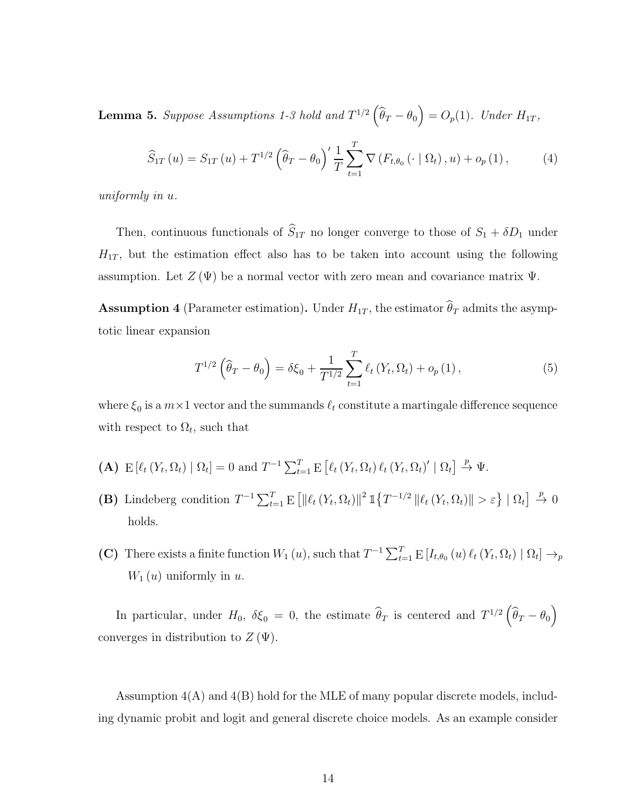<span id="page-13-1"></span>**Lemma 5.** Suppose Assumptions 1-3 hold and  $T^{1/2}(\widehat{\theta}_T - \theta_0) = O_p(1)$ . Under  $H_{1T}$ ,

<span id="page-13-2"></span>
$$
\widehat{S}_{1T}(u) = S_{1T}(u) + T^{1/2} \left( \widehat{\theta}_T - \theta_0 \right)' \frac{1}{T} \sum_{t=1}^T \nabla \left( F_{t,\theta_0} \left( \cdot \mid \Omega_t \right), u \right) + o_p(1), \tag{4}
$$

uniformly in u.

Then, continuous functionals of  $\widehat{S}_{1T}$  no longer converge to those of  $S_1 + \delta D_1$  under  $H_{1T}$ , but the estimation effect also has to be taken into account using the following assumption. Let  $Z(\Psi)$  be a normal vector with zero mean and covariance matrix  $\Psi$ .

**Assumption 4** (Parameter estimation). Under  $H_{1T}$ , the estimator  $\widehat{\theta}_T$  admits the asymptotic linear expansion

<span id="page-13-0"></span>
$$
T^{1/2}(\hat{\theta}_T - \theta_0) = \delta \xi_0 + \frac{1}{T^{1/2}} \sum_{t=1}^T \ell_t (Y_t, \Omega_t) + o_p(1), \qquad (5)
$$

where  $\xi_0$  is a  $m \times 1$  vector and the summands  $\ell_t$  constitute a martingale difference sequence with respect to  $\Omega_t$ , such that

- (A)  $E[\ell_t(Y_t, \Omega_t) | \Omega_t] = 0$  and  $T^{-1} \sum_{t=1}^T E[\ell_t(Y_t, \Omega_t) \ell_t(Y_t, \Omega_t)' | \Omega_t] \stackrel{p}{\rightarrow} \Psi$ .
- (B) Lindeberg condition  $T^{-1} \sum_{t=1}^T E \left[ ||\ell_t(Y_t, \Omega_t)||^2 \mathbb{1}\left\{T^{-1/2} ||\ell_t(Y_t, \Omega_t)|| > \varepsilon \right\} || \Omega_t \right] \stackrel{p}{\to} 0$ holds.
- (C) There exists a finite function  $W_1(u)$ , such that  $T^{-1}\sum_{t=1}^T E[I_{t,\theta_0}(u)\ell_t(Y_t,\Omega_t) | \Omega_t] \to_p$  $W_1(u)$  uniformly in u.

In particular, under  $H_0$ ,  $\delta \xi_0 = 0$ , the estimate  $\hat{\theta}_T$  is centered and  $T^{1/2}(\hat{\theta}_T - \theta_0)$ converges in distribution to  $Z(\Psi)$ .

Assumption  $4(A)$  and  $4(B)$  hold for the MLE of many popular discrete models, including dynamic probit and logit and general discrete choice models. As an example consider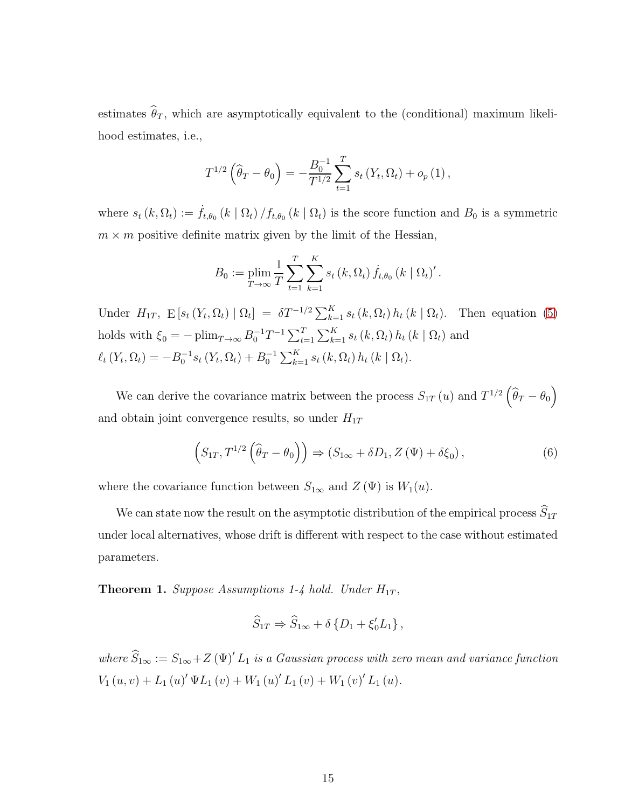estimates  $\widehat{\theta}_T$ , which are asymptotically equivalent to the (conditional) maximum likelihood estimates, i.e.,

$$
T^{1/2} \left( \widehat{\theta}_T - \theta_0 \right) = -\frac{B_0^{-1}}{T^{1/2}} \sum_{t=1}^T s_t \left( Y_t, \Omega_t \right) + o_p \left( 1 \right),
$$

where  $s_t(k, \Omega_t) := \dot{f}_{t,\theta_0}(k \mid \Omega_t) / f_{t,\theta_0}(k \mid \Omega_t)$  is the score function and  $B_0$  is a symmetric  $m \times m$  positive definite matrix given by the limit of the Hessian,

$$
B_0 := \plim_{T \to \infty} \frac{1}{T} \sum_{t=1}^{T} \sum_{k=1}^{K} s_t(k, \Omega_t) \dot{f}_{t, \theta_0}(k | \Omega_t)'.
$$

Under  $H_{1T}$ ,  $E[s_t(Y_t, \Omega_t) | \Omega_t] = \delta T^{-1/2} \sum_{k=1}^K s_t(k, \Omega_t) h_t(k | \Omega_t)$ . Then equation [\(5\)](#page-13-0) holds with  $\xi_0 = -\plim_{T\to\infty} B_0^{-1}T^{-1} \sum_{t=1}^T \sum_{k=1}^K s_t(k, \Omega_t) h_t(k | \Omega_t)$  and  $\ell_t(Y_t, \Omega_t) = -B_0^{-1} s_t(Y_t, \Omega_t) + B_0^{-1} \sum_{k=1}^K s_t(k, \Omega_t) h_t(k | \Omega_t).$ 

We can derive the covariance matrix between the process  $S_{1T}(u)$  and  $T^{1/2}(\widehat{\theta}_T-\theta_0)$ and obtain joint convergence results, so under  $H_{1T}$ 

<span id="page-14-1"></span>
$$
(S_{1T}, T^{1/2}(\widehat{\theta}_T - \theta_0)) \Rightarrow (S_{1\infty} + \delta D_1, Z(\Psi) + \delta \xi_0), \qquad (6)
$$

where the covariance function between  $S_{1\infty}$  and  $Z(\Psi)$  is  $W_1(u)$ .

We can state now the result on the asymptotic distribution of the empirical process  $\widehat{S}_{1T}$ under local alternatives, whose drift is different with respect to the case without estimated parameters.

<span id="page-14-0"></span>**Theorem 1.** Suppose Assumptions 1-4 hold. Under  $H_{1T}$ ,

$$
\widehat{S}_{1T} \Rightarrow \widehat{S}_{1\infty} + \delta \left\{ D_1 + \xi'_0 L_1 \right\},\,
$$

where  $\widehat{S}_{1\infty} := S_{1\infty} + Z(\Psi)' L_1$  is a Gaussian process with zero mean and variance function  $V_1(u, v) + L_1(u)' \Psi L_1(v) + W_1(u)' L_1(v) + W_1(v)' L_1(u).$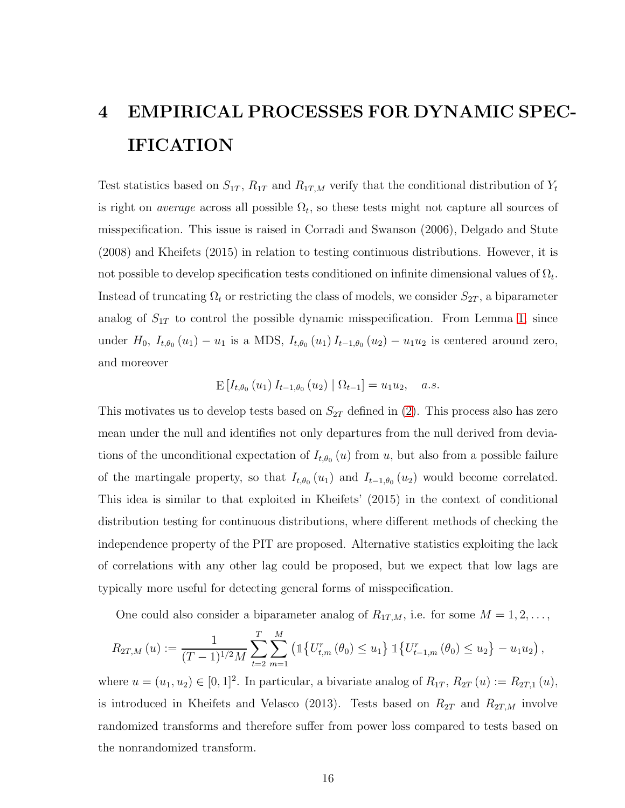# 4 EMPIRICAL PROCESSES FOR DYNAMIC SPEC-**IFICATION**

Test statistics based on  $S_{1T}$ ,  $R_{1T}$  and  $R_{1T,M}$  verify that the conditional distribution of  $Y_t$ is right on *average* across all possible  $\Omega_t$ , so these tests might not capture all sources of misspecification. This issue is raised in Corradi and Swanson (2006), Delgado and Stute (2008) and Kheifets (2015) in relation to testing continuous distributions. However, it is not possible to develop specification tests conditioned on infinite dimensional values of  $\Omega_t$ . Instead of truncating  $\Omega_t$  or restricting the class of models, we consider  $S_{2T}$ , a biparameter analog of  $S_{1T}$  to control the possible dynamic misspecification. From Lemma [1,](#page-8-0) since under  $H_0$ ,  $I_{t,\theta_0}(u_1) - u_1$  is a MDS,  $I_{t,\theta_0}(u_1) I_{t-1,\theta_0}(u_2) - u_1 u_2$  is centered around zero, and moreover

$$
\mathbb{E}\left[I_{t,\theta_0}\left(u_1\right)I_{t-1,\theta_0}\left(u_2\right)\mid \Omega_{t-1}\right] = u_1u_2, \quad a.s.
$$

This motivates us to develop tests based on  $S_{2T}$  defined in [\(2\)](#page-5-0). This process also has zero mean under the null and identifies not only departures from the null derived from deviations of the unconditional expectation of  $I_{t,\theta_0}(u)$  from u, but also from a possible failure of the martingale property, so that  $I_{t,\theta_0}(u_1)$  and  $I_{t-1,\theta_0}(u_2)$  would become correlated. This idea is similar to that exploited in Kheifets' (2015) in the context of conditional distribution testing for continuous distributions, where different methods of checking the independence property of the PIT are proposed. Alternative statistics exploiting the lack of correlations with any other lag could be proposed, but we expect that low lags are typically more useful for detecting general forms of misspecification.

One could also consider a biparameter analog of  $R_{1T,M}$ , i.e. for some  $M = 1, 2, \ldots$ ,

$$
R_{2T,M}(u) := \frac{1}{(T-1)^{1/2}M} \sum_{t=2}^{T} \sum_{m=1}^{M} \left( \mathbb{1} \left\{ U_{t,m}^{r}(\theta_0) \leq u_1 \right\} \mathbb{1} \left\{ U_{t-1,m}^{r}(\theta_0) \leq u_2 \right\} - u_1 u_2 \right),
$$

where  $u = (u_1, u_2) \in [0, 1]^2$ . In particular, a bivariate analog of  $R_{1T}$ ,  $R_{2T}(u) := R_{2T,1}(u)$ , is introduced in Kheifets and Velasco (2013). Tests based on  $R_{2T}$  and  $R_{2T,M}$  involve randomized transforms and therefore suffer from power loss compared to tests based on the nonrandomized transform.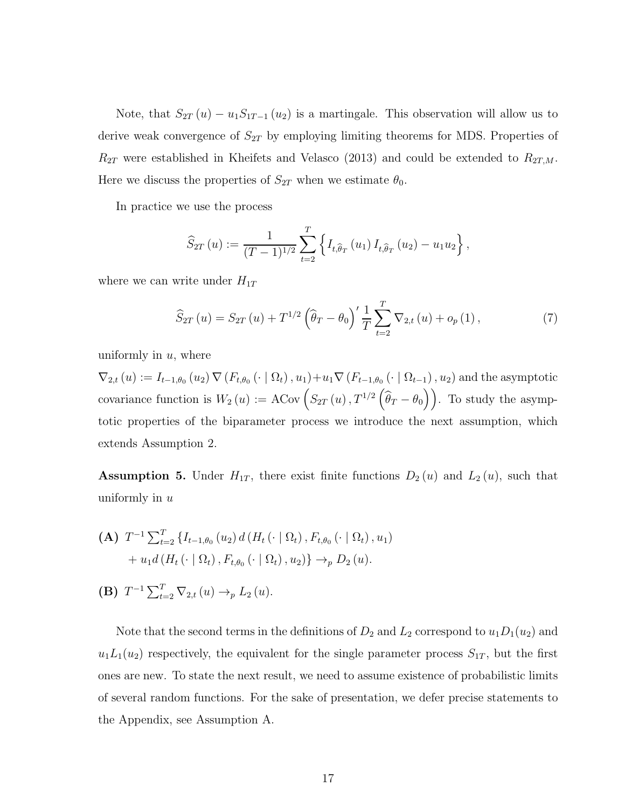Note, that  $S_{2T}(u) - u_1 S_{1T-1}(u_2)$  is a martingale. This observation will allow us to derive weak convergence of  $S_{2T}$  by employing limiting theorems for MDS. Properties of  $R_{2T}$  were established in Kheifets and Velasco (2013) and could be extended to  $R_{2T,M}$ . Here we discuss the properties of  $S_{2T}$  when we estimate  $\theta_0$ .

In practice we use the process

$$
\widehat{S}_{2T}(u) := \frac{1}{(T-1)^{1/2}} \sum_{t=2}^{T} \left\{ I_{t,\widehat{\theta}_{T}}(u_1) I_{t,\widehat{\theta}_{T}}(u_2) - u_1 u_2 \right\},\,
$$

where we can write under  $H_{1T}$ 

<span id="page-16-0"></span>
$$
\widehat{S}_{2T}(u) = S_{2T}(u) + T^{1/2} \left( \widehat{\theta}_T - \theta_0 \right)' \frac{1}{T} \sum_{t=2}^T \nabla_{2,t}(u) + o_p(1), \tag{7}
$$

uniformly in  $u$ , where

 $\nabla_{2,t}(u) := I_{t-1,\theta_0}(u_2) \nabla (F_{t,\theta_0}(\cdot | \Omega_t), u_1) + u_1 \nabla (F_{t-1,\theta_0}(\cdot | \Omega_{t-1}), u_2)$  and the asymptotic covariance function is  $W_2(u) := \text{ACov}\left( S_{2T}(u) , T^{1/2}(\widehat{\theta}_T - \theta_0) \right)$ . To study the asymptotic properties of the biparameter process we introduce the next assumption, which extends Assumption 2.

**Assumption 5.** Under  $H_{1T}$ , there exist finite functions  $D_2(u)$  and  $L_2(u)$ , such that uniformly in  $u$ 

(A) 
$$
T^{-1} \sum_{t=2}^{T} \{I_{t-1,\theta_0}(u_2) d(H_t(\cdot | \Omega_t), F_{t,\theta_0}(\cdot | \Omega_t), u_1) + u_1 d(H_t(\cdot | \Omega_t), F_{t,\theta_0}(\cdot | \Omega_t), u_2)\} \rightarrow_{p} D_2(u).
$$

(B) 
$$
T^{-1} \sum_{t=2}^{T} \nabla_{2,t}(u) \rightarrow_{p} L_{2}(u)
$$
.

Note that the second terms in the definitions of  $D_2$  and  $L_2$  correspond to  $u_1D_1(u_2)$  and  $u_1L_1(u_2)$  respectively, the equivalent for the single parameter process  $S_{1T}$ , but the first ones are new. To state the next result, we need to assume existence of probabilistic limits of several random functions. For the sake of presentation, we defer precise statements to the Appendix, see Assumption A.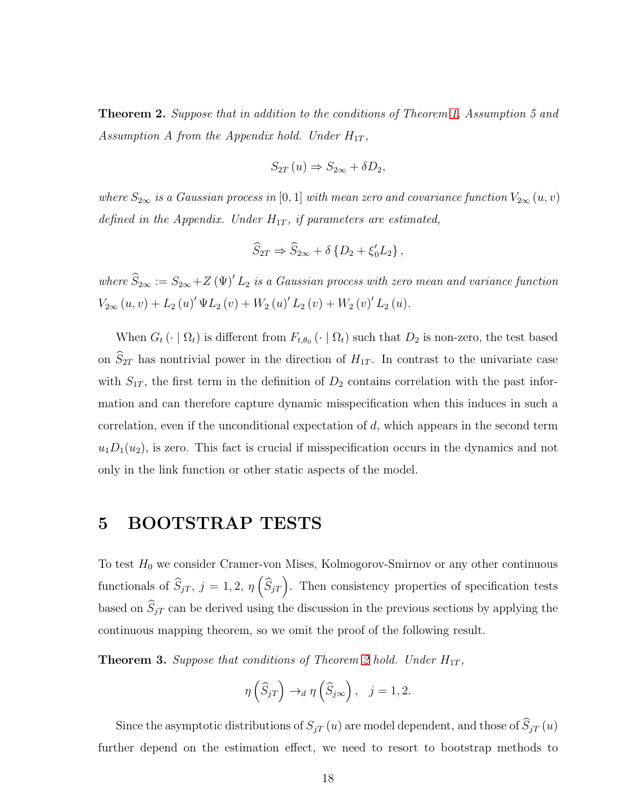<span id="page-17-0"></span>Theorem 2. Suppose that in addition to the conditions of Theorem [1,](#page-14-0) Assumption 5 and Assumption A from the Appendix hold. Under  $H_{1T}$ ,

$$
S_{2T}(u) \Rightarrow S_{2\infty} + \delta D_2,
$$

where  $S_{2\infty}$  is a Gaussian process in [0, 1] with mean zero and covariance function  $V_{2\infty}(u, v)$ defined in the Appendix. Under  $H_{1T}$ , if parameters are estimated,

$$
\widehat{S}_{2T} \Rightarrow \widehat{S}_{2\infty} + \delta \left\{ D_2 + \xi'_0 L_2 \right\},\,
$$

where  $\widehat{S}_{2\infty} := S_{2\infty} + Z(\Psi)' L_2$  is a Gaussian process with zero mean and variance function  $V_{2\infty}(u,v) + L_2(u)' \Psi L_2(v) + W_2(u)' L_2(v) + W_2(v)' L_2(u).$ 

When  $G_t(\cdot | \Omega_t)$  is different from  $F_{t,\theta_0}(\cdot | \Omega_t)$  such that  $D_2$  is non-zero, the test based on  $\hat{S}_{2T}$  has nontrivial power in the direction of  $H_{1T}$ . In contrast to the univariate case with  $S_{1T}$ , the first term in the definition of  $D_2$  contains correlation with the past information and can therefore capture dynamic misspecification when this induces in such a correlation, even if the unconditional expectation of d, which appears in the second term  $u_1D_1(u_2)$ , is zero. This fact is crucial if misspecification occurs in the dynamics and not only in the link function or other static aspects of the model.

## 5 BOOTSTRAP TESTS

To test  $H_0$  we consider Cramer-von Mises, Kolmogorov-Smirnov or any other continuous functionals of  $\widehat{S}_{jT}$ ,  $j = 1, 2, \eta \left( \widehat{S}_{jT} \right)$ . Then consistency properties of specification tests based on  $S_{jT}$  can be derived using the discussion in the previous sections by applying the continuous mapping theorem, so we omit the proof of the following result.

**Theorem 3.** Suppose that conditions of Theorem [2](#page-17-0) hold. Under  $H_{1T}$ ,

$$
\eta\left(\widehat{S}_{jT}\right) \to_d \eta\left(\widehat{S}_{j\infty}\right), \quad j=1,2.
$$

Since the asymptotic distributions of  $S_{jT}(u)$  are model dependent, and those of  $\widehat{S}_{jT}(u)$ further depend on the estimation effect, we need to resort to bootstrap methods to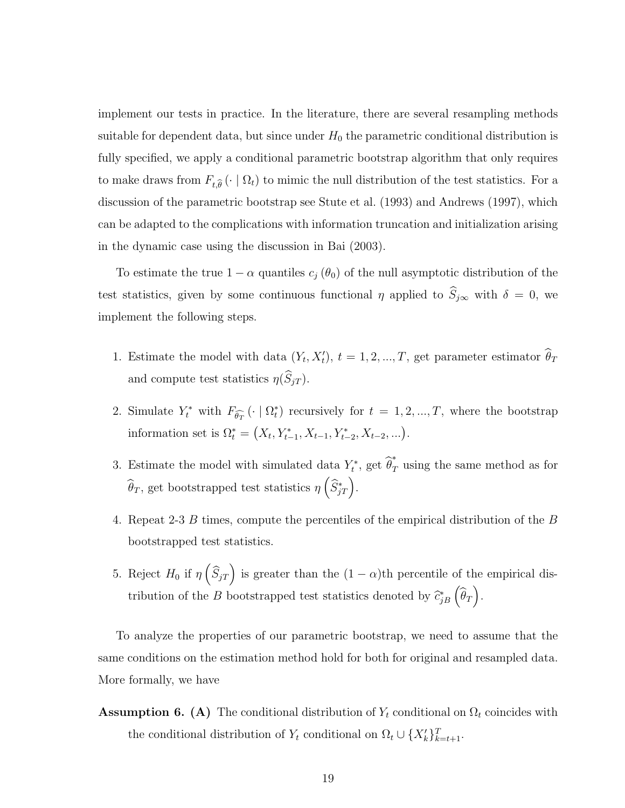implement our tests in practice. In the literature, there are several resampling methods suitable for dependent data, but since under  $H_0$  the parametric conditional distribution is fully specified, we apply a conditional parametric bootstrap algorithm that only requires to make draws from  $F_{t,\widehat{\theta}}(\cdot | \Omega_t)$  to mimic the null distribution of the test statistics. For a discussion of the parametric bootstrap see Stute et al. (1993) and Andrews (1997), which can be adapted to the complications with information truncation and initialization arising in the dynamic case using the discussion in Bai (2003).

To estimate the true  $1 - \alpha$  quantiles  $c_i (\theta_0)$  of the null asymptotic distribution of the test statistics, given by some continuous functional  $\eta$  applied to  $\hat{S}_{j\infty}$  with  $\delta = 0$ , we implement the following steps.

- 1. Estimate the model with data  $(Y_t, X'_t)$ ,  $t = 1, 2, ..., T$ , get parameter estimator  $\hat{\theta}_T$ and compute test statistics  $\eta(\widehat{S}_{jT})$ .
- 2. Simulate  $Y_t^*$  with  $F_{\widehat{\theta}_T}(\cdot \mid \Omega_t^*)$  recursively for  $t = 1, 2, ..., T$ , where the bootstrap information set is  $\Omega_t^* = (X_t, Y_{t-1}^*, X_{t-1}, Y_{t-2}^*, X_{t-2}, \ldots).$
- 3. Estimate the model with simulated data  $Y_t^*$ , get  $\widehat{\theta}_T^*$  using the same method as for  $\widehat{\theta}_T$ , get bootstrapped test statistics  $\eta\left(\widehat{S}^*_{jT}\right)$ .
- 4. Repeat 2-3 B times, compute the percentiles of the empirical distribution of the B bootstrapped test statistics.
- 5. Reject  $H_0$  if  $\eta\left(\widehat{S}_{jT}\right)$  is greater than the  $(1-\alpha)$ th percentile of the empirical distribution of the B bootstrapped test statistics denoted by  $\widehat{c}_{jB}^* \left( \widehat{\theta}_T \right)$ .

To analyze the properties of our parametric bootstrap, we need to assume that the same conditions on the estimation method hold for both for original and resampled data. More formally, we have

**Assumption 6. (A)** The conditional distribution of  $Y_t$  conditional on  $\Omega_t$  coincides with the conditional distribution of  $Y_t$  conditional on  $\Omega_t \cup \{X_k'\}_{k=t+1}^T$ .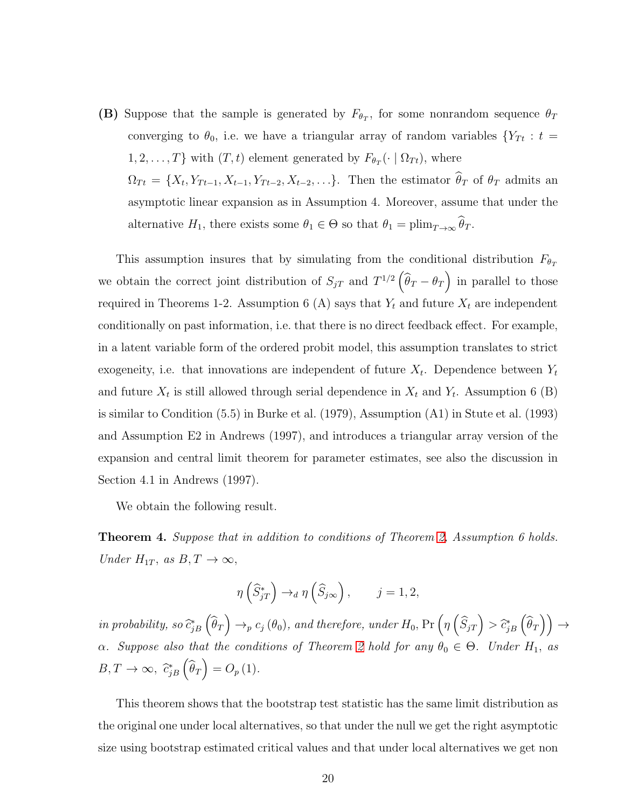(B) Suppose that the sample is generated by  $F_{\theta_T}$ , for some nonrandom sequence  $\theta_T$ converging to  $\theta_0$ , i.e. we have a triangular array of random variables  $\{Y_{Tt}: t =$  $1, 2, \ldots, T\}$  with  $(T, t)$  element generated by  $F_{\theta_T}(\cdot \mid \Omega_{T_t})$ , where  $\Omega_{Tt} = \{X_t, Y_{Tt-1}, X_{t-1}, Y_{Tt-2}, X_{t-2}, \ldots\}$ . Then the estimator  $\theta_T$  of  $\theta_T$  admits an asymptotic linear expansion as in Assumption 4. Moreover, assume that under the alternative  $H_1$ , there exists some  $\theta_1 \in \Theta$  so that  $\theta_1 = \text{plim}_{T \to \infty} \theta_T$ .

This assumption insures that by simulating from the conditional distribution  $F_{\theta_T}$ we obtain the correct joint distribution of  $S_{jT}$  and  $T^{1/2}(\widehat{\theta}_T - \theta_T)$  in parallel to those required in Theorems 1-2. Assumption 6 (A) says that  $Y_t$  and future  $X_t$  are independent conditionally on past information, i.e. that there is no direct feedback effect. For example, in a latent variable form of the ordered probit model, this assumption translates to strict exogeneity, i.e. that innovations are independent of future  $X_t$ . Dependence between  $Y_t$ and future  $X_t$  is still allowed through serial dependence in  $X_t$  and  $Y_t$ . Assumption 6 (B) is similar to Condition (5.5) in Burke et al. (1979), Assumption (A1) in Stute et al. (1993) and Assumption E2 in Andrews (1997), and introduces a triangular array version of the expansion and central limit theorem for parameter estimates, see also the discussion in Section 4.1 in Andrews (1997).

We obtain the following result.

<span id="page-19-0"></span>**Theorem 4.** Suppose that in addition to conditions of Theorem [2,](#page-17-0) Assumption 6 holds. Under  $H_{1T}$ , as  $B, T \rightarrow \infty$ ,

$$
\eta\left(\widehat{S}_{jT}^*\right) \to_d \eta\left(\widehat{S}_{j\infty}\right), \qquad j = 1, 2,
$$

in probability, so  $\widehat{c}_{jB}^*\left(\widehat{\theta}_T\right) \to_p c_j(\theta_0)$ , and therefore, under  $H_0$ ,  $\Pr\left(\eta\left(\widehat{S}_{jT}\right) > \widehat{c}_{jB}^*\left(\widehat{\theta}_T\right)\right) \to$ α. Suppose also that the conditions of Theorem [2](#page-17-0) hold for any  $\theta_0 \in \Theta$ . Under  $H_1$ , as  $B, T \to \infty$ ,  $\hat{c}_{jB}^* \left( \hat{\theta}_T \right) = O_p(1)$ .

This theorem shows that the bootstrap test statistic has the same limit distribution as the original one under local alternatives, so that under the null we get the right asymptotic size using bootstrap estimated critical values and that under local alternatives we get non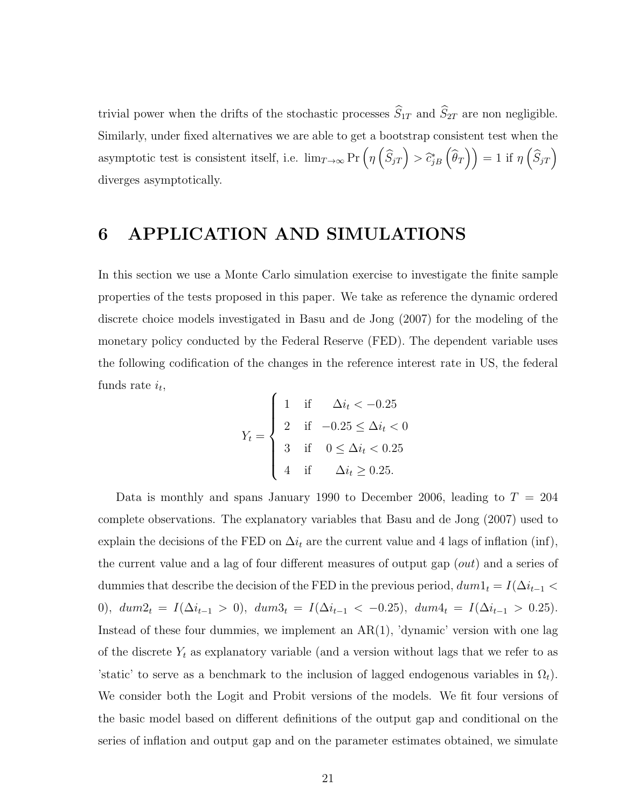trivial power when the drifts of the stochastic processes  $\widehat{S}_{1T}$  and  $\widehat{S}_{2T}$  are non negligible. Similarly, under fixed alternatives we are able to get a bootstrap consistent test when the asymptotic test is consistent itself, i.e.  $\lim_{T\to\infty} \Pr\left(\eta\left(\widehat{S}_{jT}\right) > \widehat{c}_{jB}^*\left(\widehat{\theta}_T\right)\right) = 1$  if  $\eta\left(\widehat{S}_{jT}\right)$ diverges asymptotically.

### 6 APPLICATION AND SIMULATIONS

In this section we use a Monte Carlo simulation exercise to investigate the finite sample properties of the tests proposed in this paper. We take as reference the dynamic ordered discrete choice models investigated in Basu and de Jong (2007) for the modeling of the monetary policy conducted by the Federal Reserve (FED). The dependent variable uses the following codification of the changes in the reference interest rate in US, the federal funds rate  $i_t$ ,

$$
Y_{t} = \begin{cases} 1 & \text{if } \Delta i_{t} < -0.25 \\ 2 & \text{if } -0.25 \leq \Delta i_{t} < 0 \\ 3 & \text{if } 0 \leq \Delta i_{t} < 0.25 \\ 4 & \text{if } \Delta i_{t} \geq 0.25. \end{cases}
$$

Data is monthly and spans January 1990 to December 2006, leading to  $T = 204$ complete observations. The explanatory variables that Basu and de Jong (2007) used to explain the decisions of the FED on  $\Delta i_t$  are the current value and 4 lags of inflation (inf), the current value and a lag of four different measures of output gap (out) and a series of dummies that describe the decision of the FED in the previous period,  $dum1_t = I(\Delta i_{t-1} <$ 0),  $dum2_t = I(\Delta i_{t-1} > 0)$ ,  $dum3_t = I(\Delta i_{t-1} < -0.25)$ ,  $dum4_t = I(\Delta i_{t-1} > 0.25)$ . Instead of these four dummies, we implement an  $AR(1)$ , 'dynamic' version with one lag of the discrete  $Y_t$  as explanatory variable (and a version without lags that we refer to as 'static' to serve as a benchmark to the inclusion of lagged endogenous variables in  $\Omega_t$ ). We consider both the Logit and Probit versions of the models. We fit four versions of the basic model based on different definitions of the output gap and conditional on the series of inflation and output gap and on the parameter estimates obtained, we simulate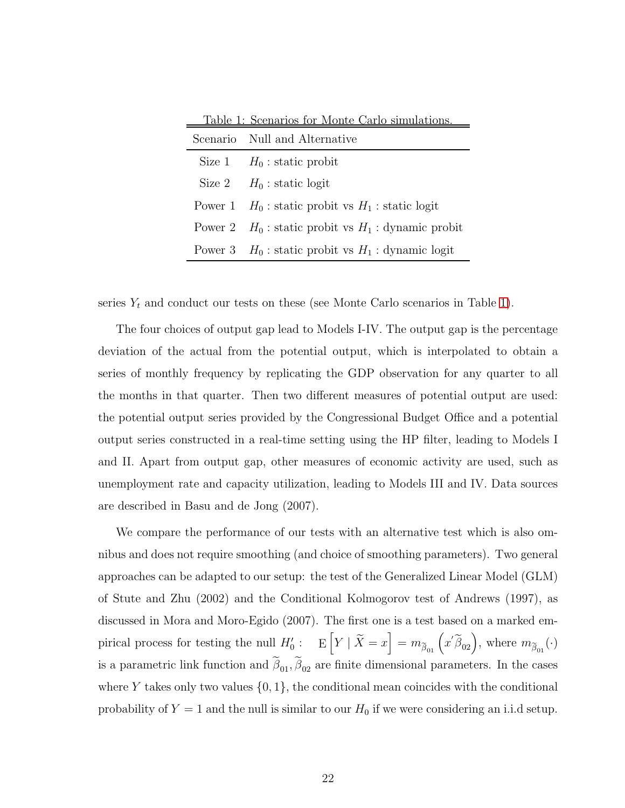| Scenario Null and Alternative                           |
|---------------------------------------------------------|
| Size 1 $H_0$ : static probit                            |
| Size 2 $H_0$ : static logit                             |
| Power 1 $H_0$ : static probit vs $H_1$ : static logit   |
| Power 2 $H_0$ : static probit vs $H_1$ : dynamic probit |
| Power 3 $H_0$ : static probit vs $H_1$ : dynamic logit  |

<span id="page-21-0"></span>Table 1: Scenarios for Monte Carlo simulations.

series  $Y_t$  and conduct our tests on these (see Monte Carlo scenarios in Table [1\)](#page-21-0).

The four choices of output gap lead to Models I-IV. The output gap is the percentage deviation of the actual from the potential output, which is interpolated to obtain a series of monthly frequency by replicating the GDP observation for any quarter to all the months in that quarter. Then two different measures of potential output are used: the potential output series provided by the Congressional Budget Office and a potential output series constructed in a real-time setting using the HP filter, leading to Models I and II. Apart from output gap, other measures of economic activity are used, such as unemployment rate and capacity utilization, leading to Models III and IV. Data sources are described in Basu and de Jong (2007).

We compare the performance of our tests with an alternative test which is also omnibus and does not require smoothing (and choice of smoothing parameters). Two general approaches can be adapted to our setup: the test of the Generalized Linear Model (GLM) of Stute and Zhu (2002) and the Conditional Kolmogorov test of Andrews (1997), as discussed in Mora and Moro-Egido (2007). The first one is a test based on a marked empirical process for testing the null  $H'_0: E[Y | \tilde{X} = x] = m_{\tilde{\beta}_{01}}(x'\tilde{\beta}_{02}),$  where  $m_{\tilde{\beta}_{01}}(\cdot)$ is a parametric link function and  $\beta_{01}, \beta_{02}$  are finite dimensional parameters. In the cases where Y takes only two values  $\{0,1\}$ , the conditional mean coincides with the conditional probability of  $Y = 1$  and the null is similar to our  $H_0$  if we were considering an i.i.d setup.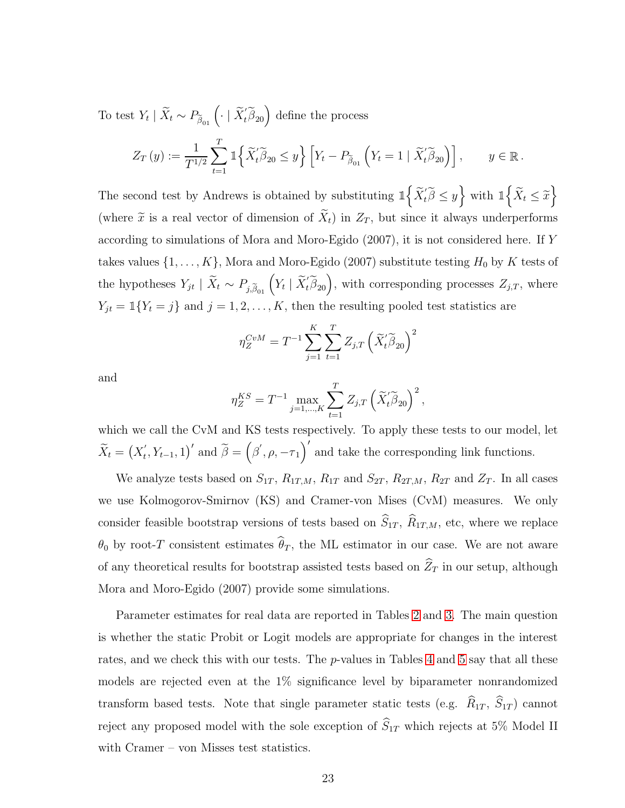To test  $Y_t | \tilde{X}_t \sim P_{\tilde{\beta}_{01}} \left( \cdot | \tilde{X}_t' \tilde{\beta}_{20} \right)$  define the process

$$
Z_T\left(y\right) := \frac{1}{T^{1/2}} \sum_{t=1}^T \mathbbm{1}\Big\{\widetilde{X}_t'\widetilde{\beta}_{20} \le y\Big\} \left[Y_t - P_{\widetilde{\beta}_{01}}\left(Y_t = 1 \mid \widetilde{X}_t'\widetilde{\beta}_{20}\right)\right], \qquad y \in \mathbb{R}.
$$

The second test by Andrews is obtained by substituting  $\mathbb{1}\left\{ \widetilde{X}_{t}^{'}\widetilde{\beta}\leq y\right\}$  with  $\mathbb{1}\left\{ \widetilde{X}_{t}\leq\widetilde{x}\right\}$ (where  $\tilde{x}$  is a real vector of dimension of  $\tilde{X}_t$ ) in  $Z_T$ , but since it always underperforms according to simulations of Mora and Moro-Egido (2007), it is not considered here. If Y takes values  $\{1, \ldots, K\}$ , Mora and Moro-Egido (2007) substitute testing  $H_0$  by K tests of the hypotheses  $Y_{jt} \mid \tilde{X}_t \sim P_{j,\tilde{\beta}_{01}}\left(Y_t \mid \tilde{X}_t' \tilde{\beta}_{20}\right)$ , with corresponding processes  $Z_{j,T}$ , where  $Y_{jt} = \mathbb{1}\{Y_t = j\}$  and  $j = 1, 2, \ldots, K$ , then the resulting pooled test statistics are

$$
\eta_{Z}^{CvM} = T^{-1} \sum_{j=1}^{K} \sum_{t=1}^{T} Z_{j,T} \left( \widetilde{X}_{t}' \widetilde{\beta}_{20} \right)^{2}
$$

and

$$
\eta_Z^{KS} = T^{-1} \max_{j=1,\dots,K} \sum_{t=1}^T Z_{j,T} \left( \widetilde{X}'_t \widetilde{\beta}_{20} \right)^2,
$$

which we call the CvM and KS tests respectively. To apply these tests to our model, let  $\widetilde{X}_t = \left(X_t\right)$  $\left(f_{t}, Y_{t-1}, 1\right)'$  and  $\tilde{\beta} = \left(\beta', \rho, -\tau_{1}\right)'$  and take the corresponding link functions.

We analyze tests based on  $S_{1T}$ ,  $R_{1T,M}$ ,  $R_{1T}$  and  $S_{2T}$ ,  $R_{2T,M}$ ,  $R_{2T}$  and  $Z_T$ . In all cases we use Kolmogorov-Smirnov (KS) and Cramer-von Mises (CvM) measures. We only consider feasible bootstrap versions of tests based on  $\widehat{S}_{1T}$ ,  $\widehat{R}_{1T,M}$ , etc, where we replace  $\theta_0$  by root-T consistent estimates  $\widehat{\theta}_T$ , the ML estimator in our case. We are not aware of any theoretical results for bootstrap assisted tests based on  $\widehat Z_T$  in our setup, although Mora and Moro-Egido (2007) provide some simulations.

Parameter estimates for real data are reported in Tables [2](#page-23-0) and [3.](#page-24-0) The main question is whether the static Probit or Logit models are appropriate for changes in the interest rates, and we check this with our tests. The p-values in Tables [4](#page-25-0) and [5](#page-25-1) say that all these models are rejected even at the 1% significance level by biparameter nonrandomized transform based tests. Note that single parameter static tests (e.g.  $\widehat{R}_{1T}$ ,  $\widehat{S}_{1T}$ ) cannot reject any proposed model with the sole exception of  $\widehat S_{1T}$  which rejects at 5% Model II with Cramer – von Misses test statistics.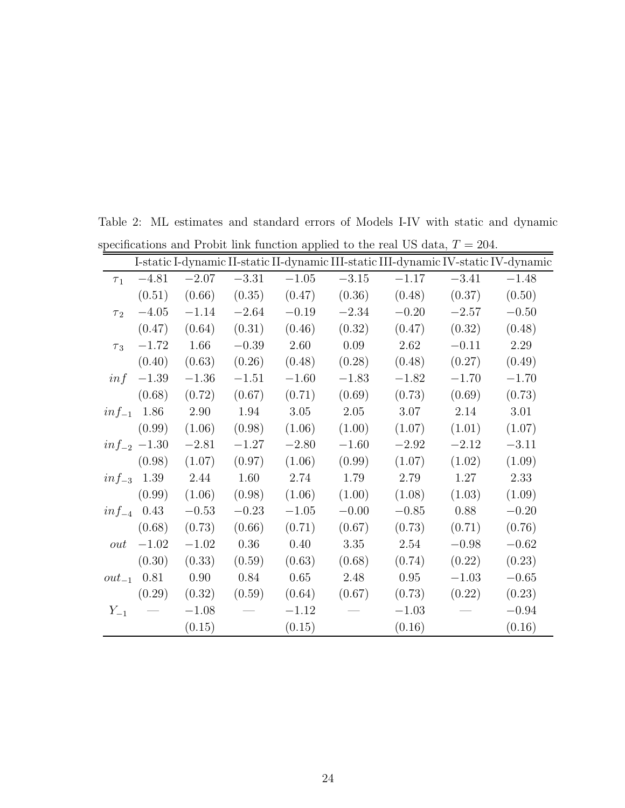|                     |                  |         |         |         |         |         |         | I-static I-dynamic II-static II-dynamic III-static III-dynamic IV-static IV-dynamic |
|---------------------|------------------|---------|---------|---------|---------|---------|---------|-------------------------------------------------------------------------------------|
| $\tau_1$            | $-4.81$          | $-2.07$ | $-3.31$ | $-1.05$ | $-3.15$ | $-1.17$ | $-3.41$ | $-1.48$                                                                             |
|                     | (0.51)           | (0.66)  | (0.35)  | (0.47)  | (0.36)  | (0.48)  | (0.37)  | (0.50)                                                                              |
| $\tau$ <sub>2</sub> | $-4.05$          | $-1.14$ | $-2.64$ | $-0.19$ | $-2.34$ | $-0.20$ | $-2.57$ | $-0.50$                                                                             |
|                     | (0.47)           | (0.64)  | (0.31)  | (0.46)  | (0.32)  | (0.47)  | (0.32)  | (0.48)                                                                              |
| $\tau_3$            | $-1.72$          | 1.66    | $-0.39$ | 2.60    | 0.09    | 2.62    | $-0.11$ | 2.29                                                                                |
|                     | (0.40)           | (0.63)  | (0.26)  | (0.48)  | (0.28)  | (0.48)  | (0.27)  | (0.49)                                                                              |
| inf                 | $-1.39$          | $-1.36$ | $-1.51$ | $-1.60$ | $-1.83$ | $-1.82$ | $-1.70$ | $-1.70$                                                                             |
|                     | (0.68)           | (0.72)  | (0.67)  | (0.71)  | (0.69)  | (0.73)  | (0.69)  | (0.73)                                                                              |
| $inf_{-1}$          | 1.86             | 2.90    | 1.94    | 3.05    | 2.05    | 3.07    | 2.14    | 3.01                                                                                |
|                     | (0.99)           | (1.06)  | (0.98)  | (1.06)  | (1.00)  | (1.07)  | (1.01)  | (1.07)                                                                              |
|                     | $inf_{-2}$ -1.30 | $-2.81$ | $-1.27$ | $-2.80$ | $-1.60$ | $-2.92$ | $-2.12$ | $-3.11$                                                                             |
|                     | (0.98)           | (1.07)  | (0.97)  | (1.06)  | (0.99)  | (1.07)  | (1.02)  | (1.09)                                                                              |
|                     | $inf_{-3}$ 1.39  | 2.44    | 1.60    | 2.74    | 1.79    | 2.79    | 1.27    | 2.33                                                                                |
|                     | (0.99)           | (1.06)  | (0.98)  | (1.06)  | (1.00)  | (1.08)  | (1.03)  | (1.09)                                                                              |
|                     | $inf_{-4}$ 0.43  | $-0.53$ | $-0.23$ | $-1.05$ | $-0.00$ | $-0.85$ | 0.88    | $-0.20$                                                                             |
|                     | (0.68)           | (0.73)  | (0.66)  | (0.71)  | (0.67)  | (0.73)  | (0.71)  | (0.76)                                                                              |
| out                 | $-1.02$          | $-1.02$ | 0.36    | 0.40    | 3.35    | 2.54    | $-0.98$ | $-0.62$                                                                             |
|                     | (0.30)           | (0.33)  | (0.59)  | (0.63)  | (0.68)  | (0.74)  | (0.22)  | (0.23)                                                                              |
| $out_{-1}$          | 0.81             | 0.90    | 0.84    | 0.65    | 2.48    | 0.95    | $-1.03$ | $-0.65$                                                                             |
|                     | (0.29)           | (0.32)  | (0.59)  | (0.64)  | (0.67)  | (0.73)  | (0.22)  | (0.23)                                                                              |
| $Y_{-1}$            |                  | $-1.08$ |         | $-1.12$ |         | $-1.03$ |         | $-0.94$                                                                             |
|                     |                  | (0.15)  |         | (0.15)  |         | (0.16)  |         | (0.16)                                                                              |

<span id="page-23-0"></span>Table 2: ML estimates and standard errors of Models I-IV with static and dynamic specifications and Probit link function applied to the real US data,  $T = 204$ .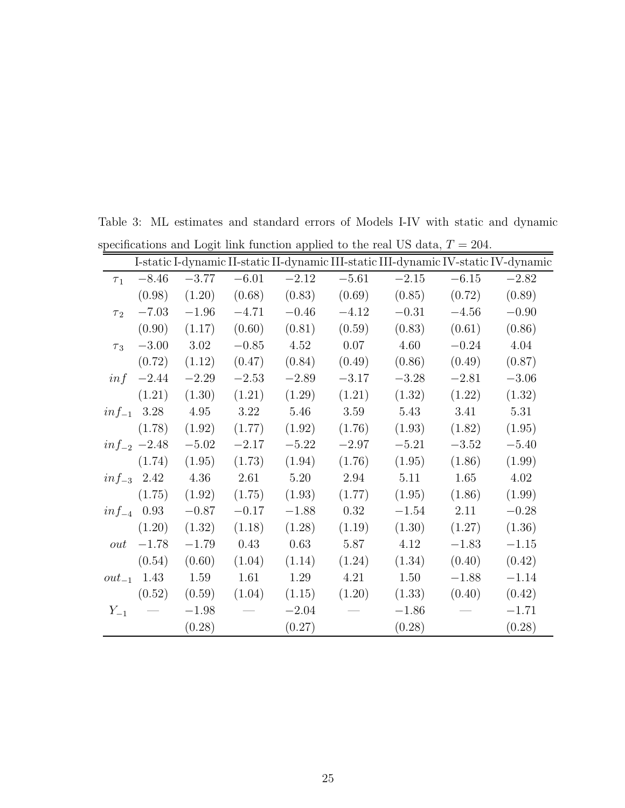<span id="page-24-0"></span>

|            |                  |           |          |         |         |         |         | I-static I-dynamic II-static II-dynamic III-static III-dynamic IV-static IV-dynamic |
|------------|------------------|-----------|----------|---------|---------|---------|---------|-------------------------------------------------------------------------------------|
| $\tau_1$   | $-8.46$          | $-3.77$   | $-6.01$  | $-2.12$ | $-5.61$ | $-2.15$ | $-6.15$ | $-2.82$                                                                             |
|            | (0.98)           | (1.20)    | (0.68)   | (0.83)  | (0.69)  | (0.85)  | (0.72)  | (0.89)                                                                              |
| $\tau_2$   | $-7.03$          | $-1.96\,$ | $-4.71$  | $-0.46$ | $-4.12$ | $-0.31$ | $-4.56$ | $-0.90$                                                                             |
|            | (0.90)           | (1.17)    | (0.60)   | (0.81)  | (0.59)  | (0.83)  | (0.61)  | (0.86)                                                                              |
| $\tau_3$   | $-3.00$          | 3.02      | $-0.85$  | 4.52    | 0.07    | 4.60    | $-0.24$ | 4.04                                                                                |
|            | (0.72)           | (1.12)    | (0.47)   | (0.84)  | (0.49)  | (0.86)  | (0.49)  | (0.87)                                                                              |
| inf        | $-2.44$          | $-2.29$   | $-2.53$  | $-2.89$ | $-3.17$ | $-3.28$ | $-2.81$ | $-3.06$                                                                             |
|            | (1.21)           | (1.30)    | (1.21)   | (1.29)  | (1.21)  | (1.32)  | (1.22)  | (1.32)                                                                              |
|            | $inf_{-1}$ 3.28  | $4.95\,$  | $3.22\,$ | 5.46    | 3.59    | 5.43    | 3.41    | 5.31                                                                                |
|            | (1.78)           | (1.92)    | (1.77)   | (1.92)  | (1.76)  | (1.93)  | (1.82)  | (1.95)                                                                              |
|            | $inf_{-2}$ -2.48 | $-5.02$   | $-2.17$  | $-5.22$ | $-2.97$ | $-5.21$ | $-3.52$ | $-5.40$                                                                             |
|            | (1.74)           | (1.95)    | (1.73)   | (1.94)  | (1.76)  | (1.95)  | (1.86)  | (1.99)                                                                              |
|            | $inf_{-3}$ 2.42  | 4.36      | 2.61     | 5.20    | 2.94    | 5.11    | 1.65    | 4.02                                                                                |
|            | (1.75)           | (1.92)    | (1.75)   | (1.93)  | (1.77)  | (1.95)  | (1.86)  | (1.99)                                                                              |
|            | $inf_{-4}$ 0.93  | $-0.87$   | $-0.17$  | $-1.88$ | 0.32    | $-1.54$ | 2.11    | $-0.28$                                                                             |
|            | (1.20)           | (1.32)    | (1.18)   | (1.28)  | (1.19)  | (1.30)  | (1.27)  | (1.36)                                                                              |
| out        | $-1.78$          | $-1.79$   | 0.43     | 0.63    | 5.87    | 4.12    | $-1.83$ | $-1.15$                                                                             |
|            | (0.54)           | (0.60)    | (1.04)   | (1.14)  | (1.24)  | (1.34)  | (0.40)  | (0.42)                                                                              |
| $out_{-1}$ | 1.43             | 1.59      | 1.61     | 1.29    | 4.21    | 1.50    | $-1.88$ | $-1.14$                                                                             |
|            | (0.52)           | (0.59)    | (1.04)   | (1.15)  | (1.20)  | (1.33)  | (0.40)  | (0.42)                                                                              |
| $Y_{-1}$   |                  | $-1.98$   |          | $-2.04$ |         | $-1.86$ |         | $-1.71$                                                                             |
|            |                  | (0.28)    |          | (0.27)  |         | (0.28)  |         | (0.28)                                                                              |

Table 3: ML estimates and standard errors of Models I-IV with static and dynamic specifications and Logit link function applied to the real US data,  $T = 204$ .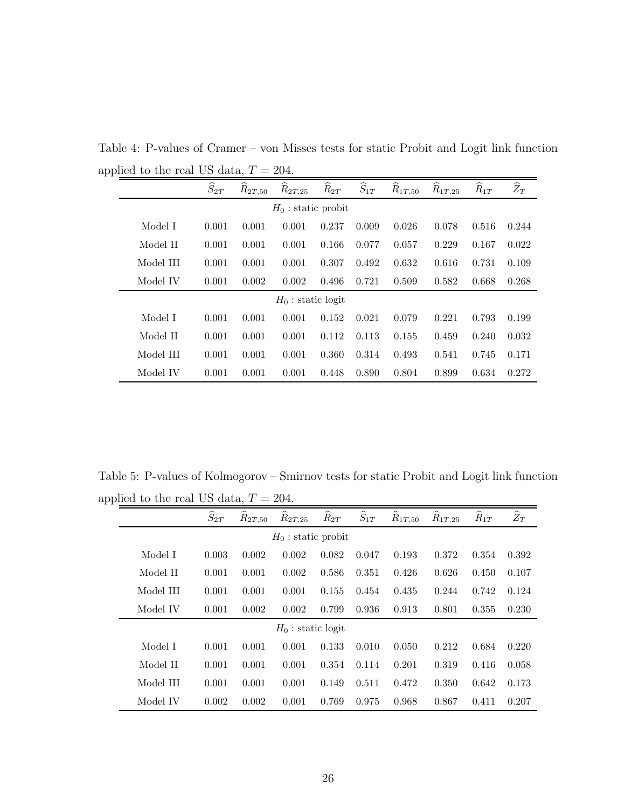<span id="page-25-0"></span>

| л. |                       |                    |                         |                      |                    |                    |             |             |          |                |
|----|-----------------------|--------------------|-------------------------|----------------------|--------------------|--------------------|-------------|-------------|----------|----------------|
|    |                       | $\widehat{S}_{2T}$ | $\widetilde{R}_{2T,50}$ | $R_{2T,25}$          | $\widehat{R}_{2T}$ | $\widehat{S}_{1T}$ | $R_{1T,50}$ | $R_{1T,25}$ | $R_{1T}$ | $\widehat Z_T$ |
|    | $H_0$ : static probit |                    |                         |                      |                    |                    |             |             |          |                |
|    | Model I               | 0.001              | 0.001                   | 0.001                | 0.237              | 0.009              | 0.026       | 0.078       | 0.516    | 0.244          |
|    | Model II              | 0.001              | 0.001                   | 0.001                | 0.166              | 0.077              | 0.057       | 0.229       | 0.167    | 0.022          |
|    | Model III             | 0.001              | 0.001                   | 0.001                | 0.307              | 0.492              | 0.632       | 0.616       | 0.731    | 0.109          |
|    | Model IV              | 0.001              | 0.002                   | 0.002                | 0.496              | 0.721              | 0.509       | 0.582       | 0.668    | 0.268          |
|    |                       |                    |                         | $H_0$ : static logit |                    |                    |             |             |          |                |
|    | Model I               | 0.001              | 0.001                   | 0.001                | 0.152              | 0.021              | 0.079       | 0.221       | 0.793    | 0.199          |
|    | Model II              | 0.001              | 0.001                   | 0.001                | 0.112              | 0.113              | 0.155       | 0.459       | 0.240    | 0.032          |
|    | Model III             | 0.001              | 0.001                   | 0.001                | 0.360              | 0.314              | 0.493       | 0.541       | 0.745    | 0.171          |
|    | Model IV              | 0.001              | 0.001                   | 0.001                | 0.448              | 0.890              | 0.804       | 0.899       | 0.634    | 0.272          |

Table 4: P-values of Cramer – von Misses tests for static Probit and Logit link function applied to the real US data,  $T = 204$ .

Table 5: P-values of Kolmogorov – Smirnov tests for static Probit and Logit link function applied to the real US data,  $T = 204$ .

<span id="page-25-1"></span>

|           | $\widehat{S}_{2T}$ | ∼<br>$R_{2T,50}$ | ∼<br>$R_{2T,25}$      | $\widehat{R}_{2T}$ | $\widehat{S}_{1T}$ | $\widehat{R}_{1T,50}$ | ∼<br>$\widehat R_{1T,25}$ | $\widehat R_{1T}$ | $\widehat Z_T$ |
|-----------|--------------------|------------------|-----------------------|--------------------|--------------------|-----------------------|---------------------------|-------------------|----------------|
|           |                    |                  | $H_0$ : static probit |                    |                    |                       |                           |                   |                |
| Model I   | 0.003              | 0.002            | 0.002                 | 0.082              | 0.047              | 0.193                 | 0.372                     | 0.354             | 0.392          |
| Model II  | 0.001              | 0.001            | 0.002                 | 0.586              | 0.351              | 0.426                 | 0.626                     | 0.450             | 0.107          |
| Model III | 0.001              | 0.001            | 0.001                 | 0.155              | 0.454              | 0.435                 | 0.244                     | 0.742             | 0.124          |
| Model IV  | 0.001              | 0.002            | 0.002                 | 0.799              | 0.936              | 0.913                 | 0.801                     | 0.355             | 0.230          |
|           |                    |                  | $H_0$ : static logit  |                    |                    |                       |                           |                   |                |
| Model I   | 0.001              | 0.001            | 0.001                 | 0.133              | 0.010              | 0.050                 | 0.212                     | 0.684             | 0.220          |
| Model II  | 0.001              | 0.001            | 0.001                 | 0.354              | 0.114              | 0.201                 | 0.319                     | 0.416             | 0.058          |
| Model III | 0.001              | 0.001            | 0.001                 | 0.149              | 0.511              | 0.472                 | 0.350                     | 0.642             | 0.173          |
| Model IV  | 0.002              | 0.002            | 0.001                 | 0.769              | 0.975              | 0.968                 | 0.867                     | 0.411             | 0.207          |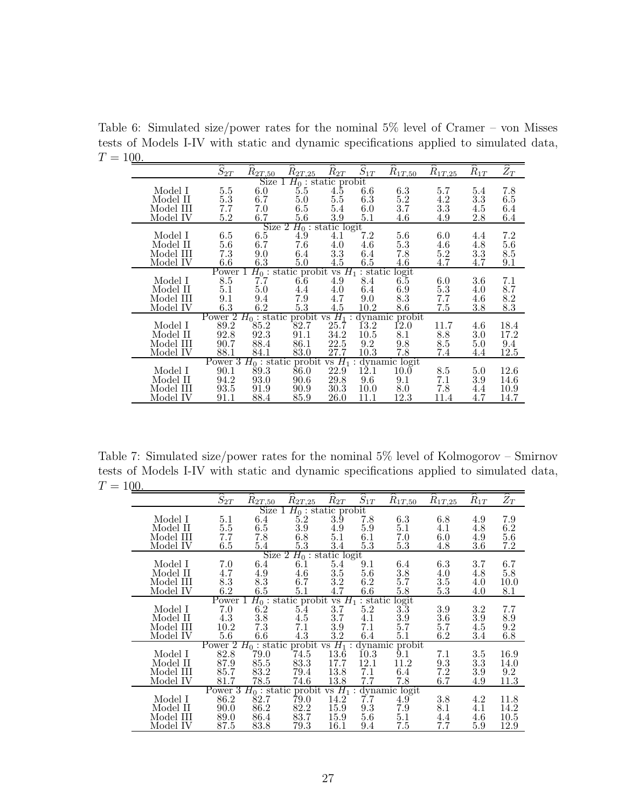Table 6: Simulated size/power rates for the nominal 5% level of Cramer – von Misses tests of Models I-IV with static and dynamic specifications applied to simulated data,  $T = 100.$ 

<span id="page-26-0"></span>

|                               | $\widehat{S}_{2T}$ | $R_{2T,50}$ | $R_{2T,25}$                                     | $\widetilde{R}_{2T}$ | $\widehat{S}_{1T}$ | $R_{1T,50}$                | $R_{1T,25}$ | $R_{1T}$ | $\widehat{Z}_T$ |  |
|-------------------------------|--------------------|-------------|-------------------------------------------------|----------------------|--------------------|----------------------------|-------------|----------|-----------------|--|
| Size<br>$H_0$ : static probit |                    |             |                                                 |                      |                    |                            |             |          |                 |  |
| Model I                       | 5.5                | $6.0\,$     | 5.5                                             | 4.5                  | $6.6\,$            | 6.3                        | 5.7         | 5.4      | 7.8             |  |
| Model II                      | $5.\overline{3}$   | 6.7         | 5.0                                             | $5.\overline{5}$     | 6.3                | $5.2\,$                    | 4.2         | 3.3      | 6.5             |  |
| Model III                     | 7.7                | 7.0         | $6.5\,$                                         | 5.4                  | 6.0                | 3.7                        | $3.3\,$     | 4.5      | 6.4             |  |
| Model IV                      | $5.2\,$            | 6.7         | 5.6                                             | 3.9                  | $5.1\,$            | 4.6                        | 4.9         | 2.8      | 6.4             |  |
|                               |                    |             |                                                 |                      |                    |                            |             |          |                 |  |
|                               |                    |             | Size 2 $H_0$ : static logit                     |                      |                    |                            |             |          |                 |  |
| Model I                       | $6.5\,$            | $6.5\,$     | 4.9                                             | 4.1                  | 7.2                | 5.6                        | 6.0         | 4.4      | 7.2             |  |
| Model II                      | $5.6\,$            | $6.7\,$     | 7.6                                             | 4.0                  | 4.6                | 5.3                        | 4.6         | 4.8      | 5.6             |  |
| Model III                     | 7.3                | 9.0         | 6.4                                             | 3.3                  | 6.4                | 7.8                        | $5.2\,$     | 3.3      | 8.5             |  |
| Model IV                      | $6.6\,$            | $6.3\,$     | 5.0                                             | 4.5                  | 6.5                | 4.6                        | 4.7         | 4.7      | 9.1             |  |
|                               | Power $1$          |             | $H_0$ : static probit vs $H_1$ : static         |                      |                    | $\frac{\text{logit}}{6.5}$ |             |          |                 |  |
| Model I                       | 8.5                | 7.7         | $6.6\,$                                         | 4.9                  | 8.4                |                            | 6.0         | 3.6      | 7.1             |  |
| Model II                      | 5.1                | 5.0         | 4.4                                             | 4.0                  | 6.4                | 6.9                        | $5.3\,$     | 4.0      | 8.7             |  |
| Model III                     | 9.1                | 9.4         | 7.9                                             | 4.7                  | 9.0                | 8.3                        | 7.7         | 4.6      | $8.2\,$         |  |
| Model IV                      | 6.3                | 6.2         | $5.\overline{3}$                                | 4.5                  | 10.2               | 8.6                        | 7.5         | $3.8\,$  | 8.3             |  |
|                               | Power 2            |             | $H_0$ : static probit vs $H_1$ : dynamic probit |                      |                    |                            |             |          |                 |  |
| Model I                       | 89.2               | 85.2        | 82.7                                            | 25.7                 | 13.2               | <b>12.0</b>                | 11.7        | 4.6      | 18.4            |  |
| Model II                      | 92.8               | 92.3        | 91.1                                            | 34.2                 | $10.5\,$           | 8.1                        | 8.8         | 3.0      | 17.2            |  |
| Model III                     | 90.7               | 88.4        | 86.1                                            | 22.5                 | 9.2                | 9.8                        | 8.5         | 5.0      | 9.4             |  |
|                               |                    |             |                                                 |                      |                    |                            |             |          |                 |  |
| Model IV                      | 88.1               | 84.1        | 83.0                                            | 27.7                 | 10.3               | 7.8                        | 7.4         | 4.4      | 12.5            |  |
|                               |                    |             | Power 3 $H_0$ : static probit                   | $vs H_1:$            |                    | dynamic logit              |             |          |                 |  |
| Model I                       | 90.1               | 89.3        | 86.0                                            | 22.9                 | 12.1               | 10.0                       | 8.5         | 5.0      | 12.6            |  |
| Model II                      | 94.2               | 93.0        | 90.6                                            | 29.8                 | 9.6                | 9.1                        | 7.1         | 3.9      | 14.6            |  |
| Model III                     | 93.5               | 91.9        | 90.9                                            | 30.3                 | 10.0               | 8.0                        | 7.8         | 4.4      | 10.9            |  |
| Model IV                      | 91.1               | 88.4        | 85.9                                            | 26.0                 | 11.1               | 12.3                       | 11.4        | 4.7      | 14.7            |  |

Table 7: Simulated size/power rates for the nominal 5% level of Kolmogorov – Smirnov tests of Models I-IV with static and dynamic specifications applied to simulated data,  $T = 100.$ 

<span id="page-26-1"></span>

|                               | $\widehat{S}_{2T}$ | $R_{2T,50}$           | $R_{2T,25}$                 | $R_{2T}$         | $\widehat{S}_{1T}$ | $R_{1T,50}$             | $R_{1T,25}$ | $R_{1T}$ | $\widehat{Z_T}$ |  |
|-------------------------------|--------------------|-----------------------|-----------------------------|------------------|--------------------|-------------------------|-------------|----------|-----------------|--|
| Size<br>$H_0$ : static probit |                    |                       |                             |                  |                    |                         |             |          |                 |  |
| Model I                       | $5.1\,$            | 6.4                   | 5.2                         | $3.\overline{9}$ | 7.8                | 6.3                     | 6.8         | 4.9      | 7.9             |  |
| Model II                      | $5.5\,$            | $6.5\,$               | $3.9\,$                     | 4.9              | 5.9                | 5.1                     | 4.1         | 4.8      | 6.2             |  |
| Model III                     | 7.7                | 7.8                   | 6.8                         | $5.1\,$          | 6.1                | 7.0                     | 6.0         | 4.9      | $5.6\,$         |  |
| Model IV                      | $6.5\,$            | 5.4                   | 5.3                         | 3.4              | $5.3\,$            | $5.3\,$                 | 4.8         | 3.6      | 7.2             |  |
|                               |                    |                       | Size $2 H_0$ : static logit |                  |                    |                         |             |          |                 |  |
| Model I                       | 7.0                | 6.4                   | 6.1                         | 5.4              | 9.1                | $6.4\,$                 | $6.3\,$     | 3.7      | 6.7             |  |
| Model II                      | 4.7                | 4.9                   | 4.6                         | $3.5\,$          | 5.6                |                         | 4.0         | 4.8      | 5.8             |  |
| Model III                     | 8.3                | 8.3                   | 6.7                         | 3.2              | $6.2\,$            | $\overset{3.8}{_{5.7}}$ | 3.5         | 4.0      | 10.0            |  |
| Model IV                      | 6.2                | 6.5                   | 5.1                         | 4.7              | $6.6\,$            | $5.8\,$                 | $5.3\,$     | 4.0      | 8.1             |  |
|                               | Power 1            |                       | $H_0$ : static probit       |                  | vs $H_1$ : static  | logit                   |             |          |                 |  |
| Model I                       | 7.0                | 6.2                   | 5.4                         | 3.7              | $5.2\,$            | 3.3                     | 3.9         | 3.2      | 7.7             |  |
| Model II                      | 4.3                | $3.8\,$               | 4.5                         | 3.7              | 4.1                | $3.9\,$                 | $3.6\,$     | 3.9      | 8.9             |  |
| Model III                     | 10.2               | 7.3                   | 7.1                         | 3.9              | 7.1                | 5.7                     | 5.7         | 4.5      | 9.2             |  |
| Model IV                      | $5.6\,$            | $6.6\,$               | 4.3                         | $3.2\,$          | 6.4                | 5.1                     | 6.2         | 3.4      | 6.8             |  |
|                               | Power <sup>2</sup> | $H_0$ : static probit |                             | vs $H_1$ :       |                    | dynamic probit          |             |          |                 |  |
| Model I                       | 82.8               | 79.0                  | 74.5                        | 13.6             | 10.3               | 9.1                     | 7.1         | $3.5\,$  | 16.9            |  |
| Model II                      | 87.9               | 85.5                  | 83.3                        | 17.7             | 12.1               | 11.2                    | 9.3         | 3.3      | 14.0            |  |
| Model III                     | 85.7               | 83.2                  | 79.4                        | 13.8             | 7.1                | 6.4                     | 7.2         | $3.9\,$  | 9.2             |  |
| Model IV                      | 81.7               | 78.5                  | 74.6                        | 13.8             | 7.7                | 7.8                     | 6.7         | 4.9      | 11.3            |  |
|                               | Power 3            |                       | $H_0$ : static probit       | $vs H_1$         | $\ddot{\cdot}$     | dynamic logit           |             |          |                 |  |
| Model I                       | 86.2               | 82.7                  | 79.0                        | 14.2             | 7.7                | 4.9                     | 3.8         | 4.2      | 11.8            |  |
| Model II                      | 90.0               | 86.2                  | 82.2                        | 15.9             | 9.3                | 7.9                     | 8.1         | 4.1      | 14.2            |  |
| Model III                     | 89.0               | 86.4                  | 83.7                        | 15.9             | $5.6\,$            | 5.1                     | 4.4         | 4.6      | 10.5            |  |
| Model IV                      | 87.5               | 83.8                  | 79.3                        | 16.1             | 9.4                | 7.5                     | 7.7         | $5.9\,$  | 12.9            |  |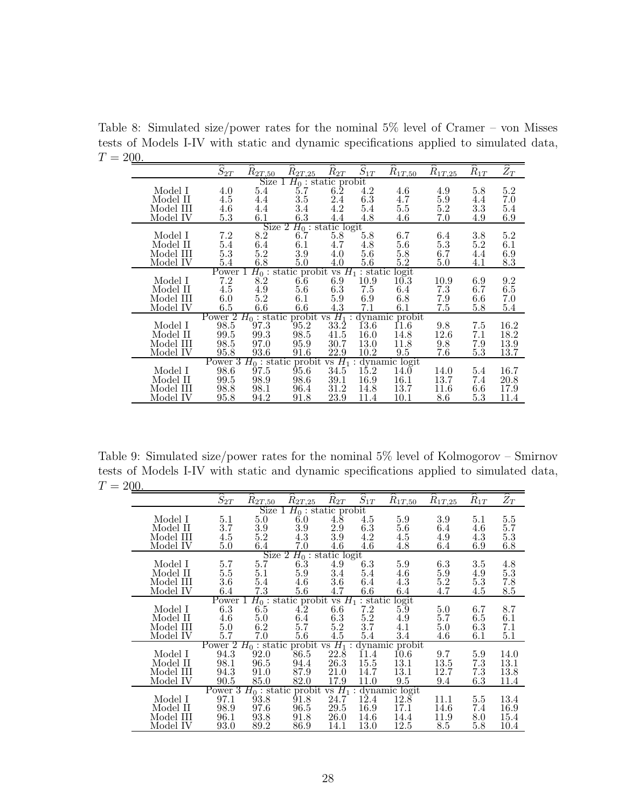Table 8: Simulated size/power rates for the nominal 5% level of Cramer – von Misses tests of Models I-IV with static and dynamic specifications applied to simulated data,  $T = 200.$ 

<span id="page-27-0"></span>

|                              | $\widehat{S}_{2T}$ | $R_{2T,50}$                      | $R_{2T,25}$                                     | $\widetilde{R}_{2T}$ | $\widehat{S}_{1T}$ | $R_{1T,50}$             | $R_{1T,25}$ | $R_{1T}$ | $\widehat{Z}_T$ |  |
|------------------------------|--------------------|----------------------------------|-------------------------------------------------|----------------------|--------------------|-------------------------|-------------|----------|-----------------|--|
| Size $1 H_0$ : static probit |                    |                                  |                                                 |                      |                    |                         |             |          |                 |  |
| Model I                      | 4.0                | 5.4                              | 5.7                                             | $6.\overline{2}$     | 4.2                | 4.6                     | 4.9         | 5.8      | 5.2             |  |
| Model II                     | 4.5                | 4.4                              | 3.5                                             | 2.4                  | $6.3\,$            | 4.7                     | $5.9\,$     | 4.4      | 7.0             |  |
| Model III                    | 4.6                | 4.4                              | 3.4                                             | 4.2                  | $5.4\,$            | 5.5                     | 5.2         | 3.3      | 5.4             |  |
| Model IV                     | 5.3                | $6.1\,$                          | 6.3                                             | 4.4                  | 4.8                | 4.6                     | 7.0         | 4.9      | 6.9             |  |
|                              |                    |                                  | Size 2 $H_0$ : static logit                     |                      |                    |                         |             |          |                 |  |
| Model I                      | 7.2                | 8.2                              | 6.7                                             | 5.8                  |                    | 6.7                     |             | $3.8\,$  | 5.2             |  |
|                              |                    |                                  |                                                 |                      | $5.8\,$            |                         | 6.4         |          |                 |  |
| Model II                     | $5.4\,$            | $6.4\,$                          | 6.1                                             | 4.7                  | 4.8                | 5.6                     | $5.3\,$     | $5.2\,$  | 6.1             |  |
| Model III                    | $5.3\,$            | 5.2                              | 3.9                                             | 4.0                  | $5.6\,$            | 5.8                     | 6.7         | 4.4      | 6.9             |  |
| Model IV                     | $5.4\,$            | $6.8\,$                          | $5.0\,$                                         | 4.0                  | $5.6\,$            | $5.2\,$                 | 5.0         | 4.1      | $\!\!\!\!\!8.3$ |  |
|                              | Power 1            |                                  | $H_0$ : static probit                           |                      |                    | vs $H_1$ : static logit |             |          |                 |  |
| Model I                      | $7.2\,$            | 8.2                              | 6.6                                             | 6.9                  | 10.9               | 10.3                    | 10.9        | 6.9      | 9.2             |  |
| Model II                     | 4.5                | 4.9                              | 5.6                                             | $6.3\,$              | $7.5\,$            | 6.4                     | 7.3         | 6.7      | $6.5\,$         |  |
| Model III                    | $6.0\,$            | 5.2                              | 6.1                                             | 5.9                  | 6.9                | 6.8                     | 7.9         | $6.6\,$  | 7.0             |  |
| Model IV                     | 6.5                | $6.6\,$                          | 6.6                                             | 4.3                  | 7.1                | 6.1                     | 7.5         | $5.8\,$  | 5.4             |  |
|                              | Power 2            |                                  | $H_0$ : static probit vs $H_1$ : dynamic probit |                      |                    |                         |             |          |                 |  |
| Model I                      | 98.5               | 97.3                             | 95.2                                            | $33.\overline{2}$    | 13.6               | <b>11.6</b>             | 9.8         | 7.5      | 16.2            |  |
| Model II                     | 99.5               | 99.3                             | 98.5                                            | 41.5                 | 16.0               | 14.8                    | 12.6        | 7.1      | 18.2            |  |
| Model III                    | 98.5               | 97.0                             | 95.9                                            | 30.7                 | 13.0               | 11.8                    | 9.8         | 7.9      | 13.9            |  |
|                              |                    | $93.6\,$                         |                                                 | 22.9                 |                    |                         |             |          |                 |  |
| Model IV                     | 95.8               |                                  | 91.6                                            |                      | 10.2               | 9.5                     | 7.6         | $5.3\,$  | 13.7            |  |
|                              |                    |                                  | Power 3 $H_0$ : static probit                   | $vs H_1$             | $\cdot$ .          | dynamic logit           |             |          |                 |  |
| Model I                      | 98.6               | 97.5                             | 95.6                                            | 34.5                 | 15.2               | $14.\check{0}$          | 14.0        | 5.4      | 16.7            |  |
| Model II                     | 99.5               |                                  | 98.6                                            | 39.1                 | 16.9               | 16.1                    | 13.7        | 7.4      | 20.8            |  |
| Model III                    | 98.8               | $\underset{98.1}{\textbf{98.9}}$ | 96.4                                            | 31.2                 | 14.8               | 13.7                    | 11.6        | $6.6\,$  | 17.9            |  |
| Model IV                     | 95.8               | 94.2                             | 91.8                                            | 23.9                 | 11.4               | 10.1                    | 8.6         | $5.3\,$  | 11.4            |  |

Table 9: Simulated size/power rates for the nominal 5% level of Kolmogorov – Smirnov tests of Models I-IV with static and dynamic specifications applied to simulated data,  $T = 200.$ 

<span id="page-27-1"></span>

|                              | $\widehat{S}_{2T}$ | $R_{2T,50}$           | $R_{2T,25}$                             | $R_{2T}$ | $\widehat{S}_{1T}$ | $R_{1T,50}$               | $R_{1T,25}$ | $R_{1T}$ | $\widetilde{Z}_T$ |  |
|------------------------------|--------------------|-----------------------|-----------------------------------------|----------|--------------------|---------------------------|-------------|----------|-------------------|--|
| Size $1 H_0$ : static probit |                    |                       |                                         |          |                    |                           |             |          |                   |  |
| Model I                      | 5.1                | 5.0                   | 6.0                                     | 4.8      | 4.5                | 5.9                       | 3.9         | 5.1      | 5.5               |  |
| Model II                     | 3.7                | 3.9                   | 3.9                                     | 2.9      | 6.3                | 5.6                       | 6.4         | 4.6      | 5.7               |  |
| Model III                    | 4.5                | 5.2                   | 4.3                                     | 3.9      | 4.2                | 4.5                       | 4.9         | 4.3      | 5.3               |  |
| Model IV                     | 5.0                | 6.4                   | 7.0                                     | 4.6      | 4.6                | 4.8                       | 6.4         | 6.9      | 6.8               |  |
|                              |                    |                       | Size 2 $H_0$ : static logit             |          |                    |                           |             |          |                   |  |
| Model I                      | 5.7                | 5.7                   | 6.3                                     | 4.9      | 6.3                | $5.9\,$                   | $6.3\,$     | $3.5\,$  | 4.8               |  |
| Model II                     | $5.5\,$            | 5.1                   | 5.9                                     | 3.4      | 5.4                | 4.6                       | $5.9\,$     | 4.9      | $5.3\,$           |  |
| Model III                    | $3.6\,$            | 5.4                   | 4.6                                     | $3.6\,$  | 6.4                | 4.3                       | $5.2\,$     | $5.3\,$  | 7.8               |  |
| Model IV                     | 6.4                | $7.3\,$               | 5.6                                     | 4.7      | 6.6                | $6.4\,$                   | 4.7         | 4.5      | 8.5               |  |
|                              | Power 1            |                       | $H_0$ : static probit vs $H_1$ : static |          |                    | logit                     |             |          |                   |  |
| Model I                      | 6.3                | 6.5                   | 4.2                                     | $6.6\,$  | 7.2                | 5.9                       | $5.0\,$     | 6.7      | 8.7               |  |
| Model II                     | 4.6                | 5.0                   | 6.4                                     | 6.3      | $5.2\,$            | 4.9                       | 5.7         | 6.5      | 6.1               |  |
| Model III                    | 5.0                | 6.2                   | 5.7                                     | 5.2      | 3.7                | 4.1                       | $5.0\,$     | $6.3\,$  | 7.1               |  |
| Model IV                     | 5.7                | 7.0                   | $5.6\,$                                 | 4.5      | 5.4                | 3.4                       | 4.6         | 6.1      | 5.1               |  |
|                              | Power <sup>2</sup> | $H_0$ : static probit |                                         |          |                    | vs $H_1$ : dynamic probit |             |          |                   |  |
| Model I                      | 94.3               | 92.0                  | 86.5                                    | 22.8     | 11.4               | 10.6                      | 9.7         | 5.9      | 14.0              |  |
| Model II                     | 98.1               | 96.5                  | 94.4                                    | 26.3     | 15.5               | 13.1                      | 13.5        | 7.3      | 13.1              |  |
| Model III                    | 94.3               | 91.0                  | 87.9                                    | 21.0     | 14.7               | 13.1                      | 12.7        | 7.3      | 13.8              |  |
| Model IV                     | 90.5               | 85.0                  | 82.0                                    | 17.9     | 11.0               | 9.5                       | 9.4         | 6.3      | 11.4              |  |
|                              |                    |                       | Power $3 H_0$ : static probit           | $vs H_1$ |                    | : dynamic logit           |             |          |                   |  |
| Model I                      | 97.1               | 93.8                  | 91.8                                    | 24.7     | 12.4               | 12.8                      | 11.1        | $5.5\,$  | 13.4              |  |
| Model II                     | 98.9               | 97.6                  | 96.5                                    | 29.5     | 16.9               | 17.1                      | 14.6        | 7.4      | 16.9              |  |
| Model III                    | 96.1               | 93.8                  | 91.8                                    | 26.0     | 14.6               | 14.4                      | 11.9        | 8.0      | 15.4              |  |
| Model IV                     | 93.0               | 89.2                  | 86.9                                    | 14.1     | 13.0               | 12.5                      | 8.5         | $5.8\,$  | 10.4              |  |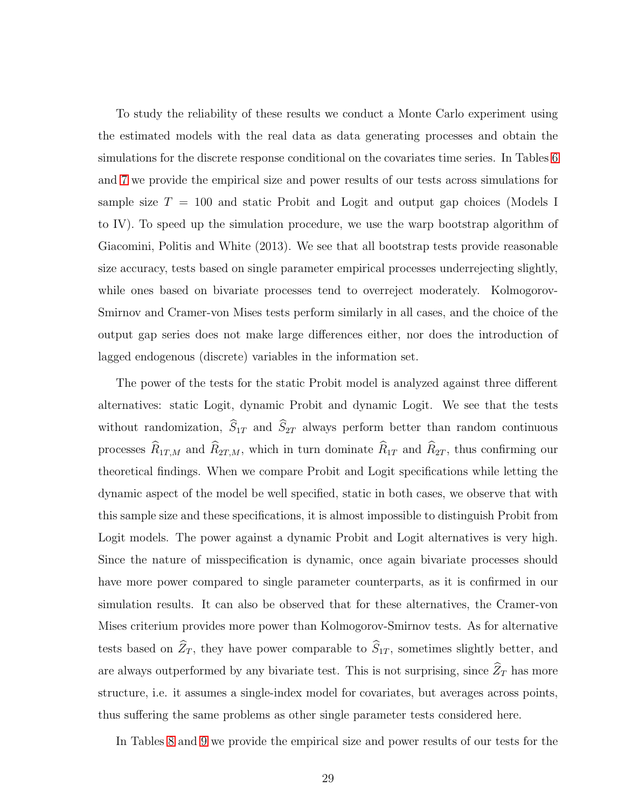To study the reliability of these results we conduct a Monte Carlo experiment using the estimated models with the real data as data generating processes and obtain the simulations for the discrete response conditional on the covariates time series. In Tables [6](#page-26-0) and [7](#page-26-1) we provide the empirical size and power results of our tests across simulations for sample size  $T = 100$  and static Probit and Logit and output gap choices (Models I to IV). To speed up the simulation procedure, we use the warp bootstrap algorithm of Giacomini, Politis and White (2013). We see that all bootstrap tests provide reasonable size accuracy, tests based on single parameter empirical processes underrejecting slightly, while ones based on bivariate processes tend to overreject moderately. Kolmogorov-Smirnov and Cramer-von Mises tests perform similarly in all cases, and the choice of the output gap series does not make large differences either, nor does the introduction of lagged endogenous (discrete) variables in the information set.

The power of the tests for the static Probit model is analyzed against three different alternatives: static Logit, dynamic Probit and dynamic Logit. We see that the tests without randomization,  $\widehat{S}_{1T}$  and  $\widehat{S}_{2T}$  always perform better than random continuous processes  $\widehat{R}_{1T,M}$  and  $\widehat{R}_{2T,M}$ , which in turn dominate  $\widehat{R}_{1T}$  and  $\widehat{R}_{2T}$ , thus confirming our theoretical findings. When we compare Probit and Logit specifications while letting the dynamic aspect of the model be well specified, static in both cases, we observe that with this sample size and these specifications, it is almost impossible to distinguish Probit from Logit models. The power against a dynamic Probit and Logit alternatives is very high. Since the nature of misspecification is dynamic, once again bivariate processes should have more power compared to single parameter counterparts, as it is confirmed in our simulation results. It can also be observed that for these alternatives, the Cramer-von Mises criterium provides more power than Kolmogorov-Smirnov tests. As for alternative tests based on  $\widehat{Z}_T$ , they have power comparable to  $\widehat{S}_{1T}$ , sometimes slightly better, and are always outperformed by any bivariate test. This is not surprising, since  $\widehat{Z}_T$  has more structure, i.e. it assumes a single-index model for covariates, but averages across points, thus suffering the same problems as other single parameter tests considered here.

In Tables [8](#page-27-0) and [9](#page-27-1) we provide the empirical size and power results of our tests for the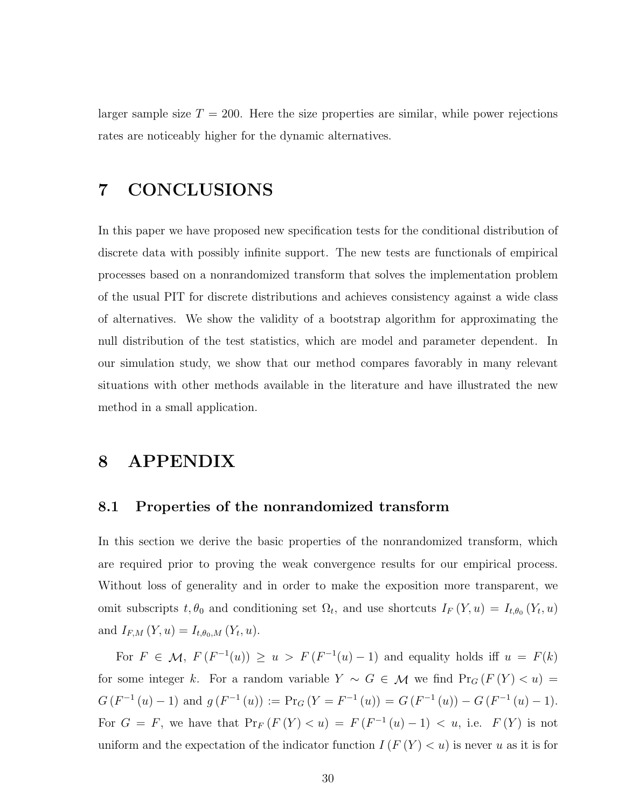larger sample size  $T = 200$ . Here the size properties are similar, while power rejections rates are noticeably higher for the dynamic alternatives.

### 7 CONCLUSIONS

In this paper we have proposed new specification tests for the conditional distribution of discrete data with possibly infinite support. The new tests are functionals of empirical processes based on a nonrandomized transform that solves the implementation problem of the usual PIT for discrete distributions and achieves consistency against a wide class of alternatives. We show the validity of a bootstrap algorithm for approximating the null distribution of the test statistics, which are model and parameter dependent. In our simulation study, we show that our method compares favorably in many relevant situations with other methods available in the literature and have illustrated the new method in a small application.

### 8 APPENDIX

#### 8.1 Properties of the nonrandomized transform

In this section we derive the basic properties of the nonrandomized transform, which are required prior to proving the weak convergence results for our empirical process. Without loss of generality and in order to make the exposition more transparent, we omit subscripts  $t, \theta_0$  and conditioning set  $\Omega_t$ , and use shortcuts  $I_F(Y, u) = I_{t,\theta_0}(Y_t, u)$ and  $I_{F,M}(Y, u) = I_{t,\theta_0,M}(Y_t, u)$ .

For  $F \in \mathcal{M}$ ,  $F(F^{-1}(u)) \ge u > F(F^{-1}(u) - 1)$  and equality holds iff  $u = F(k)$ for some integer k. For a random variable  $Y \sim G \in \mathcal{M}$  we find  $Pr_G(F(Y) < u)$  $G(F^{-1}(u)-1)$  and  $g(F^{-1}(u)) := \Pr_G(Y = F^{-1}(u)) = G(F^{-1}(u)) - G(F^{-1}(u) - 1).$ For  $G = F$ , we have that  $Pr_F(F(Y) < u) = F(F^{-1}(u) - 1) < u$ , i.e.  $F(Y)$  is not uniform and the expectation of the indicator function  $I(F(Y) < u)$  is never u as it is for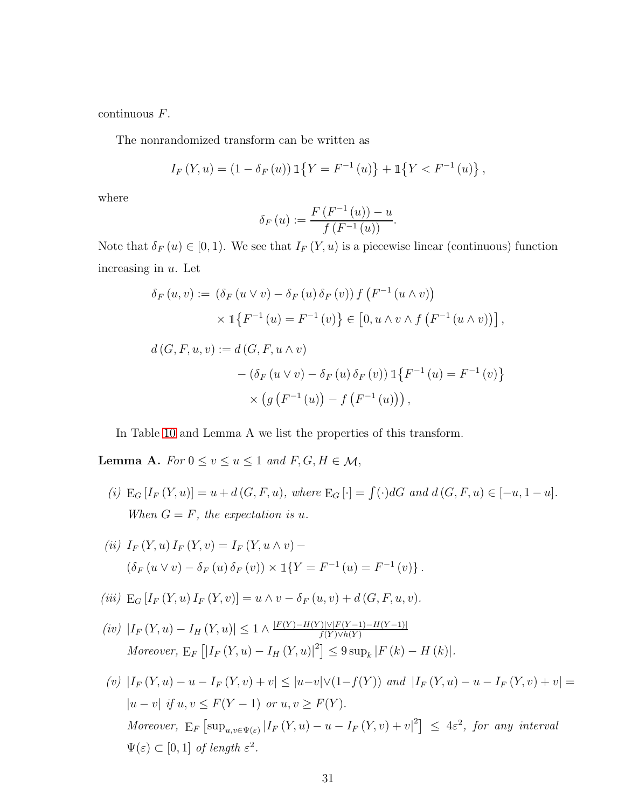continuous F.

The nonrandomized transform can be written as

$$
I_F(Y, u) = (1 - \delta_F(u)) 1\{Y = F^{-1}(u)\} + 1\{Y < F^{-1}(u)\},
$$

where

$$
\delta_F(u) := \frac{F(F^{-1}(u)) - u}{f(F^{-1}(u))}.
$$

Note that  $\delta_F(u) \in [0,1)$ . We see that  $I_F(Y, u)$  is a piecewise linear (continuous) function increasing in  $u$ . Let

$$
\delta_F(u, v) := (\delta_F(u \vee v) - \delta_F(u) \delta_F(v)) f(F^{-1}(u \wedge v))
$$
  

$$
\times 1\{F^{-1}(u) = F^{-1}(v)\} \in [0, u \wedge v \wedge f(F^{-1}(u \wedge v))],
$$
  

$$
d(G, F, u, v) := d(G, F, u \wedge v)
$$
  

$$
- (\delta_F(u \vee v) - \delta_F(u) \delta_F(v)) 1\{F^{-1}(u) = F^{-1}(v)\}
$$
  

$$
\times (g(F^{-1}(u)) - f(F^{-1}(u))),
$$

In Table [10](#page-31-0) and Lemma A we list the properties of this transform.

<span id="page-30-0"></span>Lemma A. For  $0 \le v \le u \le 1$  and  $F, G, H \in \mathcal{M}$ ,

- <span id="page-30-2"></span>(i)  $E_G[I_F(Y, u)] = u + d(G, F, u)$ , where  $E_G[\cdot] = \int (\cdot) dG$  and  $d(G, F, u) \in [-u, 1 - u]$ . When  $G = F$ , the expectation is u.
- <span id="page-30-1"></span>(ii)  $I_F(Y, u) I_F(Y, v) = I_F(Y, u \wedge v) (\delta_F (u \vee v) - \delta_F (u) \delta_F (v)) \times \mathbb{1}{Y = F^{-1} (u) = F^{-1} (v)}.$
- <span id="page-30-4"></span>(iii)  $E_G[I_F(Y, u) I_F(Y, v)] = u \wedge v - \delta_F(u, v) + d(G, F, u, v).$
- <span id="page-30-3"></span> $(iv)$   $|I_F(Y, u) - I_H(Y, u)| \leq 1 \wedge \frac{|F(Y) - H(Y)| \vee |F(Y-1) - H(Y-1)|}{f(Y) \vee h(Y)}$  $f(Y) \vee h(Y)$ Moreover,  $E_F [ |I_F(Y, u) - I_H(Y, u)|^2 ] \leq 9 \sup_k |F(k) - H(k)|$ .
- (v)  $|I_F(Y, u) u I_F(Y, v) + v| \leq |u-v| \vee (1-f(Y))$  and  $|I_F(Y, u) u I_F(Y, v) + v| =$  $|u - v|$  if  $u, v \leq F(Y - 1)$  or  $u, v \geq F(Y)$ . Moreover,  $E_F \left[ \sup_{u,v \in \Psi(\varepsilon)} |I_F(Y,u) - u - I_F(Y,v) + v|^2 \right] \leq 4\varepsilon^2$ , for any interval  $\Psi(\varepsilon) \subset [0,1]$  of length  $\varepsilon^2$ .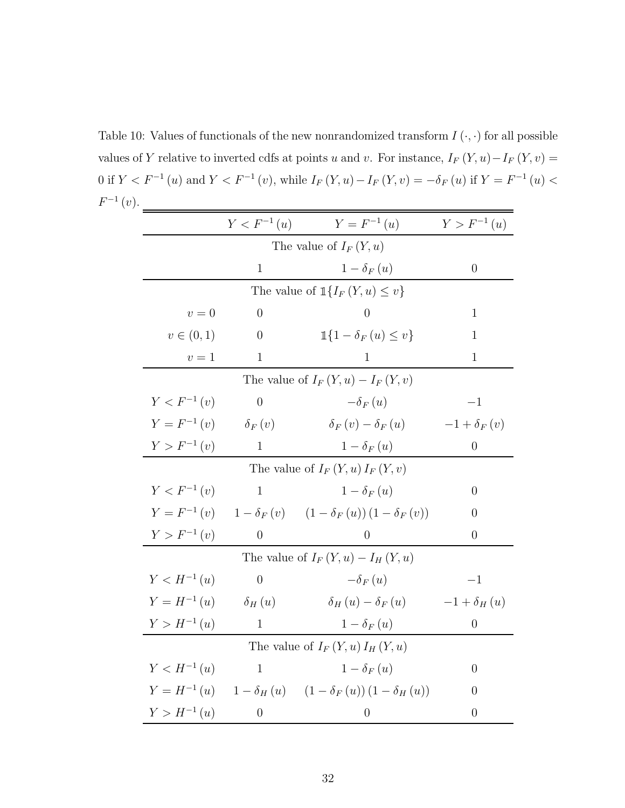<span id="page-31-0"></span>Table 10: Values of functionals of the new nonrandomized transform  $I(\cdot, \cdot)$  for all possible values of Y relative to inverted cdfs at points u and v. For instance,  $I_F(Y, u) - I_F(Y, v) =$ 0 if  $Y < F^{-1}(u)$  and  $Y < F^{-1}(v)$ , while  $I_F(Y, u) - I_F(Y, v) = -\delta_F(u)$  if  $Y = F^{-1}(u) <$  $F^{-1}(v)$ .

|                                             | $Y < F^{-1}(u)$                    | $Y = F^{-1}(u)$                                                        | $Y > F^{-1}(u)$  |  |  |  |  |  |  |  |  |
|---------------------------------------------|------------------------------------|------------------------------------------------------------------------|------------------|--|--|--|--|--|--|--|--|
|                                             | The value of $I_F(Y, u)$           |                                                                        |                  |  |  |  |  |  |  |  |  |
|                                             | $\mathbf{1}$                       | $1-\delta_F(u)$                                                        | $\overline{0}$   |  |  |  |  |  |  |  |  |
| The value of $\mathbb{1}{I_F(Y, u) \leq v}$ |                                    |                                                                        |                  |  |  |  |  |  |  |  |  |
| $v=0$                                       | $\overline{0}$                     | $\left( \right)$                                                       | 1                |  |  |  |  |  |  |  |  |
| $v \in (0,1)$                               | $\theta$                           | $\mathbb{1}{1-\delta_F(u) \leq v}$                                     | 1                |  |  |  |  |  |  |  |  |
| $v=1$                                       | $\mathbf{1}$                       | $\mathbf{1}$                                                           | $\mathbf{1}$     |  |  |  |  |  |  |  |  |
| The value of $I_F(Y, u) - I_F(Y, v)$        |                                    |                                                                        |                  |  |  |  |  |  |  |  |  |
| $Y < F^{-1}(v)$                             | $\overline{0}$                     | $-\delta_F(u)$                                                         | $-1$             |  |  |  |  |  |  |  |  |
| $Y = F^{-1}(v)$                             | $\delta_F(v)$                      | $\delta_F(v) - \delta_F(u)$                                            | $-1+\delta_F(v)$ |  |  |  |  |  |  |  |  |
| $Y > F^{-1}(v)$                             | $\mathbf{1}$                       | $1-\delta_F(u)$                                                        | $\theta$         |  |  |  |  |  |  |  |  |
| The value of $I_F(Y, u) I_F(Y, v)$          |                                    |                                                                        |                  |  |  |  |  |  |  |  |  |
| $Y < F^{-1}(v)$                             | $\mathbf{1}$                       | $1-\delta_F(u)$                                                        | $\overline{0}$   |  |  |  |  |  |  |  |  |
| $Y = F^{-1}(v)$                             |                                    | $1 - \delta_F(v)$ $(1 - \delta_F(u))(1 - \delta_F(v))$                 | 0                |  |  |  |  |  |  |  |  |
| $Y > F^{-1}(v)$                             | $\Omega$                           | $\left( \right)$                                                       | 0                |  |  |  |  |  |  |  |  |
|                                             |                                    | The value of $I_F(Y, u) - I_H(Y, u)$                                   |                  |  |  |  |  |  |  |  |  |
| $Y < H^{-1}(u)$                             | $\overline{0}$                     | $-\delta_F(u)$                                                         | $-1$             |  |  |  |  |  |  |  |  |
| $Y = H^{-1}(u)$                             | $\delta_H(u)$                      | $\delta_H(u) - \delta_F(u)$                                            | $-1+\delta_H(u)$ |  |  |  |  |  |  |  |  |
| $Y > H^{-1}(u)$                             | $\mathbf{1}$                       | $1-\delta_F(u)$                                                        | $\theta$         |  |  |  |  |  |  |  |  |
|                                             | The value of $I_F(Y, u) I_H(Y, u)$ |                                                                        |                  |  |  |  |  |  |  |  |  |
| $Y < H^{-1}(u)$                             | $\mathbf{1}$                       | $1-\delta_F(u)$                                                        | $\theta$         |  |  |  |  |  |  |  |  |
|                                             |                                    | $Y = H^{-1}(u)$ $1 - \delta_H(u)$ $(1 - \delta_F(u))(1 - \delta_H(u))$ | $\theta$         |  |  |  |  |  |  |  |  |
| $Y > H^{-1}(u)$                             | $\overline{0}$                     | $\theta$                                                               | $\overline{0}$   |  |  |  |  |  |  |  |  |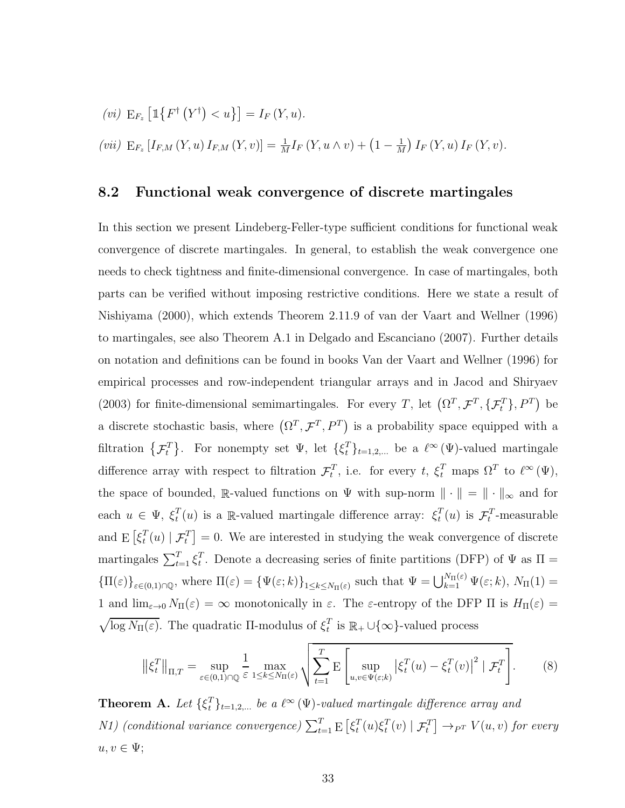<span id="page-32-1"></span><span id="page-32-0"></span>(vi) 
$$
E_{F_z} [\mathbb{1} \{ F^{\dagger} (Y^{\dagger}) < u \}] = I_F (Y, u).
$$
  
\n(vii)  $E_{F_z} [I_{F,M} (Y, u) I_{F,M} (Y, v)] = \frac{1}{M} I_F (Y, u \wedge v) + (1 - \frac{1}{M}) I_F (Y, u) I_F (Y, v).$ 

#### 8.2 Functional weak convergence of discrete martingales

In this section we present Lindeberg-Feller-type sufficient conditions for functional weak convergence of discrete martingales. In general, to establish the weak convergence one needs to check tightness and finite-dimensional convergence. In case of martingales, both parts can be verified without imposing restrictive conditions. Here we state a result of Nishiyama (2000), which extends Theorem 2.11.9 of van der Vaart and Wellner (1996) to martingales, see also Theorem A.1 in Delgado and Escanciano (2007). Further details on notation and definitions can be found in books Van der Vaart and Wellner (1996) for empirical processes and row-independent triangular arrays and in Jacod and Shiryaev (2003) for finite-dimensional semimartingales. For every T, let  $(\Omega^T, \mathcal{F}^T, \{\mathcal{F}_t^T\}, P^T)$  be a discrete stochastic basis, where  $(\Omega^T, \mathcal{F}^T, P^T)$  is a probability space equipped with a filtration  $\{\mathcal{F}_t^T\}$ . For nonempty set  $\Psi$ , let  $\{\xi_t^T\}$  $_{t}^{T}$ <sub>t=1,2,...</sub> be a  $\ell^{\infty}(\Psi)$ -valued martingale difference array with respect to filtration  $\mathcal{F}_t^T$ , i.e. for every t,  $\xi_t^T$  maps  $\Omega^T$  to  $\ell^{\infty}(\Psi)$ , the space of bounded, R-valued functions on  $\Psi$  with sup-norm  $\|\cdot\| = \|\cdot\|_{\infty}$  and for each  $u \in \Psi$ ,  $\xi_t^T$  $_t^T(u)$  is a R-valued martingale difference array:  $\xi_t^T$  $t_t^T(u)$  is  $\mathcal{F}_t^T$ -measurable and  $E\left[\xi_t^T\right]$  $_t^T(u) | \mathcal{F}_t^T$  = 0. We are interested in studying the weak convergence of discrete martingales  $\sum_{t=1}^{T} \xi_t^T$ <sup>T</sup>. Denote a decreasing series of finite partitions (DFP) of  $\Psi$  as  $\Pi$  =  ${\{\Pi(\varepsilon)\}}_{\varepsilon\in(0,1)\cap\mathbb{Q}}$ , where  $\Pi(\varepsilon) = {\{\Psi(\varepsilon;k)\}}_{1\leq k\leq N_{\Pi}(\varepsilon)}$  such that  $\Psi = \bigcup_{k=1}^{N_{\Pi}(\varepsilon)} \Psi(\varepsilon;k)$ ,  $N_{\Pi}(1) =$ 1 and  $\lim_{\varepsilon\to 0} N_{\Pi}(\varepsilon) = \infty$  monotonically in  $\varepsilon$ . The  $\varepsilon$ -entropy of the DFP  $\Pi$  is  $H_{\Pi}(\varepsilon) =$  $\sqrt{\log N_{\Pi}(\varepsilon)}$ . The quadratic Π-modulus of  $\xi_t^T$  $_t^T$  is  $\mathbb{R}_+ \cup \{\infty\}$ -valued process

$$
\left\| \xi_t^T \right\|_{\Pi, T} = \sup_{\varepsilon \in (0, 1) \cap \mathbb{Q}} \frac{1}{\varepsilon} \max_{1 \le k \le N_{\Pi}(\varepsilon)} \sqrt{\sum_{t=1}^T \mathbb{E} \left[ \sup_{u, v \in \Psi(\varepsilon; k)} \left| \xi_t^T(u) - \xi_t^T(v) \right|^2 \mid \mathcal{F}_t^T \right]}.
$$
 (8)

<span id="page-32-2"></span>Theorem A. Let  $\{\xi_t^T\}$  $_{t}^{T}\}_{t=1,2,...}$  be a  $\ell^{\infty}\left(\Psi\right)$ -valued martingale difference array and *N1*) (conditional variance convergence)  $\sum_{t=1}^{T} \mathrm{E}\left[\xi_t^T\right]$  $_t^T(u)\xi_t^T$  $\mathcal{F}_t^T(v) | \mathcal{F}_t^T$   $\rightarrow_{P^T} V(u, v)$  for every  $u, v \in \Psi;$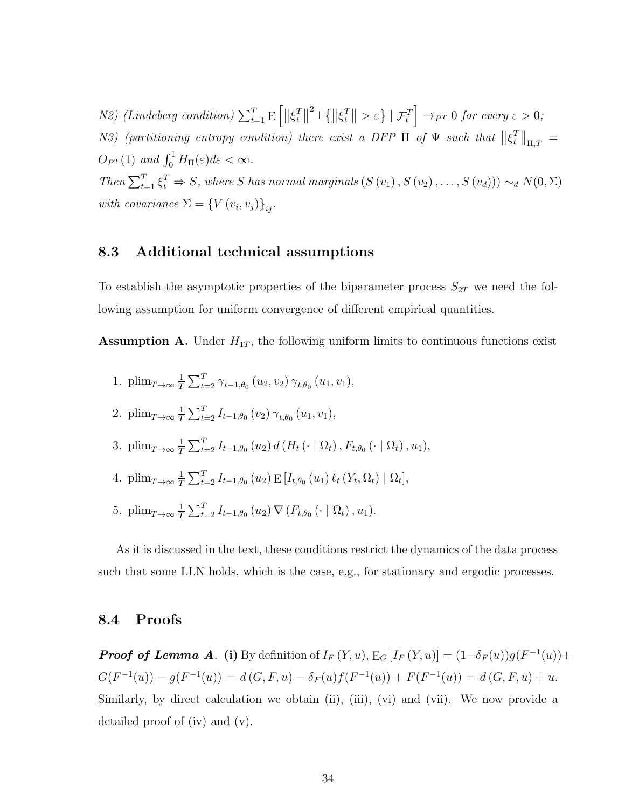N2) (Lindeberg condition)  $\sum_{t=1}^{T} \mathrm{E}\left[\|\xi_t^T\right]$  $\left| \begin{matrix} T \\ t \end{matrix} \right|$ <sup>2</sup> 1  $\{\|\xi_t^T\}$  $\left\{ \left. \begin{array}{c} T \\ t \end{array} \right| > \varepsilon \right\} \left| \right. \mathcal{F}_t^T$  $\Big] \rightarrow_{P^T} 0$  for every  $\varepsilon > 0$ ; N3) (partitioning entropy condition) there exist a DFP  $\Pi$  of  $\Psi$  such that  $\|\xi_t^T\|$  $T \parallel_{\Pi,T} =$  $O_{P^T}(1)$  and  $\int_0^1 H_{\Pi}(\varepsilon)d\varepsilon < \infty$ . Then  $\sum_{t=1}^{T} \xi_t^T \Rightarrow S$ , where S has normal marginals  $(S(v_1), S(v_2), \ldots, S(v_d)) \sim_d N(0, \Sigma)$ with covariance  $\Sigma = \{V(v_i, v_j)\}_{ij}$ .

#### 8.3 Additional technical assumptions

To establish the asymptotic properties of the biparameter process  $S_{2T}$  we need the following assumption for uniform convergence of different empirical quantities.

**Assumption A.** Under  $H_{1T}$ , the following uniform limits to continuous functions exist

1.  $\text{plim}_{T\to\infty}\frac{1}{T}$  $\frac{1}{T} \sum_{t=2}^{T} \gamma_{t-1,\theta_0} (u_2, v_2) \gamma_{t,\theta_0} (u_1, v_1),$ 2. plim $_{T\rightarrow\infty}\frac{1}{T}$  $\frac{1}{T} \sum_{t=2}^{T} I_{t-1,\theta_0}(v_2) \gamma_{t,\theta_0}(u_1,v_1),$ 3. plim $_{T\rightarrow\infty}\frac{1}{T}$  $\frac{1}{T} \sum_{t=2}^{T} I_{t-1,\theta_0} (u_2) d (H_t (\cdot | \Omega_t), F_{t,\theta_0} (\cdot | \Omega_t), u_1),$ 4. plim $_{T\rightarrow\infty}\frac{1}{T}$  $\frac{1}{T} \sum_{t=2}^{T} I_{t-1,\theta_0} (u_2) \mathbb{E} [I_{t,\theta_0} (u_1) \ell_t (Y_t, \Omega_t) | \Omega_t],$ 5. plim $_{T\rightarrow\infty}\frac{1}{T}$  $\frac{1}{T} \sum_{t=2}^{T} I_{t-1,\theta_0}(u_2) \nabla (F_{t,\theta_0}(\cdot | \Omega_t), u_1).$ 

As it is discussed in the text, these conditions restrict the dynamics of the data process such that some LLN holds, which is the case, e.g., for stationary and ergodic processes.

#### 8.4 Proofs

**Proof of Lemma A.** (i) By definition of  $I_F(Y, u)$ ,  $E_G[I_F(Y, u)] = (1 - \delta_F(u))g(F^{-1}(u)) +$  $G(F^{-1}(u)) - g(F^{-1}(u)) = d(G, F, u) - \delta_F(u)f(F^{-1}(u)) + F(F^{-1}(u)) = d(G, F, u) + u.$ Similarly, by direct calculation we obtain (ii), (iii), (vi) and (vii). We now provide a detailed proof of (iv) and (v).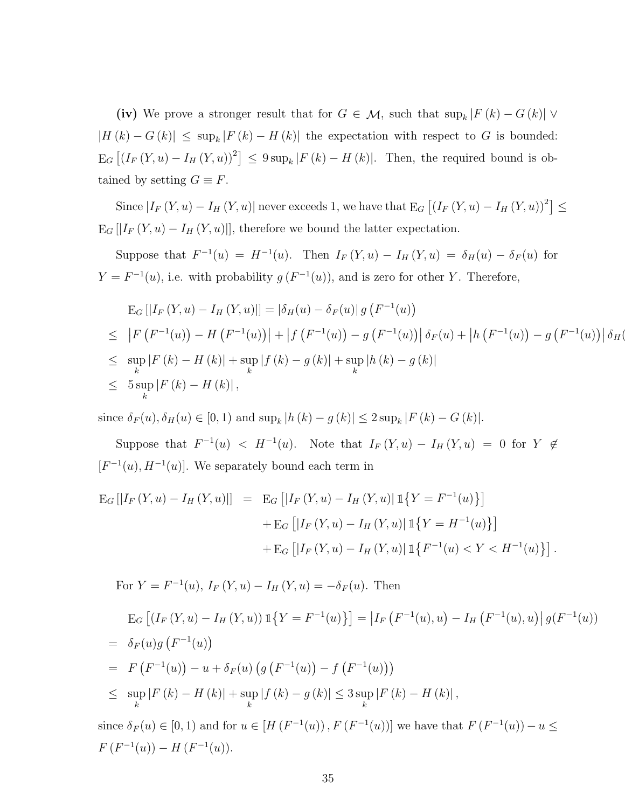(iv) We prove a stronger result that for  $G \in \mathcal{M}$ , such that  $\sup_k |F(k) - G(k)| \vee$  $|H(k) - G(k)| \le \sup_k |F(k) - H(k)|$  the expectation with respect to G is bounded:  $E_G [(I_F(Y, u) - I_H(Y, u))^2] \leq 9 \sup_k |F(k) - H(k)|$ . Then, the required bound is obtained by setting  $G \equiv F$ .

Since  $|I_F(Y, u) - I_H(Y, u)|$  never exceeds 1, we have that  $E_G([I_F(Y, u) - I_H(Y, u))^2] \le$  $E_G[|I_F(Y, u) - I_H(Y, u)|]$ , therefore we bound the latter expectation.

Suppose that  $F^{-1}(u) = H^{-1}(u)$ . Then  $I_F(Y, u) - I_H(Y, u) = \delta_H(u) - \delta_F(u)$  for  $Y = F^{-1}(u)$ , i.e. with probability  $g(F^{-1}(u))$ , and is zero for other Y. Therefore,

$$
\begin{aligned}\n\mathcal{E}_{G} \left[ \left| I_{F} \left( Y, u \right) - I_{H} \left( Y, u \right) \right| \right] &= \left| \delta_{H}(u) - \delta_{F}(u) \right| g \left( F^{-1}(u) \right) \\
&\leq \left| F \left( F^{-1}(u) \right) - H \left( F^{-1}(u) \right) \right| + \left| f \left( F^{-1}(u) \right) - g \left( F^{-1}(u) \right) \right| \delta_{F}(u) + \left| h \left( F^{-1}(u) \right) - g \left( F^{-1}(u) \right) \right| \delta_{H}(u) \\
&\leq \sup_{k} \left| F \left( k \right) - H \left( k \right) \right| + \sup_{k} \left| f \left( k \right) - g \left( k \right) \right| + \sup_{k} \left| h \left( k \right) - g \left( k \right) \right| \\
&\leq 5 \sup_{k} \left| F \left( k \right) - H \left( k \right) \right|,\n\end{aligned}
$$

since  $\delta_F(u), \delta_H(u) \in [0, 1)$  and  $\sup_k |h(k) - g(k)| \leq 2 \sup_k |F(k) - G(k)|$ .

Suppose that  $F^{-1}(u) < H^{-1}(u)$ . Note that  $I_F(Y, u) - I_H(Y, u) = 0$  for  $Y \notin$  $[F^{-1}(u), H^{-1}(u)]$ . We separately bound each term in

$$
E_G [|I_F(Y, u) - I_H(Y, u)] = E_G [|I_F(Y, u) - I_H(Y, u)] \mathbb{1}\{Y = F^{-1}(u)\}] + E_G [|I_F(Y, u) - I_H(Y, u)] \mathbb{1}\{Y = H^{-1}(u)\}] + E_G [|I_F(Y, u) - I_H(Y, u)] \mathbb{1}\{F^{-1}(u) < Y < H^{-1}(u)\}].
$$

For  $Y = F^{-1}(u)$ ,  $I_F(Y, u) - I_H(Y, u) = -\delta_F(u)$ . Then

$$
E_G [(I_F (Y, u) - I_H (Y, u)) \mathbb{1}\{Y = F^{-1}(u)\}] = |I_F (F^{-1}(u), u) - I_H (F^{-1}(u), u)| g(F^{-1}(u))
$$
  
=  $\delta_F(u)g (F^{-1}(u))$   
=  $F (F^{-1}(u)) - u + \delta_F(u) (g (F^{-1}(u)) - f (F^{-1}(u)))$   
 $\leq \sup_k |F (k) - H (k)| + \sup_k |f (k) - g (k)| \leq 3 \sup_k |F (k) - H (k)|$ ,

since  $\delta_F(u) \in [0, 1)$  and for  $u \in [H(F^{-1}(u)), F(F^{-1}(u))]$  we have that  $F(F^{-1}(u)) - u \le$  $F(F^{-1}(u)) - H(F^{-1}(u)).$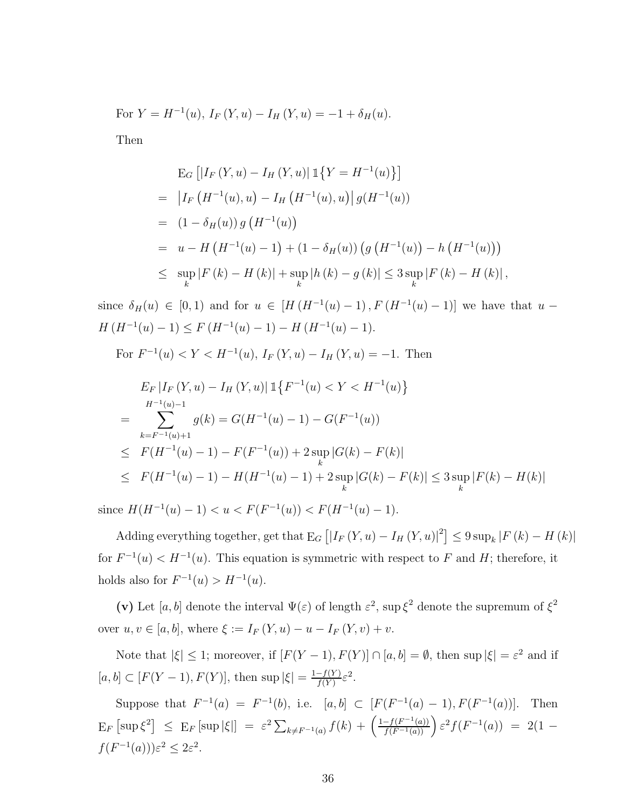For  $Y = H^{-1}(u)$ ,  $I_F(Y, u) - I_H(Y, u) = -1 + \delta_H(u)$ .

Then

$$
\begin{aligned}\n\mathcal{E}_G \left[ \left| I_F \left( Y, u \right) - I_H \left( Y, u \right) \right| \mathbb{1} \left\{ Y = H^{-1}(u) \right\} \right] \\
= & \left| I_F \left( H^{-1}(u), u \right) - I_H \left( H^{-1}(u), u \right) \right| g(H^{-1}(u)) \\
= & \left( 1 - \delta_H(u) \right) g \left( H^{-1}(u) \right) \\
= & u - H \left( H^{-1}(u) - 1 \right) + \left( 1 - \delta_H(u) \right) \left( g \left( H^{-1}(u) \right) - h \left( H^{-1}(u) \right) \right) \\
\leq & \sup_k |F(k) - H(k)| + \sup_k |h(k) - g(k)| \leq 3 \sup_k |F(k) - H(k)| \,,\n\end{aligned}
$$

since  $\delta_H(u) \in [0,1)$  and for  $u \in [H(H^{-1}(u)-1), F(H^{-1}(u)-1)]$  we have that  $u$  –  $H(H^{-1}(u) - 1) \leq F(H^{-1}(u) - 1) - H(H^{-1}(u) - 1).$ 

For  $F^{-1}(u) < Y < H^{-1}(u)$ ,  $I_F(Y, u) - I_H(Y, u) = -1$ . Then

$$
E_F |I_F(Y, u) - I_H(Y, u)| \mathbb{1}\lbrace F^{-1}(u) < Y < H^{-1}(u) \rbrace
$$
  
= 
$$
\sum_{k=F^{-1}(u)+1}^{H^{-1}(u)-1} g(k) = G(H^{-1}(u) - 1) - G(F^{-1}(u))
$$
  

$$
\leq F(H^{-1}(u) - 1) - F(F^{-1}(u)) + 2 \sup_k |G(k) - F(k)|
$$
  

$$
\leq F(H^{-1}(u) - 1) - H(H^{-1}(u) - 1) + 2 \sup_k |G(k) - F(k)| \leq 3 \sup_k |F(k) - H(k)|
$$

since  $H(H^{-1}(u) - 1) < u < F(F^{-1}(u)) < F(H^{-1}(u) - 1)$ .

Adding everything together, get that  $E_G [ |I_F(Y, u) - I_H(Y, u)|^2 ] \leq 9 \sup_k |F(k) - H(k)|$ for  $F^{-1}(u) < H^{-1}(u)$ . This equation is symmetric with respect to F and H; therefore, it holds also for  $F^{-1}(u) > H^{-1}(u)$ .

(v) Let [a, b] denote the interval  $\Psi(\varepsilon)$  of length  $\varepsilon^2$ , sup  $\xi^2$  denote the supremum of  $\xi^2$ over  $u, v \in [a, b]$ , where  $\xi := I_F(Y, u) - u - I_F(Y, v) + v$ .

Note that  $|\xi| \leq 1$ ; moreover, if  $[F(Y-1), F(Y)] \cap [a, b] = \emptyset$ , then sup  $|\xi| = \varepsilon^2$  and if  $[a, b] \subset [F(Y-1), F(Y)],$  then sup  $|\xi| = \frac{1 - f(Y)}{f(Y)}$  $\frac{-f(Y)}{f(Y)} \varepsilon^2.$ 

Suppose that  $F^{-1}(a) = F^{-1}(b)$ , i.e.  $[a, b] \subset [F(F^{-1}(a) - 1), F(F^{-1}(a))]$ . Then  $E_F \left[ \sup \xi^2 \right] \leq E_F \left[ \sup |\xi| \right] = \varepsilon^2 \sum_{k \neq F^{-1}(a)} f(k) + \left( \frac{1 - f(F^{-1}(a))}{f(F^{-1}(a))} \right) \varepsilon^2 f(F^{-1}(a)) = 2(1 - \frac{1}{\varepsilon^2})$  $f(F^{-1}(a)))\varepsilon^2 \leq 2\varepsilon^2.$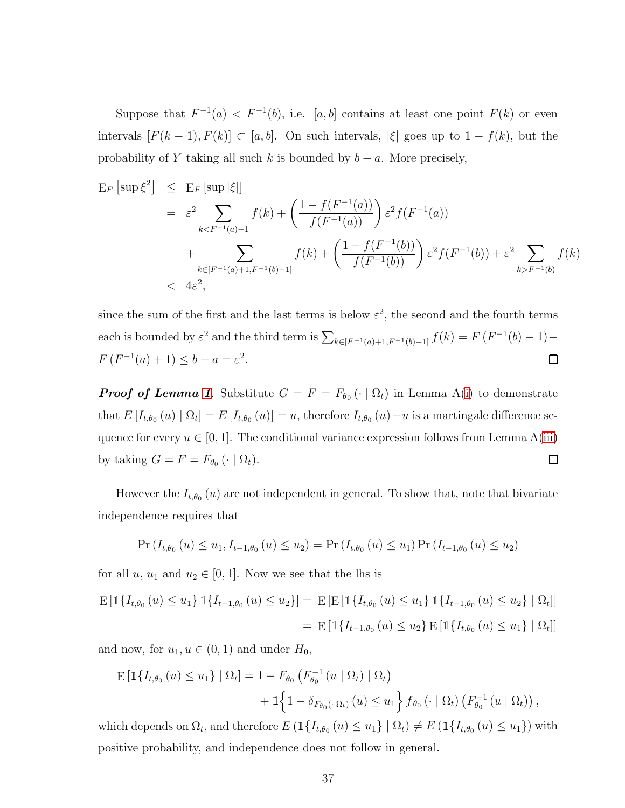Suppose that  $F^{-1}(a) < F^{-1}(b)$ , i.e. [a, b] contains at least one point  $F(k)$  or even intervals  $[F(k-1), F(k)] \subset [a, b]$ . On such intervals,  $|\xi|$  goes up to  $1 - f(k)$ , but the probability of Y taking all such k is bounded by  $b - a$ . More precisely,

$$
E_F\left[\sup\xi^2\right] \leq E_F\left[\sup|\xi|\right]
$$
  
=  $\varepsilon^2 \sum_{k < F^{-1}(a)-1} f(k) + \left(\frac{1 - f(F^{-1}(a))}{f(F^{-1}(a))}\right) \varepsilon^2 f(F^{-1}(a))$   
+  $\sum_{k \in [F^{-1}(a)+1, F^{-1}(b)-1]} f(k) + \left(\frac{1 - f(F^{-1}(b))}{f(F^{-1}(b))}\right) \varepsilon^2 f(F^{-1}(b)) + \varepsilon^2 \sum_{k > F^{-1}(b)} f(k)$   
<  $4\varepsilon^2$ ,

since the sum of the first and the last terms is below  $\varepsilon^2$ , the second and the fourth terms each is bounded by  $\varepsilon^2$  and the third term is  $\sum_{k \in [F^{-1}(a)+1, F^{-1}(b)-1]} f(k) = F(F^{-1}(b) - 1) F(F^{-1}(a) + 1) \le b - a = \varepsilon^2.$  $\Box$ 

**Proof of Lemma [1](#page-8-0)**. Substitute  $G = F = F_{\theta_0}(\cdot | \Omega_t)$  in Lemma A[\(i\)](#page-30-0) to demonstrate that  $E[I_{t,\theta_0}(u) | \Omega_t] = E[I_{t,\theta_0}(u)] = u$ , therefore  $I_{t,\theta_0}(u) - u$  is a martingale difference sequence for every  $u \in [0, 1]$ . The conditional variance expression follows from Lemma A[\(iii\)](#page-30-1) by taking  $G = F = F_{\theta_0} (\cdot \mid \Omega_t)$ .  $\Box$ 

However the  $I_{t,\theta_0}(u)$  are not independent in general. To show that, note that bivariate independence requires that

$$
\Pr(I_{t,\theta_0}(u) \le u_1, I_{t-1,\theta_0}(u) \le u_2) = \Pr(I_{t,\theta_0}(u) \le u_1) \Pr(I_{t-1,\theta_0}(u) \le u_2)
$$

for all  $u, u_1$  and  $u_2 \in [0, 1]$ . Now we see that the lhs is

$$
E\left[\mathbb{1}\{I_{t,\theta_0}(u) \le u_1\} \mathbb{1}\{I_{t-1,\theta_0}(u) \le u_2\}\right] = E\left[E\left[\mathbb{1}\{I_{t,\theta_0}(u) \le u_1\} \mathbb{1}\{I_{t-1,\theta_0}(u) \le u_2\} \mid \Omega_t\right]\right]
$$

$$
= E\left[\mathbb{1}\{I_{t-1,\theta_0}(u) \le u_2\} \mathbb{1}\{I_{t,\theta_0}(u) \le u_1\} \mid \Omega_t\right]
$$

and now, for  $u_1, u \in (0, 1)$  and under  $H_0$ ,

$$
\begin{split} \mathbb{E} \left[ \mathbb{1} \{ I_{t,\theta_0} \left( u \right) \leq u_1 \} \mid \Omega_t \right] &= 1 - F_{\theta_0} \left( F_{\theta_0}^{-1} \left( u \mid \Omega_t \right) \mid \Omega_t \right) \\ &+ \mathbb{1} \Big\{ 1 - \delta_{F_{\theta_0}(\cdot | \Omega_t)} \left( u \right) \leq u_1 \Big\} \, f_{\theta_0} \left( \cdot \mid \Omega_t \right) \left( F_{\theta_0}^{-1} \left( u \mid \Omega_t \right) \right), \end{split}
$$

which depends on  $\Omega_t$ , and therefore  $E(\mathbb{1}\{I_{t,\theta_0}(u) \leq u_1\} | \Omega_t) \neq E(\mathbb{1}\{I_{t,\theta_0}(u) \leq u_1\})$  with positive probability, and independence does not follow in general.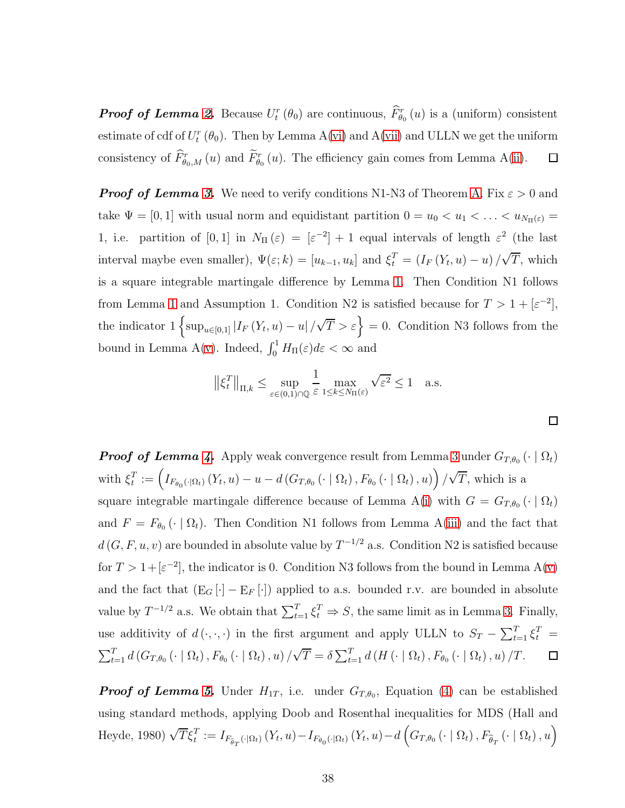**Proof of Lemma [2.](#page-9-0)** Because  $U_t^r(\theta_0)$  are continuous,  $\tilde{F}_{\theta_0}^r(u)$  is a (uniform) consistent estimate of cdf of  $U_t^r(\theta_0)$ . Then by Lemma A[\(vi\)](#page-32-0) and A[\(vii\)](#page-32-1) and ULLN we get the uniform consistency of  $\hat{F}_{\theta_0,M}^r(u)$  and  $\hat{F}_{\theta_0}^r(u)$ . The efficiency gain comes from Lemma A[\(ii\)](#page-30-2).  $\Box$ 

**Proof of Lemma [3.](#page-10-0)** We need to verify conditions N1-N3 of Theorem [A.](#page-32-2) Fix  $\varepsilon > 0$  and take  $\Psi = [0, 1]$  with usual norm and equidistant partition  $0 = u_0 < u_1 < \ldots < u_{N_{\Pi}(\varepsilon)} =$ 1, i.e. partition of  $[0,1]$  in  $N_{\Pi}(\varepsilon) = [\varepsilon^{-2}] + 1$  equal intervals of length  $\varepsilon^2$  (the last interval maybe even smaller),  $\Psi(\varepsilon; k) = [u_{k-1}, u_k]$  and  $\xi_t^T = (I_F(Y_t, u) - u) / \sqrt{T}$ , which is a square integrable martingale difference by Lemma [1.](#page-8-0) Then Condition N1 follows from Lemma [1](#page-8-0) and Assumption 1. Condition N2 is satisfied because for  $T > 1 + [\varepsilon^{-2}]$ , the indicator  $1 \left\{ \sup_{u \in [0,1]} |I_F(Y_t, u) - u| / \sqrt{T} > \varepsilon \right\} = 0$ . Condition N3 follows from the bound in Lemma A[\(v\)](#page-30-3). Indeed,  $\int_0^1 H_{\Pi}(\varepsilon) d\varepsilon < \infty$  and

$$
\|\xi_t^T\|_{\Pi,k} \le \sup_{\varepsilon \in (0,1) \cap \mathbb{Q}} \frac{1}{\varepsilon} \max_{1 \le k \le N_{\Pi}(\varepsilon)} \sqrt{\varepsilon^2} \le 1 \quad \text{a.s.}
$$

 $\Box$ 

**Proof of Lemma [4.](#page-11-0)** Apply weak convergence result from Lemma [3](#page-10-0) under  $G_{T,\theta_0}$  ( $\cdot \mid \Omega_t$ )  $T_t^T := \left(I_{F_{\theta_0}(\cdot|\Omega_t)}(Y_t, u) - u - d(G_{T,\theta_0}(\cdot | \Omega_t), F_{\theta_0}(\cdot | \Omega_t), u)\right) / \sqrt{T}$ , which is a with  $\xi_t^T$ square integrable martingale difference because of Lemma A[\(i\)](#page-30-0) with  $G = G_{T,\theta_0}(\cdot | \Omega_t)$ and  $F = F_{\theta_0}(\cdot | \Omega_t)$ . Then Condition N1 follows from Lemma A[\(iii\)](#page-30-1) and the fact that  $d(G, F, u, v)$  are bounded in absolute value by  $T^{-1/2}$  a.s. Condition N2 is satisfied because for  $T > 1 + [\varepsilon^{-2}]$ , the indicator is 0. Condition N3 follows from the bound in Lemma A[\(v\)](#page-30-3) and the fact that  $(E_G[\cdot] - E_F[\cdot])$  applied to a.s. bounded r.v. are bounded in absolute value by  $T^{-1/2}$  a.s. We obtain that  $\sum_{t=1}^{T} \xi_t^T \Rightarrow S$ , the same limit as in Lemma [3.](#page-10-0) Finally, use additivity of  $d(\cdot, \cdot, \cdot)$  in the first argument and apply ULLN to  $S_T - \sum_{t=1}^T \xi_t^T =$  $\sum_{t=1}^{T} d(G_{T,\theta_0}(\cdot \mid \Omega_t), F_{\theta_0}(\cdot \mid \Omega_t), u) / \sqrt{T} = \delta \sum_{t=1}^{T} d(H(\cdot \mid \Omega_t), F_{\theta_0}(\cdot \mid \Omega_t), u) / T$ .  $\Box$ 

**Proof of Lemma [5.](#page-13-1)** Under  $H_{1T}$ , i.e. under  $G_{T,\theta_0}$ , Equation [\(4\)](#page-13-2) can be established using standard methods, applying Doob and Rosenthal inequalities for MDS (Hall and Heyde, 1980)  $\sqrt{T}\xi_t^T := I_{F_{\widehat{\theta}_T}(\cdot|\Omega_t)}(Y_t, u) - I_{F_{\theta_0}(\cdot|\Omega_t)}(Y_t, u) - d\left(G_{T,\theta_0}(\cdot | \Omega_t), F_{\widehat{\theta}_T}(\cdot | \Omega_t), u\right)$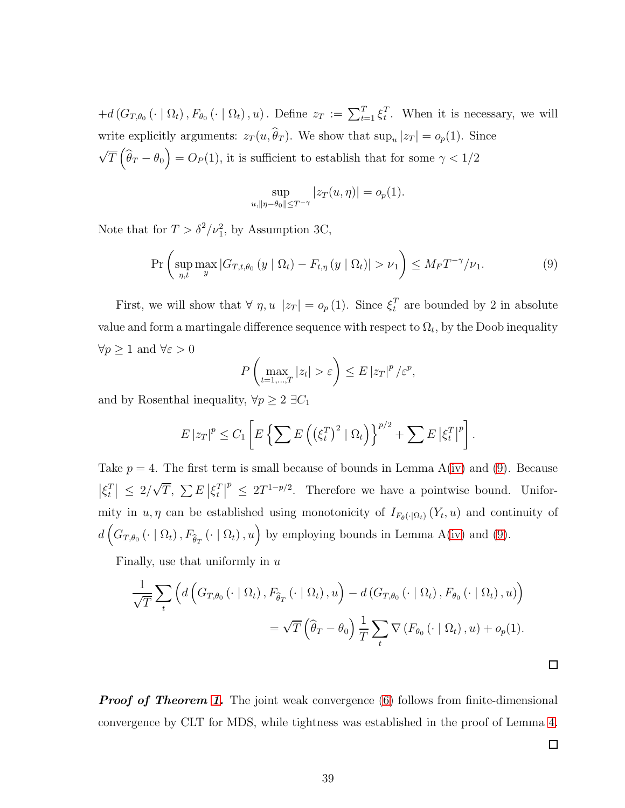$+ d(G_{T,\theta_0}(\cdot | \Omega_t), F_{\theta_0}(\cdot | \Omega_t), u)$ . Define  $z_T := \sum_{t=1}^T \xi_t^T$  $t<sup>T</sup>$ . When it is necessary, we will write explicitly arguments:  $z_T(u, \theta_T)$ . We show that  $\sup_u |z_T| = o_p(1)$ . Since  $\sqrt{T} \left( \widehat{\theta}_T - \theta_0 \right) = O_P(1)$ , it is sufficient to establish that for some  $\gamma < 1/2$ 

$$
\sup_{u, \|\eta - \theta_0\| \le T^{-\gamma}} |z_T(u, \eta)| = o_p(1).
$$

Note that for  $T > \delta^2/\nu_1^2$ , by Assumption 3C,

<span id="page-38-0"></span>
$$
\Pr\left(\sup_{\eta,t}\max_{y}|G_{T,t,\theta_0}(y\mid\Omega_t)-F_{t,\eta}(y\mid\Omega_t)|>\nu_1\right)\leq M_{F}T^{-\gamma}/\nu_1.
$$
\n(9)

First, we will show that  $\forall \eta, u \, |z_T| = o_p(1)$ . Since  $\xi_t^T$  are bounded by 2 in absolute value and form a martingale difference sequence with respect to  $\Omega_t$ , by the Doob inequality  $\forall p\geq 1$  and  $\forall \varepsilon>0$ 

$$
P\left(\max_{t=1,\dots,T}|z_t| > \varepsilon\right) \le E\left|z_T\right|^p / \varepsilon^p,
$$

and by Rosenthal inequality,  $\forall p \geq 2$  ∃ $C_1$ 

$$
E |z_T|^p \leq C_1 \left[ E \left\{ \sum E \left( \left( \xi_t^T \right)^2 | \Omega_t \right) \right\}^{p/2} + \sum E \left| \xi_t^T \right|^p \right].
$$

Take  $p = 4$ . The first term is small because of bounds in Lemma A[\(iv\)](#page-30-4) and [\(9\)](#page-38-0). Because  $\big| \xi^T_t$  $\left| \sum_{t}^{T} \right| \leq 2/\sqrt{T}, \sum E \left| \xi_t^T \right|$  $\left| \begin{matrix} T \\ t \end{matrix} \right|$  $p^p \leq 2T^{1-p/2}$ . Therefore we have a pointwise bound. Uniformity in  $u, \eta$  can be established using monotonicity of  $I_{F_{\theta}(\cdot|\Omega_t)}(Y_t, u)$  and continuity of  $d\left(G_{T,\theta_0}\left(\cdot\mid \Omega_t\right), F_{\widehat{\theta}_T}\left(\cdot\mid \Omega_t\right), u\right)$  by employing bounds in Lemma A[\(iv\)](#page-30-4) and [\(9\)](#page-38-0).

Finally, use that uniformly in  $u$ 

$$
\frac{1}{\sqrt{T}} \sum_{t} \left( d \left( G_{T,\theta_0} \left( \cdot \mid \Omega_t \right), F_{\hat{\theta}_T} \left( \cdot \mid \Omega_t \right), u \right) - d \left( G_{T,\theta_0} \left( \cdot \mid \Omega_t \right), F_{\theta_0} \left( \cdot \mid \Omega_t \right), u \right) \right)
$$

$$
= \sqrt{T} \left( \hat{\theta}_T - \theta_0 \right) \frac{1}{T} \sum_{t} \nabla \left( F_{\theta_0} \left( \cdot \mid \Omega_t \right), u \right) + o_p(1).
$$

**Proof of Theorem [1.](#page-14-0)** The joint weak convergence [\(6\)](#page-14-1) follows from finite-dimensional convergence by CLT for MDS, while tightness was established in the proof of Lemma [4.](#page-11-0)

 $\Box$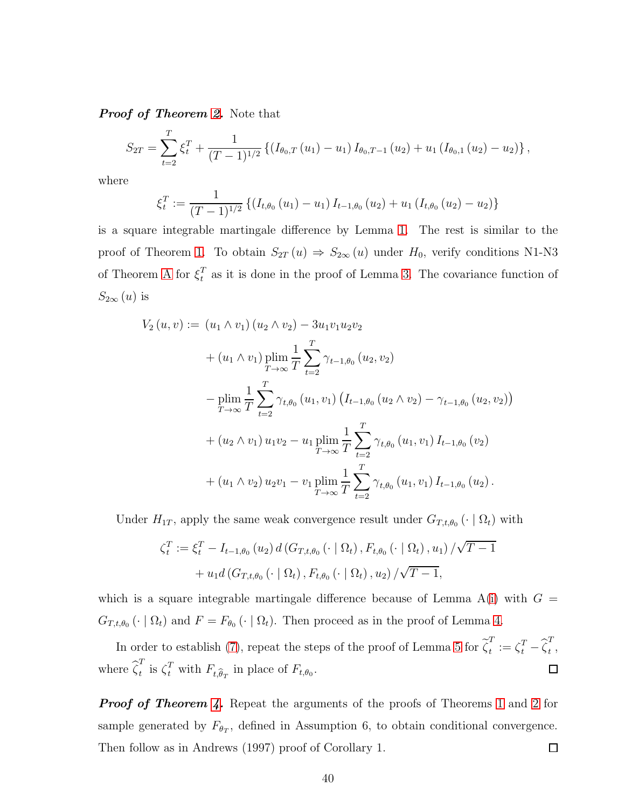**Proof of Theorem [2.](#page-17-0)** Note that

$$
S_{2T} = \sum_{t=2}^{T} \xi_t^T + \frac{1}{(T-1)^{1/2}} \left\{ \left( I_{\theta_0,T}(u_1) - u_1 \right) I_{\theta_0,T-1}(u_2) + u_1 \left( I_{\theta_0,1}(u_2) - u_2 \right) \right\},
$$

where

$$
\xi_t^T := \frac{1}{(T-1)^{1/2}} \left\{ \left(I_{t,\theta_0}(u_1) - u_1\right) I_{t-1,\theta_0}(u_2) + u_1 \left(I_{t,\theta_0}(u_2) - u_2\right) \right\}
$$

is a square integrable martingale difference by Lemma [1.](#page-8-0) The rest is similar to the proof of Theorem [1.](#page-14-0) To obtain  $S_{2T}(u) \Rightarrow S_{2\infty}(u)$  under  $H_0$ , verify conditions N1-N3 of Theorem [A](#page-32-2) for  $\xi_t^T$  $_t^T$  as it is done in the proof of Lemma [3.](#page-10-0) The covariance function of  $S_{2\infty}(u)$  is

$$
V_2 (u, v) := (u_1 \wedge v_1) (u_2 \wedge v_2) - 3u_1v_1u_2v_2
$$
  
+  $(u_1 \wedge v_1) \plim_{T \to \infty} \frac{1}{T} \sum_{t=2}^T \gamma_{t-1,\theta_0} (u_2, v_2)$   
-  $\plim_{T \to \infty} \frac{1}{T} \sum_{t=2}^T \gamma_{t,\theta_0} (u_1, v_1) (I_{t-1,\theta_0} (u_2 \wedge v_2) - \gamma_{t-1,\theta_0} (u_2, v_2))$   
+  $(u_2 \wedge v_1) u_1v_2 - u_1 \plim_{T \to \infty} \frac{1}{T} \sum_{t=2}^T \gamma_{t,\theta_0} (u_1, v_1) I_{t-1,\theta_0} (v_2)$   
+  $(u_1 \wedge v_2) u_2v_1 - v_1 \plim_{T \to \infty} \frac{1}{T} \sum_{t=2}^T \gamma_{t,\theta_0} (u_1, v_1) I_{t-1,\theta_0} (u_2).$ 

Under  $H_{1T}$ , apply the same weak convergence result under  $G_{T,t,\theta_0}(\cdot | \Omega_t)$  with

$$
\zeta_t^T := \xi_t^T - I_{t-1,\theta_0}(u_2) d(G_{T,t,\theta_0}(\cdot | \Omega_t), F_{t,\theta_0}(\cdot | \Omega_t), u_1) / \sqrt{T-1} + u_1 d(G_{T,t,\theta_0}(\cdot | \Omega_t), F_{t,\theta_0}(\cdot | \Omega_t), u_2) / \sqrt{T-1},
$$

which is a square integrable martingale difference because of Lemma  $A(i)$  $A(i)$  with  $G =$  $G_{T,t,\theta_0}(\cdot | \Omega_t)$  and  $F = F_{\theta_0}(\cdot | \Omega_t)$ . Then proceed as in the proof of Lemma [4.](#page-11-0)

In order to establish [\(7\)](#page-16-0), repeat the steps of the proof of Lemma [5](#page-13-1) for  $\tilde{\zeta}_t^T$  $\mathcal{L}_t^T := \zeta_t^T - \widehat{\zeta}_t^T$  $\frac{1}{t}$ , where  $\widehat{\zeta}_t^T$ <sup>t</sup> is  $\zeta_t^T$  with  $F_{t,\widehat{\theta}_T}$  in place of  $F_{t,\theta_0}$ .  $\Box$ 

**Proof of Theorem [4.](#page-19-0)** Repeat the arguments of the proofs of Theorems [1](#page-14-0) and [2](#page-17-0) for sample generated by  $F_{\theta_T}$ , defined in Assumption 6, to obtain conditional convergence. Then follow as in Andrews (1997) proof of Corollary 1.  $\Box$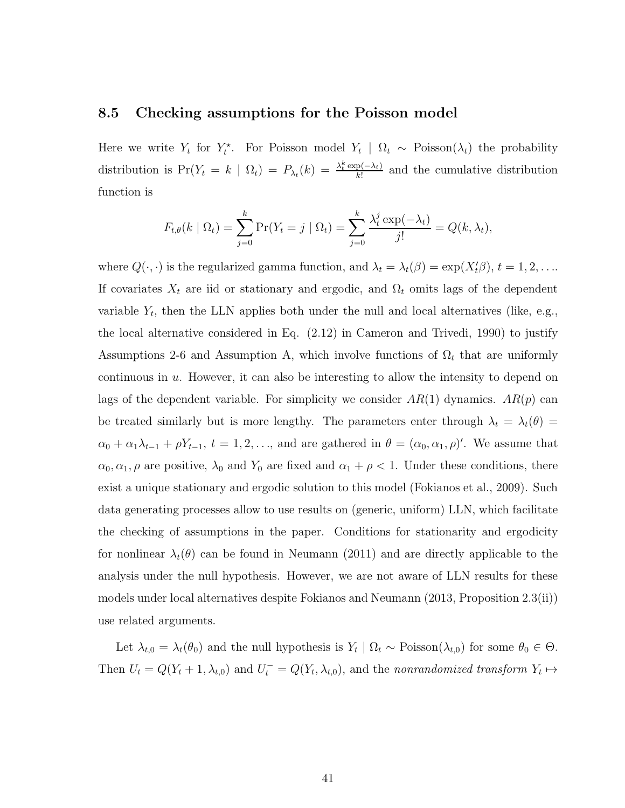#### 8.5 Checking assumptions for the Poisson model

Here we write  $Y_t$  for  $Y_t^*$ . For Poisson model  $Y_t | \Omega_t \sim \text{Poisson}(\lambda_t)$  the probability distribution is  $Pr(Y_t = k \mid \Omega_t) = P_{\lambda_t}(k) = \frac{\lambda_t^k \exp(-\lambda_t)}{k!}$  $\frac{p(-\lambda_t)}{k!}$  and the cumulative distribution function is

$$
F_{t,\theta}(k \mid \Omega_t) = \sum_{j=0}^k \Pr(Y_t = j \mid \Omega_t) = \sum_{j=0}^k \frac{\lambda_t^j \exp(-\lambda_t)}{j!} = Q(k, \lambda_t),
$$

where  $Q(\cdot, \cdot)$  is the regularized gamma function, and  $\lambda_t = \lambda_t(\beta) = \exp(X_t' \beta), t = 1, 2, \dots$ If covariates  $X_t$  are iid or stationary and ergodic, and  $\Omega_t$  omits lags of the dependent variable  $Y_t$ , then the LLN applies both under the null and local alternatives (like, e.g., the local alternative considered in Eq. (2.12) in Cameron and Trivedi, 1990) to justify Assumptions 2-6 and Assumption A, which involve functions of  $\Omega_t$  that are uniformly continuous in  $u$ . However, it can also be interesting to allow the intensity to depend on lags of the dependent variable. For simplicity we consider  $AR(1)$  dynamics.  $AR(p)$  can be treated similarly but is more lengthy. The parameters enter through  $\lambda_t = \lambda_t(\theta)$  $\alpha_0 + \alpha_1 \lambda_{t-1} + \rho Y_{t-1}, t = 1, 2, \ldots$ , and are gathered in  $\theta = (\alpha_0, \alpha_1, \rho)'$ . We assume that  $\alpha_0, \alpha_1, \rho$  are positive,  $\lambda_0$  and  $Y_0$  are fixed and  $\alpha_1 + \rho < 1$ . Under these conditions, there exist a unique stationary and ergodic solution to this model (Fokianos et al., 2009). Such data generating processes allow to use results on (generic, uniform) LLN, which facilitate the checking of assumptions in the paper. Conditions for stationarity and ergodicity for nonlinear  $\lambda_t(\theta)$  can be found in Neumann (2011) and are directly applicable to the analysis under the null hypothesis. However, we are not aware of LLN results for these models under local alternatives despite Fokianos and Neumann (2013, Proposition 2.3(ii)) use related arguments.

Let  $\lambda_{t,0} = \lambda_t(\theta_0)$  and the null hypothesis is  $Y_t | \Omega_t \sim \text{Poisson}(\lambda_{t,0})$  for some  $\theta_0 \in \Theta$ . Then  $U_t = Q(Y_t + 1, \lambda_{t,0})$  and  $U_t^- = Q(Y_t, \lambda_{t,0})$ , and the nonrandomized transform  $Y_t \mapsto$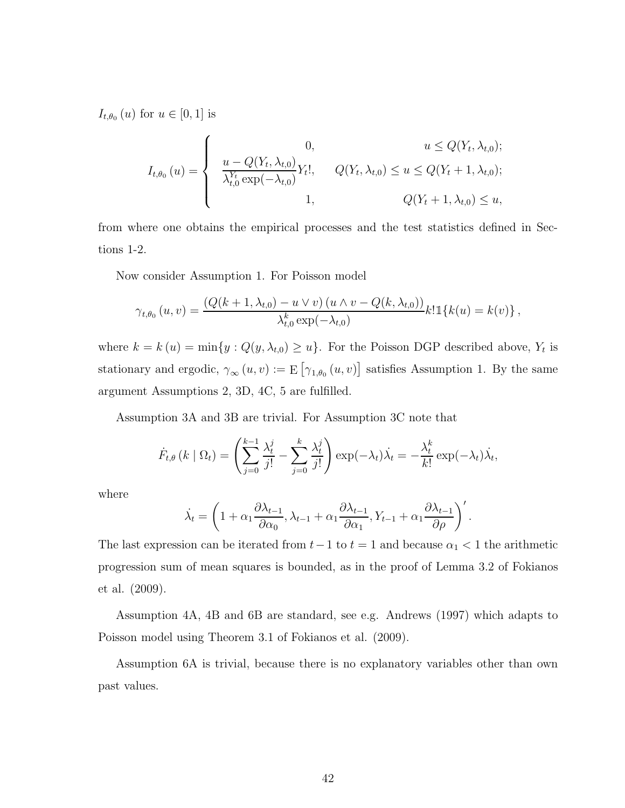$I_{t,\theta_0}(u)$  for  $u \in [0,1]$  is

$$
I_{t,\theta_0}(u) = \begin{cases} 0, & u \le Q(Y_t, \lambda_{t,0});\\ \frac{u - Q(Y_t, \lambda_{t,0})}{\lambda_{t,0}^{Y_t} \exp(-\lambda_{t,0})} Y_t!, & Q(Y_t, \lambda_{t,0}) \le u \le Q(Y_t + 1, \lambda_{t,0});\\ 1, & Q(Y_t + 1, \lambda_{t,0}) \le u, \end{cases}
$$

from where one obtains the empirical processes and the test statistics defined in Sections 1-2.

Now consider Assumption 1. For Poisson model

$$
\gamma_{t,\theta_0}(u,v) = \frac{(Q(k+1,\lambda_{t,0}) - u \vee v) (u \wedge v - Q(k,\lambda_{t,0}))}{\lambda_{t,0}^k \exp(-\lambda_{t,0})} k! \mathbb{1}\{k(u) = k(v)\},
$$

where  $k = k(u) = \min\{y : Q(y, \lambda_{t,0}) \ge u\}$ . For the Poisson DGP described above,  $Y_t$  is stationary and ergodic,  $\gamma_{\infty}(u, v) := \mathbb{E}[\gamma_{1, \theta_0}(u, v)]$  satisfies Assumption 1. By the same argument Assumptions 2, 3D, 4C, 5 are fulfilled.

Assumption 3A and 3B are trivial. For Assumption 3C note that

$$
\dot{F}_{t,\theta}(k \mid \Omega_t) = \left(\sum_{j=0}^{k-1} \frac{\lambda_t^j}{j!} - \sum_{j=0}^k \frac{\lambda_t^j}{j!} \right) \exp(-\lambda_t) \dot{\lambda}_t = -\frac{\lambda_t^k}{k!} \exp(-\lambda_t) \dot{\lambda}_t,
$$

where

$$
\dot{\lambda}_t = \left(1 + \alpha_1 \frac{\partial \lambda_{t-1}}{\partial \alpha_0}, \lambda_{t-1} + \alpha_1 \frac{\partial \lambda_{t-1}}{\partial \alpha_1}, Y_{t-1} + \alpha_1 \frac{\partial \lambda_{t-1}}{\partial \rho}\right)'.
$$

The last expression can be iterated from  $t-1$  to  $t = 1$  and because  $\alpha_1 < 1$  the arithmetic progression sum of mean squares is bounded, as in the proof of Lemma 3.2 of Fokianos et al. (2009).

Assumption 4A, 4B and 6B are standard, see e.g. Andrews (1997) which adapts to Poisson model using Theorem 3.1 of Fokianos et al. (2009).

Assumption 6A is trivial, because there is no explanatory variables other than own past values.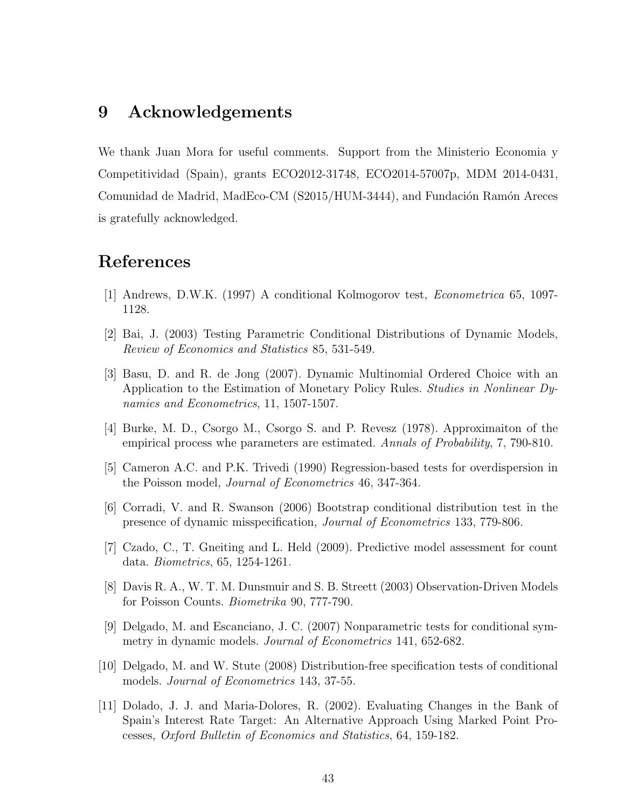### 9 Acknowledgements

We thank Juan Mora for useful comments. Support from the Ministerio Economia y Competitividad (Spain), grants ECO2012-31748, ECO2014-57007p, MDM 2014-0431, Comunidad de Madrid, MadEco-CM (S2015/HUM-3444), and Fundación Ramón Areces is gratefully acknowledged.

### References

- [1] Andrews, D.W.K. (1997) A conditional Kolmogorov test, Econometrica 65, 1097- 1128.
- [2] Bai, J. (2003) Testing Parametric Conditional Distributions of Dynamic Models, Review of Economics and Statistics 85, 531-549.
- [3] Basu, D. and R. de Jong (2007). Dynamic Multinomial Ordered Choice with an Application to the Estimation of Monetary Policy Rules. Studies in Nonlinear Dynamics and Econometrics, 11, 1507-1507.
- [4] Burke, M. D., Csorgo M., Csorgo S. and P. Revesz (1978). Approximaiton of the empirical process whe parameters are estimated. Annals of Probability, 7, 790-810.
- [5] Cameron A.C. and P.K. Trivedi (1990) Regression-based tests for overdispersion in the Poisson model, Journal of Econometrics 46, 347-364.
- [6] Corradi, V. and R. Swanson (2006) Bootstrap conditional distribution test in the presence of dynamic misspecification, Journal of Econometrics 133, 779-806.
- [7] Czado, C., T. Gneiting and L. Held (2009). Predictive model assessment for count data. Biometrics, 65, 1254-1261.
- [8] Davis R. A., W. T. M. Dunsmuir and S. B. Streett (2003) Observation-Driven Models for Poisson Counts. Biometrika 90, 777-790.
- [9] Delgado, M. and Escanciano, J. C. (2007) Nonparametric tests for conditional symmetry in dynamic models. *Journal of Econometrics* 141, 652-682.
- [10] Delgado, M. and W. Stute (2008) Distribution-free specification tests of conditional models. *Journal of Econometrics* 143, 37-55.
- [11] Dolado, J. J. and Maria-Dolores, R. (2002). Evaluating Changes in the Bank of Spain's Interest Rate Target: An Alternative Approach Using Marked Point Processes, Oxford Bulletin of Economics and Statistics, 64, 159-182.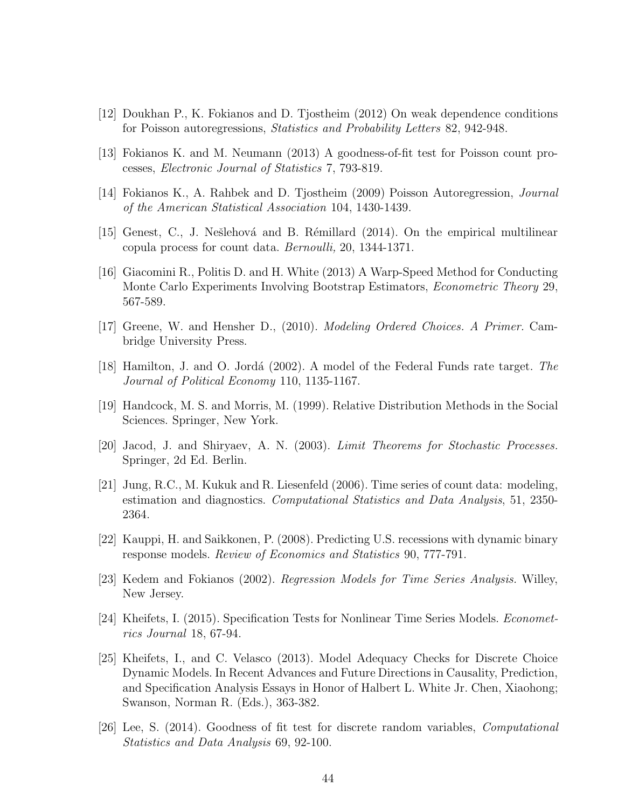- [12] Doukhan P., K. Fokianos and D. Tjostheim (2012) On weak dependence conditions for Poisson autoregressions, Statistics and Probability Letters 82, 942-948.
- [13] Fokianos K. and M. Neumann (2013) A goodness-of-fit test for Poisson count processes, Electronic Journal of Statistics 7, 793-819.
- [14] Fokianos K., A. Rahbek and D. Tjostheim (2009) Poisson Autoregression, Journal of the American Statistical Association 104, 1430-1439.
- [15] Genest, C., J. Nešlehová and B. Rémillard (2014). On the empirical multilinear copula process for count data. Bernoulli, 20, 1344-1371.
- [16] Giacomini R., Politis D. and H. White (2013) A Warp-Speed Method for Conducting Monte Carlo Experiments Involving Bootstrap Estimators, Econometric Theory 29, 567-589.
- [17] Greene, W. and Hensher D., (2010). Modeling Ordered Choices. A Primer. Cambridge University Press.
- [18] Hamilton, J. and O. Jordá (2002). A model of the Federal Funds rate target. The Journal of Political Economy 110, 1135-1167.
- [19] Handcock, M. S. and Morris, M. (1999). Relative Distribution Methods in the Social Sciences. Springer, New York.
- [20] Jacod, J. and Shiryaev, A. N. (2003). Limit Theorems for Stochastic Processes. Springer, 2d Ed. Berlin.
- [21] Jung, R.C., M. Kukuk and R. Liesenfeld (2006). Time series of count data: modeling, estimation and diagnostics. Computational Statistics and Data Analysis, 51, 2350- 2364.
- [22] Kauppi, H. and Saikkonen, P. (2008). Predicting U.S. recessions with dynamic binary response models. Review of Economics and Statistics 90, 777-791.
- [23] Kedem and Fokianos (2002). Regression Models for Time Series Analysis. Willey, New Jersey.
- [24] Kheifets, I. (2015). Specification Tests for Nonlinear Time Series Models. Econometrics Journal 18, 67-94.
- [25] Kheifets, I., and C. Velasco (2013). Model Adequacy Checks for Discrete Choice Dynamic Models. In Recent Advances and Future Directions in Causality, Prediction, and Specification Analysis Essays in Honor of Halbert L. White Jr. Chen, Xiaohong; Swanson, Norman R. (Eds.), 363-382.
- [26] Lee, S. (2014). Goodness of fit test for discrete random variables, Computational Statistics and Data Analysis 69, 92-100.